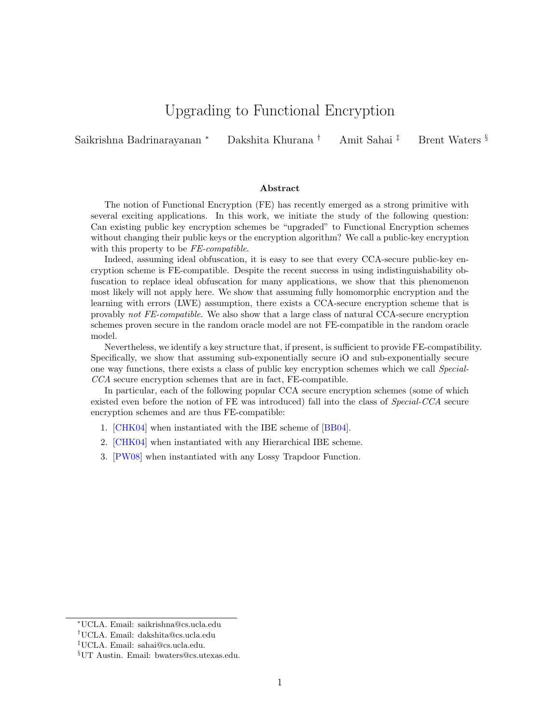# Upgrading to Functional Encryption

Saikrishna Badrinarayanan <sup>∗</sup> Dakshita Khurana † Amit Sahai ‡ Brent Waters §

#### Abstract

The notion of Functional Encryption (FE) has recently emerged as a strong primitive with several exciting applications. In this work, we initiate the study of the following question: Can existing public key encryption schemes be "upgraded" to Functional Encryption schemes without changing their public keys or the encryption algorithm? We call a public-key encryption with this property to be  $FE$ -compatible.

Indeed, assuming ideal obfuscation, it is easy to see that every CCA-secure public-key encryption scheme is FE-compatible. Despite the recent success in using indistinguishability obfuscation to replace ideal obfuscation for many applications, we show that this phenomenon most likely will not apply here. We show that assuming fully homomorphic encryption and the learning with errors (LWE) assumption, there exists a CCA-secure encryption scheme that is provably not FE-compatible. We also show that a large class of natural CCA-secure encryption schemes proven secure in the random oracle model are not FE-compatible in the random oracle model.

Nevertheless, we identify a key structure that, if present, is sufficient to provide FE-compatibility. Specifically, we show that assuming sub-exponentially secure iO and sub-exponentially secure one way functions, there exists a class of public key encryption schemes which we call Special-CCA secure encryption schemes that are in fact, FE-compatible.

In particular, each of the following popular CCA secure encryption schemes (some of which existed even before the notion of FE was introduced) fall into the class of Special-CCA secure encryption schemes and are thus FE-compatible:

- 1. [\[CHK04\]](#page-35-0) when instantiated with the IBE scheme of [\[BB04\]](#page-34-0).
- 2. [\[CHK04\]](#page-35-0) when instantiated with any Hierarchical IBE scheme.
- 3. [\[PW08\]](#page-36-0) when instantiated with any Lossy Trapdoor Function.

<sup>∗</sup>UCLA. Email: saikrishna@cs.ucla.edu

<sup>†</sup>UCLA. Email: dakshita@cs.ucla.edu

<sup>‡</sup>UCLA. Email: sahai@cs.ucla.edu.

<sup>§</sup>UT Austin. Email: bwaters@cs.utexas.edu.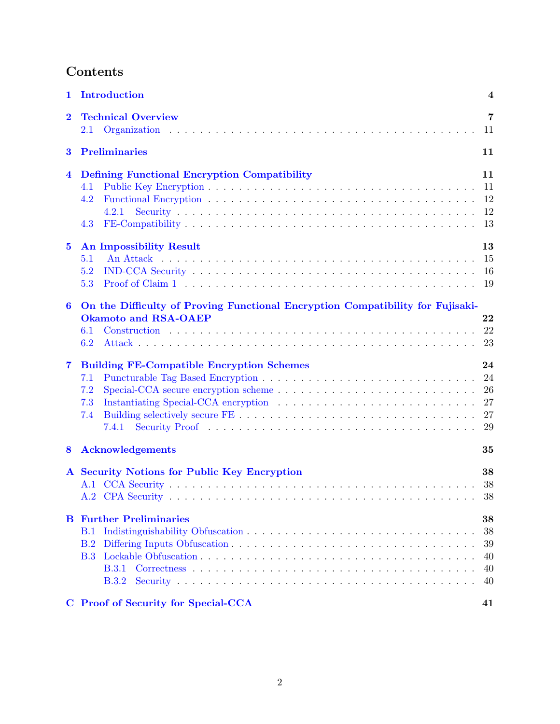# Contents

| 1                | Introduction                                                                                                                    | $\overline{\mathbf{4}}$                |  |  |  |  |  |  |  |
|------------------|---------------------------------------------------------------------------------------------------------------------------------|----------------------------------------|--|--|--|--|--|--|--|
| $\mathbf 2$      | <b>Technical Overview</b><br>$2.1\,$                                                                                            |                                        |  |  |  |  |  |  |  |
| 3                | <b>Preliminaries</b>                                                                                                            |                                        |  |  |  |  |  |  |  |
| 4                | <b>Defining Functional Encryption Compatibility</b><br>4.1<br>4.2<br>4.2.1<br>4.3                                               | 11<br>11<br>12<br>12<br>13             |  |  |  |  |  |  |  |
| $\bf{5}$         | <b>An Impossibility Result</b><br>5.1<br>5.2<br>5.3                                                                             | 13<br>15<br>16<br>-19                  |  |  |  |  |  |  |  |
| $\boldsymbol{6}$ | On the Difficulty of Proving Functional Encryption Compatibility for Fujisaki-<br><b>Okamoto and RSA-OAEP</b><br>6.1<br>6.2     | 22<br>22<br>23                         |  |  |  |  |  |  |  |
| $\overline{7}$   | <b>Building FE-Compatible Encryption Schemes</b><br>7.1<br>7.2<br>7.3<br>7.4<br>7.4.1                                           | 24<br>24<br>26<br>27<br>27<br>29       |  |  |  |  |  |  |  |
| 8                | <b>Acknowledgements</b>                                                                                                         | 35                                     |  |  |  |  |  |  |  |
|                  | A Security Notions for Public Key Encryption                                                                                    | 38<br>38<br>38                         |  |  |  |  |  |  |  |
| B                | <b>Further Preliminaries</b><br>B.1<br>B.2<br><b>B.3</b><br><b>B.3.1</b><br><b>B.3.2</b><br>C Proof of Security for Special-CCA | 38<br>38<br>39<br>40<br>40<br>40<br>41 |  |  |  |  |  |  |  |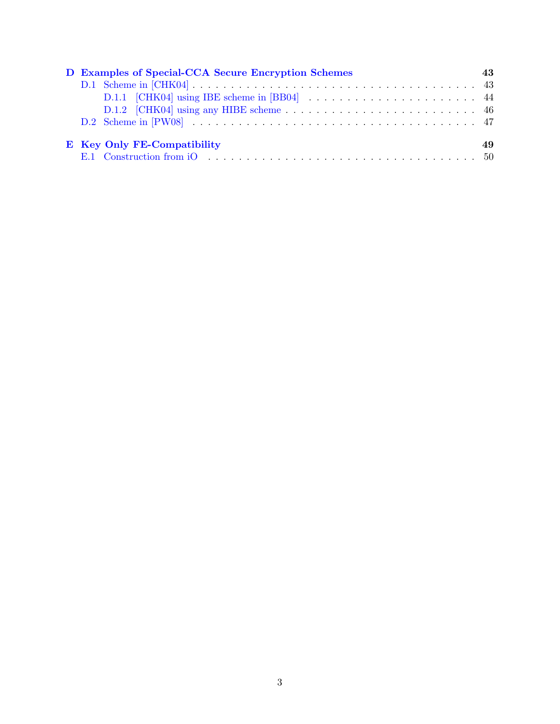|                             | D Examples of Special-CCA Secure Encryption Schemes |  |  |  |  |  |  |  |  |  |  |
|-----------------------------|-----------------------------------------------------|--|--|--|--|--|--|--|--|--|--|
|                             |                                                     |  |  |  |  |  |  |  |  |  |  |
|                             |                                                     |  |  |  |  |  |  |  |  |  |  |
|                             |                                                     |  |  |  |  |  |  |  |  |  |  |
|                             |                                                     |  |  |  |  |  |  |  |  |  |  |
| E Key Only FE-Compatibility |                                                     |  |  |  |  |  |  |  |  |  |  |
|                             |                                                     |  |  |  |  |  |  |  |  |  |  |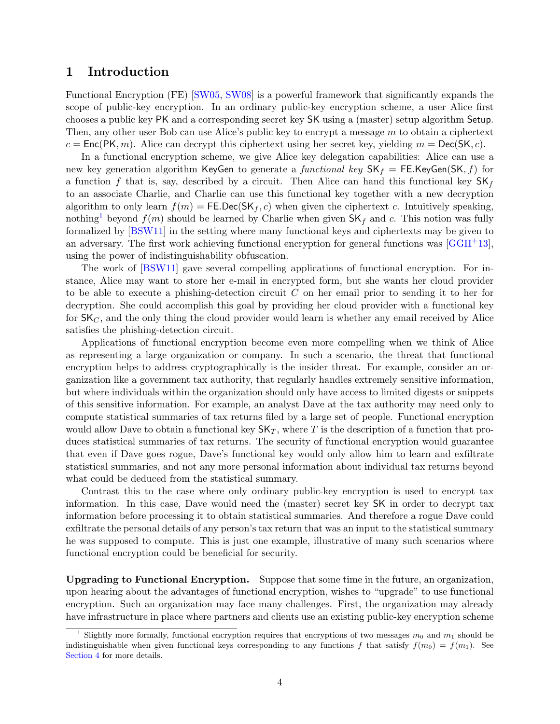## <span id="page-3-0"></span>1 Introduction

Functional Encryption (FE) [\[SW05,](#page-36-1) [SW08\]](#page-36-2) is a powerful framework that significantly expands the scope of public-key encryption. In an ordinary public-key encryption scheme, a user Alice first chooses a public key PK and a corresponding secret key SK using a (master) setup algorithm Setup. Then, any other user Bob can use Alice's public key to encrypt a message  $m$  to obtain a ciphertext  $c = \text{Enc}(\text{PK}, m)$ . Alice can decrypt this ciphertext using her secret key, yielding  $m = \text{Dec}(\text{SK}, c)$ .

In a functional encryption scheme, we give Alice key delegation capabilities: Alice can use a new key generation algorithm KeyGen to generate a functional key  $SK_f = FE$ . KeyGen(SK, f) for a function f that is, say, described by a circuit. Then Alice can hand this functional key  $SK_f$ to an associate Charlie, and Charlie can use this functional key together with a new decryption algorithm to only learn  $f(m) = \mathsf{FE}.\mathsf{Dec}(\mathsf{SK}_f, c)$  when given the ciphertext c. Intuitively speaking, nothing<sup>[1](#page-3-1)</sup> beyond  $f(m)$  should be learned by Charlie when given  $SK_f$  and c. This notion was fully formalized by [\[BSW11\]](#page-35-1) in the setting where many functional keys and ciphertexts may be given to an adversary. The first work achieving functional encryption for general functions was  $[GGH<sup>+</sup>13]$  $[GGH<sup>+</sup>13]$ , using the power of indistinguishability obfuscation.

The work of [\[BSW11\]](#page-35-1) gave several compelling applications of functional encryption. For instance, Alice may want to store her e-mail in encrypted form, but she wants her cloud provider to be able to execute a phishing-detection circuit C on her email prior to sending it to her for decryption. She could accomplish this goal by providing her cloud provider with a functional key for  $SK_C$ , and the only thing the cloud provider would learn is whether any email received by Alice satisfies the phishing-detection circuit.

Applications of functional encryption become even more compelling when we think of Alice as representing a large organization or company. In such a scenario, the threat that functional encryption helps to address cryptographically is the insider threat. For example, consider an organization like a government tax authority, that regularly handles extremely sensitive information, but where individuals within the organization should only have access to limited digests or snippets of this sensitive information. For example, an analyst Dave at the tax authority may need only to compute statistical summaries of tax returns filed by a large set of people. Functional encryption would allow Dave to obtain a functional key  $\mathsf{SK}_T$ , where T is the description of a function that produces statistical summaries of tax returns. The security of functional encryption would guarantee that even if Dave goes rogue, Dave's functional key would only allow him to learn and exfiltrate statistical summaries, and not any more personal information about individual tax returns beyond what could be deduced from the statistical summary.

Contrast this to the case where only ordinary public-key encryption is used to encrypt tax information. In this case, Dave would need the (master) secret key SK in order to decrypt tax information before processing it to obtain statistical summaries. And therefore a rogue Dave could exfiltrate the personal details of any person's tax return that was an input to the statistical summary he was supposed to compute. This is just one example, illustrative of many such scenarios where functional encryption could be beneficial for security.

Upgrading to Functional Encryption. Suppose that some time in the future, an organization, upon hearing about the advantages of functional encryption, wishes to "upgrade" to use functional encryption. Such an organization may face many challenges. First, the organization may already have infrastructure in place where partners and clients use an existing public-key encryption scheme

<span id="page-3-1"></span>Slightly more formally, functional encryption requires that encryptions of two messages  $m_0$  and  $m_1$  should be indistinguishable when given functional keys corresponding to any functions f that satisfy  $f(m_0) = f(m_1)$ . See [Section 4](#page-10-2) for more details.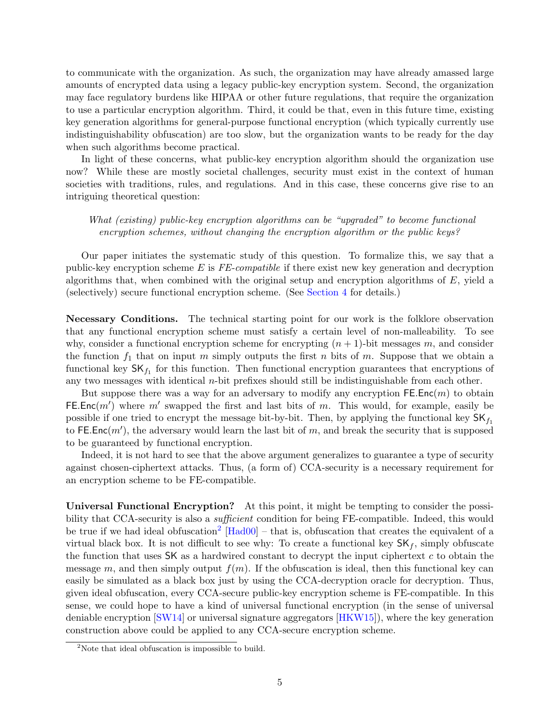to communicate with the organization. As such, the organization may have already amassed large amounts of encrypted data using a legacy public-key encryption system. Second, the organization may face regulatory burdens like HIPAA or other future regulations, that require the organization to use a particular encryption algorithm. Third, it could be that, even in this future time, existing key generation algorithms for general-purpose functional encryption (which typically currently use indistinguishability obfuscation) are too slow, but the organization wants to be ready for the day when such algorithms become practical.

In light of these concerns, what public-key encryption algorithm should the organization use now? While these are mostly societal challenges, security must exist in the context of human societies with traditions, rules, and regulations. And in this case, these concerns give rise to an intriguing theoretical question:

What (existing) public-key encryption algorithms can be "upgraded" to become functional encryption schemes, without changing the encryption algorithm or the public keys?

Our paper initiates the systematic study of this question. To formalize this, we say that a public-key encryption scheme  $E$  is  $FE$ -compatible if there exist new key generation and decryption algorithms that, when combined with the original setup and encryption algorithms of  $E$ , yield a (selectively) secure functional encryption scheme. (See [Section 4](#page-10-2) for details.)

Necessary Conditions. The technical starting point for our work is the folklore observation that any functional encryption scheme must satisfy a certain level of non-malleability. To see why, consider a functional encryption scheme for encrypting  $(n + 1)$ -bit messages m, and consider the function  $f_1$  that on input m simply outputs the first n bits of m. Suppose that we obtain a functional key  $\mathsf{SK}_{f_1}$  for this function. Then functional encryption guarantees that encryptions of any two messages with identical  $n$ -bit prefixes should still be indistinguishable from each other.

But suppose there was a way for an adversary to modify any encryption  $\mathsf{FE}.\mathsf{Enc}(m)$  to obtain FE.Enc $(m')$  where m' swapped the first and last bits of m. This would, for example, easily be possible if one tried to encrypt the message bit-by-bit. Then, by applying the functional key  $SK<sub>f<sub>1</sub></sub>$ to FE. Enc $(m')$ , the adversary would learn the last bit of m, and break the security that is supposed to be guaranteed by functional encryption.

Indeed, it is not hard to see that the above argument generalizes to guarantee a type of security against chosen-ciphertext attacks. Thus, (a form of) CCA-security is a necessary requirement for an encryption scheme to be FE-compatible.

Universal Functional Encryption? At this point, it might be tempting to consider the possibility that CCA-security is also a *sufficient* condition for being FE-compatible. Indeed, this would be true if we had ideal obfuscation<sup>[2](#page-4-0)</sup>  $[\text{Had}00]$  – that is, obfuscation that creates the equivalent of a virtual black box. It is not difficult to see why: To create a functional key  $SK_f$ , simply obfuscate the function that uses  $SK$  as a hardwired constant to decrypt the input ciphertext c to obtain the message m, and then simply output  $f(m)$ . If the obfuscation is ideal, then this functional key can easily be simulated as a black box just by using the CCA-decryption oracle for decryption. Thus, given ideal obfuscation, every CCA-secure public-key encryption scheme is FE-compatible. In this sense, we could hope to have a kind of universal functional encryption (in the sense of universal deniable encryption [\[SW14\]](#page-36-4) or universal signature aggregators [\[HKW15\]](#page-36-5)), where the key generation construction above could be applied to any CCA-secure encryption scheme.

<span id="page-4-0"></span><sup>&</sup>lt;sup>2</sup>Note that ideal obfuscation is impossible to build.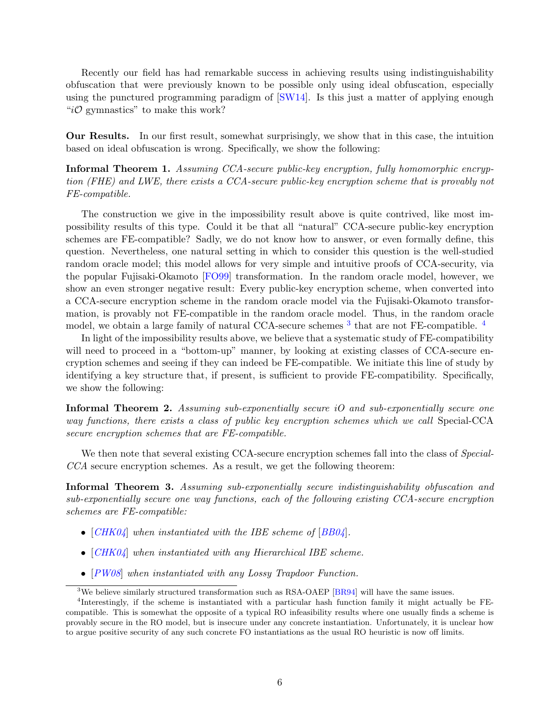Recently our field has had remarkable success in achieving results using indistinguishability obfuscation that were previously known to be possible only using ideal obfuscation, especially using the punctured programming paradigm of [\[SW14\]](#page-36-4). Is this just a matter of applying enough " $i\mathcal{O}$  gymnastics" to make this work?

Our Results. In our first result, somewhat surprisingly, we show that in this case, the intuition based on ideal obfuscation is wrong. Specifically, we show the following:

Informal Theorem 1. Assuming CCA-secure public-key encryption, fully homomorphic encryption (FHE) and LWE, there exists a CCA-secure public-key encryption scheme that is provably not FE-compatible.

The construction we give in the impossibility result above is quite contrived, like most impossibility results of this type. Could it be that all "natural" CCA-secure public-key encryption schemes are FE-compatible? Sadly, we do not know how to answer, or even formally define, this question. Nevertheless, one natural setting in which to consider this question is the well-studied random oracle model; this model allows for very simple and intuitive proofs of CCA-security, via the popular Fujisaki-Okamoto [\[FO99\]](#page-35-3) transformation. In the random oracle model, however, we show an even stronger negative result: Every public-key encryption scheme, when converted into a CCA-secure encryption scheme in the random oracle model via the Fujisaki-Okamoto transformation, is provably not FE-compatible in the random oracle model. Thus, in the random oracle model, we obtain a large family of natural CCA-secure schemes <sup>[3](#page-5-0)</sup> that are not FE-compatible. <sup>[4](#page-5-1)</sup>

In light of the impossibility results above, we believe that a systematic study of FE-compatibility will need to proceed in a "bottom-up" manner, by looking at existing classes of CCA-secure encryption schemes and seeing if they can indeed be FE-compatible. We initiate this line of study by identifying a key structure that, if present, is sufficient to provide FE-compatibility. Specifically, we show the following:

Informal Theorem 2. Assuming sub-exponentially secure iO and sub-exponentially secure one way functions, there exists a class of public key encryption schemes which we call Special-CCA secure encryption schemes that are FE-compatible.

We then note that several existing CCA-secure encryption schemes fall into the class of *Special*-CCA secure encryption schemes. As a result, we get the following theorem:

Informal Theorem 3. Assuming sub-exponentially secure indistinguishability obfuscation and sub-exponentially secure one way functions, each of the following existing CCA-secure encryption schemes are FE-compatible:

- $[CHK04]$  $[CHK04]$  $[CHK04]$  when instantiated with the IBE scheme of  $[BBO4]$ .
- [[CHK04](#page-35-0)] when instantiated with any Hierarchical IBE scheme.
- [[PW08](#page-36-0)] when instantiated with any Lossy Trapdoor Function.

<span id="page-5-1"></span><span id="page-5-0"></span><sup>&</sup>lt;sup>3</sup>We believe similarly structured transformation such as RSA-OAEP [\[BR94\]](#page-35-4) will have the same issues.

<sup>4</sup> Interestingly, if the scheme is instantiated with a particular hash function family it might actually be FEcompatible. This is somewhat the opposite of a typical RO infeasibility results where one usually finds a scheme is provably secure in the RO model, but is insecure under any concrete instantiation. Unfortunately, it is unclear how to argue positive security of any such concrete FO instantiations as the usual RO heuristic is now off limits.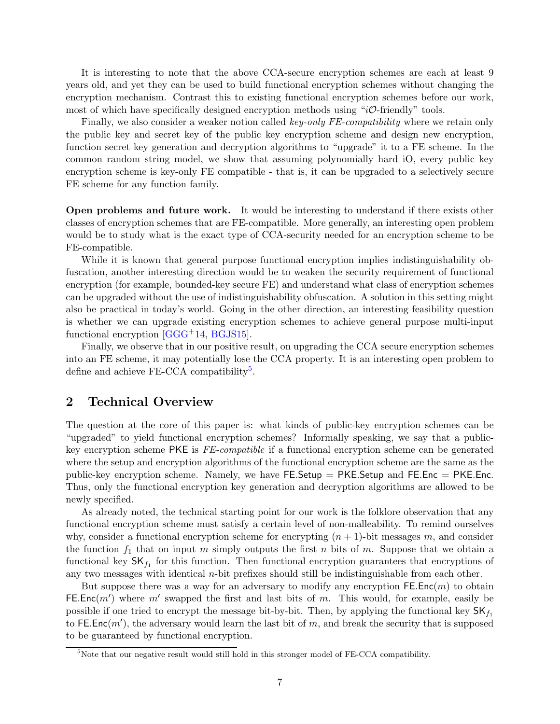It is interesting to note that the above CCA-secure encryption schemes are each at least 9 years old, and yet they can be used to build functional encryption schemes without changing the encryption mechanism. Contrast this to existing functional encryption schemes before our work, most of which have specifically designed encryption methods using " $i\mathcal{O}\text{-}$  friendly" tools.

Finally, we also consider a weaker notion called key-only FE-compatibility where we retain only the public key and secret key of the public key encryption scheme and design new encryption, function secret key generation and decryption algorithms to "upgrade" it to a FE scheme. In the common random string model, we show that assuming polynomially hard iO, every public key encryption scheme is key-only FE compatible - that is, it can be upgraded to a selectively secure FE scheme for any function family.

Open problems and future work. It would be interesting to understand if there exists other classes of encryption schemes that are FE-compatible. More generally, an interesting open problem would be to study what is the exact type of CCA-security needed for an encryption scheme to be FE-compatible.

While it is known that general purpose functional encryption implies indistinguishability obfuscation, another interesting direction would be to weaken the security requirement of functional encryption (for example, bounded-key secure FE) and understand what class of encryption schemes can be upgraded without the use of indistinguishability obfuscation. A solution in this setting might also be practical in today's world. Going in the other direction, an interesting feasibility question is whether we can upgrade existing encryption schemes to achieve general purpose multi-input functional encryption [\[GGG](#page-35-5)+14, [BGJS15\]](#page-35-6).

Finally, we observe that in our positive result, on upgrading the CCA secure encryption schemes into an FE scheme, it may potentially lose the CCA property. It is an interesting open problem to define and achieve FE-CCA compatibility<sup>[5](#page-6-1)</sup>.

## <span id="page-6-0"></span>2 Technical Overview

The question at the core of this paper is: what kinds of public-key encryption schemes can be "upgraded" to yield functional encryption schemes? Informally speaking, we say that a publickey encryption scheme PKE is FE-compatible if a functional encryption scheme can be generated where the setup and encryption algorithms of the functional encryption scheme are the same as the public-key encryption scheme. Namely, we have  $FE$ . Setup = PKE. Setup and FE. Enc = PKE. Enc. Thus, only the functional encryption key generation and decryption algorithms are allowed to be newly specified.

As already noted, the technical starting point for our work is the folklore observation that any functional encryption scheme must satisfy a certain level of non-malleability. To remind ourselves why, consider a functional encryption scheme for encrypting  $(n + 1)$ -bit messages m, and consider the function  $f_1$  that on input m simply outputs the first n bits of m. Suppose that we obtain a functional key  $\mathsf{SK}_{f_1}$  for this function. Then functional encryption guarantees that encryptions of any two messages with identical  $n$ -bit prefixes should still be indistinguishable from each other.

But suppose there was a way for an adversary to modify any encryption  $\mathsf{FE}.\mathsf{Enc}(m)$  to obtain FE.Enc $(m')$  where m' swapped the first and last bits of m. This would, for example, easily be possible if one tried to encrypt the message bit-by-bit. Then, by applying the functional key  $\mathsf{SK}_{f_1}$ to FE. Enc $(m')$ , the adversary would learn the last bit of m, and break the security that is supposed to be guaranteed by functional encryption.

<span id="page-6-1"></span><sup>5</sup>Note that our negative result would still hold in this stronger model of FE-CCA compatibility.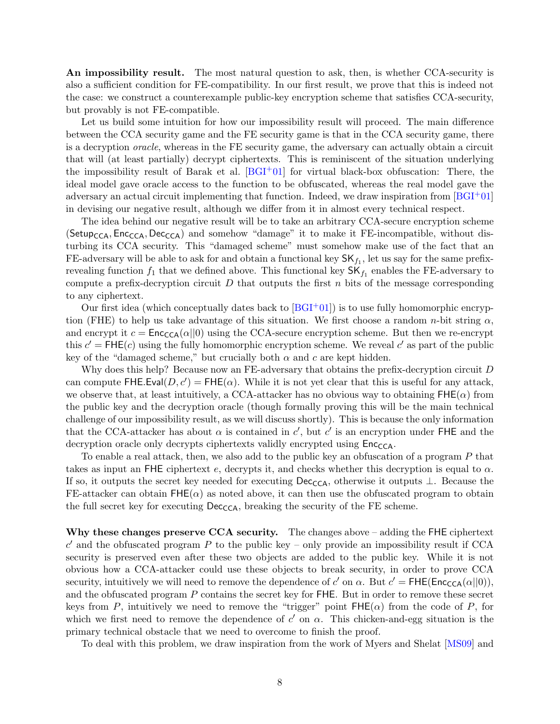An impossibility result. The most natural question to ask, then, is whether CCA-security is also a sufficient condition for FE-compatibility. In our first result, we prove that this is indeed not the case: we construct a counterexample public-key encryption scheme that satisfies CCA-security, but provably is not FE-compatible.

Let us build some intuition for how our impossibility result will proceed. The main difference between the CCA security game and the FE security game is that in the CCA security game, there is a decryption oracle, whereas in the FE security game, the adversary can actually obtain a circuit that will (at least partially) decrypt ciphertexts. This is reminiscent of the situation underlying the impossibility result of Barak et al.  $[**BGI** + 01]$  for virtual black-box obfuscation: There, the ideal model gave oracle access to the function to be obfuscated, whereas the real model gave the adversary an actual circuit implementing that function. Indeed, we draw inspiration from  $[BGI^+01]$  $[BGI^+01]$ in devising our negative result, although we differ from it in almost every technical respect.

The idea behind our negative result will be to take an arbitrary CCA-secure encryption scheme  $(Setup_{CCA}, Enc_{CCA}, Dec_{CCA})$  and somehow "damage" it to make it FE-incompatible, without disturbing its CCA security. This "damaged scheme" must somehow make use of the fact that an FE-adversary will be able to ask for and obtain a functional key  $\mathsf{SK}_{f_1}$ , let us say for the same prefixrevealing function  $f_1$  that we defined above. This functional key  $\mathsf{SK}_{f_1}$  enables the FE-adversary to compute a prefix-decryption circuit  $D$  that outputs the first  $n$  bits of the message corresponding to any ciphertext.

Our first idea (which conceptually dates back to  $[\text{BGI}^+01]$ ) is to use fully homomorphic encryption (FHE) to help us take advantage of this situation. We first choose a random n-bit string  $\alpha$ , and encrypt it  $c = \text{Enc}_{\text{CCA}}(\alpha||0)$  using the CCA-secure encryption scheme. But then we re-encrypt this  $c' = \text{FHE}(c)$  using the fully homomorphic encryption scheme. We reveal c' as part of the public key of the "damaged scheme," but crucially both  $\alpha$  and  $c$  are kept hidden.

Why does this help? Because now an FE-adversary that obtains the prefix-decryption circuit D can compute  $FHE.Eval(D, c') = FHE(\alpha)$ . While it is not yet clear that this is useful for any attack, we observe that, at least intuitively, a CCA-attacker has no obvious way to obtaining  $FHE(\alpha)$  from the public key and the decryption oracle (though formally proving this will be the main technical challenge of our impossibility result, as we will discuss shortly). This is because the only information that the CCA-attacker has about  $\alpha$  is contained in c', but c' is an encryption under FHE and the decryption oracle only decrypts ciphertexts validly encrypted using  $Enc_{CCA}$ .

To enable a real attack, then, we also add to the public key an obfuscation of a program P that takes as input an FHE ciphertext e, decrypts it, and checks whether this decryption is equal to  $\alpha$ . If so, it outputs the secret key needed for executing Dec<sub>CCA</sub>, otherwise it outputs ⊥. Because the FE-attacker can obtain  $FHE(\alpha)$  as noted above, it can then use the obfuscated program to obtain the full secret key for executing  $Dec_{CCA}$ , breaking the security of the FE scheme.

Why these changes preserve CCA security. The changes above – adding the FHE ciphertext  $c'$  and the obfuscated program P to the public key – only provide an impossibility result if CCA security is preserved even after these two objects are added to the public key. While it is not obvious how a CCA-attacker could use these objects to break security, in order to prove CCA security, intuitively we will need to remove the dependence of  $c'$  on  $\alpha$ . But  $c' = \text{FHE}(\text{Enc}_{\text{CCA}}(\alpha||0)),$ and the obfuscated program P contains the secret key for FHE. But in order to remove these secret keys from P, intuitively we need to remove the "trigger" point  $FHE(\alpha)$  from the code of P, for which we first need to remove the dependence of  $c'$  on  $\alpha$ . This chicken-and-egg situation is the primary technical obstacle that we need to overcome to finish the proof.

To deal with this problem, we draw inspiration from the work of Myers and Shelat [\[MS09\]](#page-36-6) and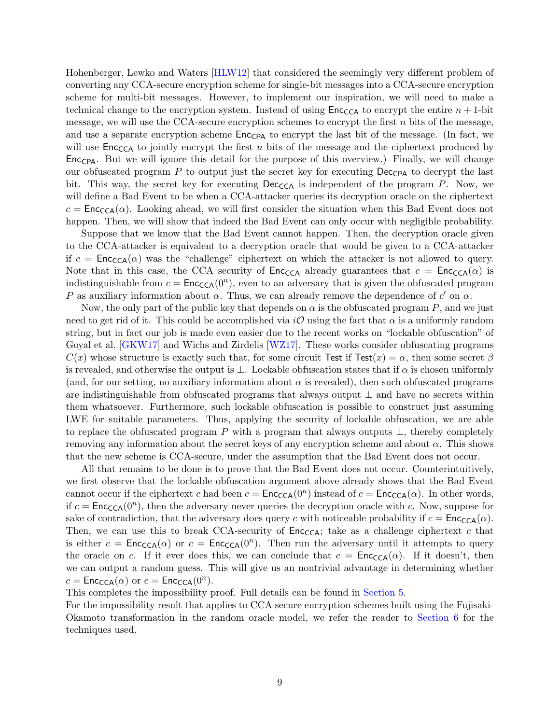Hohenberger, Lewko and Waters [\[HLW12\]](#page-36-7) that considered the seemingly very different problem of converting any CCA-secure encryption scheme for single-bit messages into a CCA-secure encryption scheme for multi-bit messages. However, to implement our inspiration, we will need to make a technical change to the encryption system. Instead of using  $\mathsf{Enc}_{\mathsf{CCA}}$  to encrypt the entire  $n+1$ -bit message, we will use the CCA-secure encryption schemes to encrypt the first  $n$  bits of the message, and use a separate encryption scheme  $Enc_{CPA}$  to encrypt the last bit of the message. (In fact, we will use  $Enc_{CCA}$  to jointly encrypt the first n bits of the message and the ciphertext produced by Enc<sub>CPA</sub>. But we will ignore this detail for the purpose of this overview.) Finally, we will change our obfuscated program  $P$  to output just the secret key for executing  $\text{Dec}_{CPA}$  to decrypt the last bit. This way, the secret key for executing  $\text{Dec}_{\text{CCA}}$  is independent of the program P. Now, we will define a Bad Event to be when a CCA-attacker queries its decryption oracle on the ciphertext  $c = \text{Enc}_{\text{CCA}}(\alpha)$ . Looking ahead, we will first consider the situation when this Bad Event does not happen. Then, we will show that indeed the Bad Event can only occur with negligible probability.

Suppose that we know that the Bad Event cannot happen. Then, the decryption oracle given to the CCA-attacker is equivalent to a decryption oracle that would be given to a CCA-attacker if  $c = \text{Enc}_{\text{CCA}}(\alpha)$  was the "challenge" ciphertext on which the attacker is not allowed to query. Note that in this case, the CCA security of  $\mathsf{Enc}_{\mathsf{CCA}}$  already guarantees that  $c = \mathsf{Enc}_{\mathsf{CCA}}(\alpha)$  is indistinguishable from  $c = \text{Enc}_{\text{CCA}}(0^n)$ , even to an adversary that is given the obfuscated program P as auxiliary information about  $\alpha$ . Thus, we can already remove the dependence of c' on  $\alpha$ .

Now, the only part of the public key that depends on  $\alpha$  is the obfuscated program P, and we just need to get rid of it. This could be accomplished via  $i\mathcal{O}$  using the fact that  $\alpha$  is a uniformly random string, but in fact our job is made even easier due to the recent works on "lockable obfuscation" of Goyal et al. [\[GKW17\]](#page-35-8) and Wichs and Zirdelis [\[WZ17\]](#page-37-5). These works consider obfuscating programs  $C(x)$  whose structure is exactly such that, for some circuit Test if Test $(x) = \alpha$ , then some secret  $\beta$ is revealed, and otherwise the output is  $\perp$ . Lockable obfuscation states that if  $\alpha$  is chosen uniformly (and, for our setting, no auxiliary information about  $\alpha$  is revealed), then such obfuscated programs are indistinguishable from obfuscated programs that always output ⊥ and have no secrets within them whatsoever. Furthermore, such lockable obfuscation is possible to construct just assuming LWE for suitable parameters. Thus, applying the security of lockable obfuscation, we are able to replace the obfuscated program P with a program that always outputs  $\perp$ , thereby completely removing any information about the secret keys of any encryption scheme and about  $\alpha$ . This shows that the new scheme is CCA-secure, under the assumption that the Bad Event does not occur.

All that remains to be done is to prove that the Bad Event does not occur. Counterintuitively, we first observe that the lockable obfuscation argument above already shows that the Bad Event cannot occur if the ciphertext c had been  $c = \text{Enc}_{\text{CCA}}(0^n)$  instead of  $c = \text{Enc}_{\text{CCA}}(\alpha)$ . In other words, if  $c = \text{Enc}_{\text{CCA}}(0^n)$ , then the adversary never queries the decryption oracle with c. Now, suppose for sake of contradiction, that the adversary does query c with noticeable probability if  $c = \text{Enc}_{\text{CCA}}(\alpha)$ . Then, we can use this to break CCA-security of  $\mathsf{Enc}_{\mathsf{CCA}}$ ; take as a challenge ciphertext c that is either  $c = \text{Enc}_{\text{CCA}}(\alpha)$  or  $c = \text{Enc}_{\text{CCA}}(0^n)$ . Then run the adversary until it attempts to query the oracle on c. If it ever does this, we can conclude that  $c = \text{Enc}_{\text{CCA}}(\alpha)$ . If it doesn't, then we can output a random guess. This will give us an nontrivial advantage in determining whether  $c = \textsf{Enc}_{\textsf{CCA}}(\alpha)$  or  $c = \textsf{Enc}_{\textsf{CCA}}(0^n)$ .

This completes the impossibility proof. Full details can be found in [Section 5.](#page-12-1)

For the impossibility result that applies to CCA secure encryption schemes built using the Fujisaki-Okamoto transformation in the random oracle model, we refer the reader to [Section 6](#page-21-0) for the techniques used.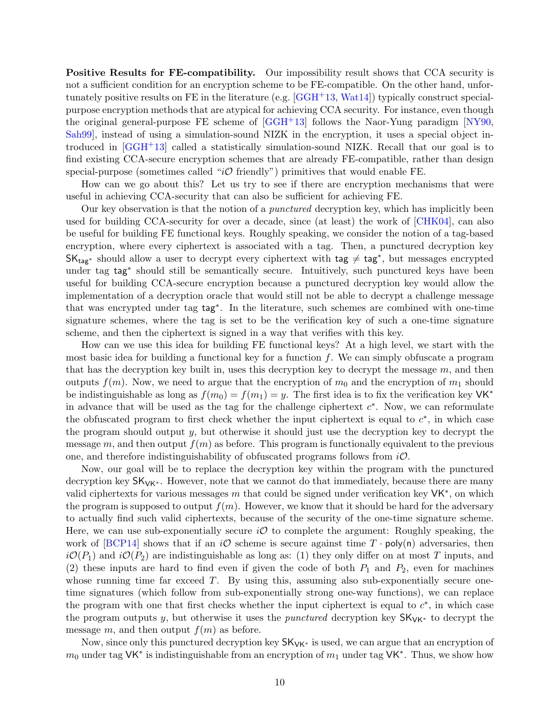**Positive Results for FE-compatibility.** Our impossibility result shows that CCA security is not a sufficient condition for an encryption scheme to be FE-compatible. On the other hand, unfortunately positive results on FE in the literature (e.g.  $[GGH<sup>+13</sup>, Watt14]$  $[GGH<sup>+13</sup>, Watt14]$ ) typically construct specialpurpose encryption methods that are atypical for achieving CCA security. For instance, even though the original general-purpose FE scheme of [\[GGH](#page-35-2)+13] follows the Naor-Yung paradigm [\[NY90,](#page-36-8) [Sah99\]](#page-36-9), instead of using a simulation-sound NIZK in the encryption, it uses a special object introduced in [\[GGH](#page-35-2)+13] called a statistically simulation-sound NIZK. Recall that our goal is to find existing CCA-secure encryption schemes that are already FE-compatible, rather than design special-purpose (sometimes called " $i\mathcal{O}$  friendly") primitives that would enable FE.

How can we go about this? Let us try to see if there are encryption mechanisms that were useful in achieving CCA-security that can also be sufficient for achieving FE.

Our key observation is that the notion of a punctured decryption key, which has implicitly been used for building CCA-security for over a decade, since (at least) the work of [\[CHK04\]](#page-35-0), can also be useful for building FE functional keys. Roughly speaking, we consider the notion of a tag-based encryption, where every ciphertext is associated with a tag. Then, a punctured decryption key  $SK_{tag*}$  should allow a user to decrypt every ciphertext with  $tag \neq tag^*$ , but messages encrypted under tag tag<sup>∗</sup> should still be semantically secure. Intuitively, such punctured keys have been useful for building CCA-secure encryption because a punctured decryption key would allow the implementation of a decryption oracle that would still not be able to decrypt a challenge message that was encrypted under tag tag<sup>∗</sup> . In the literature, such schemes are combined with one-time signature schemes, where the tag is set to be the verification key of such a one-time signature scheme, and then the ciphertext is signed in a way that verifies with this key.

How can we use this idea for building FE functional keys? At a high level, we start with the most basic idea for building a functional key for a function  $f$ . We can simply obfuscate a program that has the decryption key built in, uses this decryption key to decrypt the message  $m$ , and then outputs  $f(m)$ . Now, we need to argue that the encryption of  $m_0$  and the encryption of  $m_1$  should be indistinguishable as long as  $f(m_0) = f(m_1) = y$ . The first idea is to fix the verification key VK<sup>\*</sup> in advance that will be used as the tag for the challenge ciphertext  $c^*$ . Now, we can reformulate the obfuscated program to first check whether the input ciphertext is equal to  $c^*$ , in which case the program should output  $y$ , but otherwise it should just use the decryption key to decrypt the message m, and then output  $f(m)$  as before. This program is functionally equivalent to the previous one, and therefore indistinguishability of obfuscated programs follows from  $i\mathcal{O}$ .

Now, our goal will be to replace the decryption key within the program with the punctured decryption key SK<sub>VK</sub>∗. However, note that we cannot do that immediately, because there are many valid ciphertexts for various messages m that could be signed under verification key  $VK^*$ , on which the program is supposed to output  $f(m)$ . However, we know that it should be hard for the adversary to actually find such valid ciphertexts, because of the security of the one-time signature scheme. Here, we can use sub-exponentially secure  $i\mathcal{O}$  to complete the argument: Roughly speaking, the work of [\[BCP14\]](#page-34-2) shows that if an  $i\mathcal{O}$  scheme is secure against time  $T \cdot \text{poly}(n)$  adversaries, then  $i\mathcal{O}(P_1)$  and  $i\mathcal{O}(P_2)$  are indistinguishable as long as: (1) they only differ on at most T inputs, and (2) these inputs are hard to find even if given the code of both  $P_1$  and  $P_2$ , even for machines whose running time far exceed  $T$ . By using this, assuming also sub-exponentially secure onetime signatures (which follow from sub-exponentially strong one-way functions), we can replace the program with one that first checks whether the input ciphertext is equal to  $c^*$ , in which case the program outputs y, but otherwise it uses the *punctured* decryption key  $SK_{VK^*}$  to decrypt the message m, and then output  $f(m)$  as before.

Now, since only this punctured decryption key  $SK_{VK^*}$  is used, we can argue that an encryption of  $m_0$  under tag VK<sup>\*</sup> is indistinguishable from an encryption of  $m_1$  under tag VK<sup>\*</sup>. Thus, we show how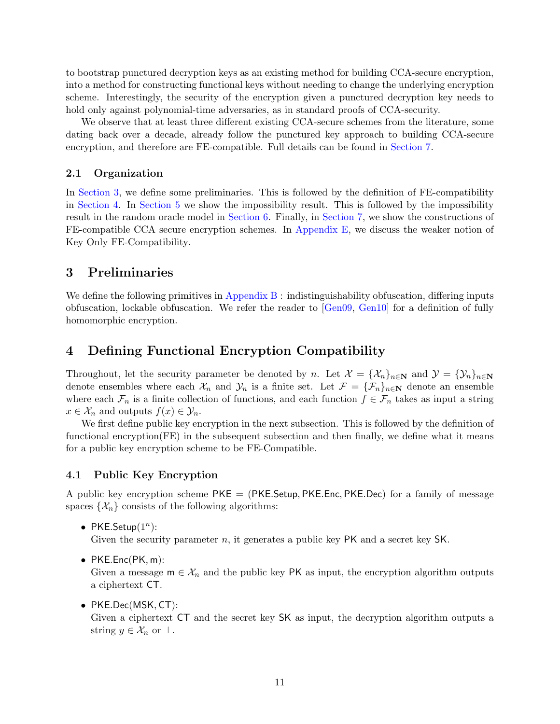to bootstrap punctured decryption keys as an existing method for building CCA-secure encryption, into a method for constructing functional keys without needing to change the underlying encryption scheme. Interestingly, the security of the encryption given a punctured decryption key needs to hold only against polynomial-time adversaries, as in standard proofs of CCA-security.

We observe that at least three different existing CCA-secure schemes from the literature, some dating back over a decade, already follow the punctured key approach to building CCA-secure encryption, and therefore are FE-compatible. Full details can be found in [Section 7.](#page-23-0)

#### <span id="page-10-0"></span>2.1 Organization

In [Section 3,](#page-10-1) we define some preliminaries. This is followed by the definition of FE-compatibility in [Section 4.](#page-10-2) In [Section 5](#page-12-1) we show the impossibility result. This is followed by the impossibility result in the random oracle model in [Section 6.](#page-21-0) Finally, in [Section 7,](#page-23-0) we show the constructions of FE-compatible CCA secure encryption schemes. In [Appendix E,](#page-48-0) we discuss the weaker notion of Key Only FE-Compatibility.

## <span id="page-10-1"></span>3 Preliminaries

We define the following primitives in Appendix  $B$ : indistinguishability obfuscation, differing inputs obfuscation, lockable obfuscation. We refer the reader to [\[Gen09,](#page-35-9) [Gen10\]](#page-35-10) for a definition of fully homomorphic encryption.

## <span id="page-10-2"></span>4 Defining Functional Encryption Compatibility

Throughout, let the security parameter be denoted by n. Let  $\mathcal{X} = {\mathcal{X}_n}_{n \in \mathbb{N}}$  and  $\mathcal{Y} = {\mathcal{Y}_n}_{n \in \mathbb{N}}$ denote ensembles where each  $\mathcal{X}_n$  and  $\mathcal{Y}_n$  is a finite set. Let  $\mathcal{F} = {\{\mathcal{F}_n\}}_{n\in\mathbb{N}}$  denote an ensemble where each  $\mathcal{F}_n$  is a finite collection of functions, and each function  $f \in \mathcal{F}_n$  takes as input a string  $x \in \mathcal{X}_n$  and outputs  $f(x) \in \mathcal{Y}_n$ .

We first define public key encryption in the next subsection. This is followed by the definition of functional encryption(FE) in the subsequent subsection and then finally, we define what it means for a public key encryption scheme to be FE-Compatible.

#### <span id="page-10-3"></span>4.1 Public Key Encryption

A public key encryption scheme PKE = (PKE.Setup, PKE.Enc, PKE.Dec) for a family of message spaces  $\{\mathcal{X}_n\}$  consists of the following algorithms:

• PKE.Setup $(1^n)$ :

Given the security parameter n, it generates a public key PK and a secret key SK.

 $\bullet$  PKE.Enc(PK, m):

Given a message  $m \in \mathcal{X}_n$  and the public key PK as input, the encryption algorithm outputs a ciphertext CT.

• PKE.Dec(MSK, CT):

Given a ciphertext CT and the secret key SK as input, the decryption algorithm outputs a string  $y \in \mathcal{X}_n$  or  $\perp$ .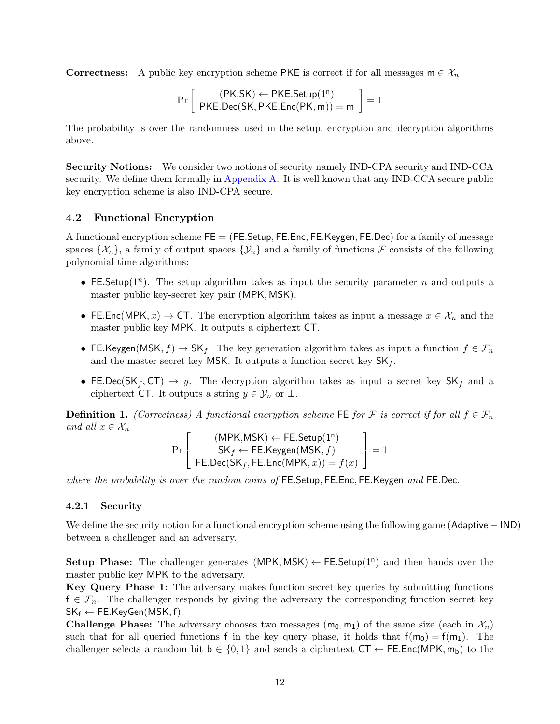**Correctness:** A public key encryption scheme PKE is correct if for all messages  $m \in \mathcal{X}_n$ 

$$
\Pr\left[\begin{array}{c}(\mathsf{PK},\!\mathsf{SK})\leftarrow\mathsf{PKE}.\mathsf{Setup}(1^n)\\ \mathsf{PKE}.\mathsf{Dec}(\mathsf{SK},\mathsf{PKE}.\mathsf{Enc}(\mathsf{PK},m))=m\end{array}\right]=1
$$

The probability is over the randomness used in the setup, encryption and decryption algorithms above.

Security Notions: We consider two notions of security namely IND-CPA security and IND-CCA security. We define them formally in [Appendix A.](#page-37-0) It is well known that any IND-CCA secure public key encryption scheme is also IND-CPA secure.

#### <span id="page-11-0"></span>4.2 Functional Encryption

A functional encryption scheme  $FE = (FE. Setup, FE. Enc, FE. Keygen, FE. Dec)$  for a family of message spaces  $\{\mathcal{X}_n\}$ , a family of output spaces  $\{\mathcal{Y}_n\}$  and a family of functions F consists of the following polynomial time algorithms:

- FE. Setup( $1^n$ ). The setup algorithm takes as input the security parameter n and outputs a master public key-secret key pair (MPK, MSK).
- FE.Enc(MPK,  $x$ )  $\rightarrow$  CT. The encryption algorithm takes as input a message  $x \in \mathcal{X}_n$  and the master public key MPK. It outputs a ciphertext CT.
- FE.Keygen(MSK, f)  $\rightarrow$  SK<sub>f</sub>. The key generation algorithm takes as input a function  $f \in \mathcal{F}_n$ and the master secret key MSK. It outputs a function secret key  $SK_f$ .
- FE.Dec(SK<sub>f</sub>, CT)  $\rightarrow y$ . The decryption algorithm takes as input a secret key SK<sub>f</sub> and a ciphertext CT. It outputs a string  $y \in \mathcal{Y}_n$  or  $\perp$ .

**Definition 1.** (Correctness) A functional encryption scheme FE for F is correct if for all  $f \in \mathcal{F}_n$ and all  $x \in \mathcal{X}_n$ 

$$
\Pr\left[\begin{array}{c}(\mathsf{MPK,MSK}) \leftarrow \mathsf{FE}.\mathsf{Setup}(1^n)\\ \mathsf{SK}_f \leftarrow \mathsf{FE}.\mathsf{Keygen}(\mathsf{MSK},f)\\ \mathsf{FE}.\mathsf{Dec}(\mathsf{SK}_f,\mathsf{FE}.\mathsf{Enc}(\mathsf{MPK},x)) = f(x)\end{array}\right] = 1
$$

where the probability is over the random coins of FE.Setup, FE.Enc, FE.Keygen and FE.Dec.

#### <span id="page-11-1"></span>4.2.1 Security

We define the security notion for a functional encryption scheme using the following game (Adaptive − IND) between a challenger and an adversary.

Setup Phase: The challenger generates  $(MPK, MSK) \leftarrow FE.Setup(1^n)$  and then hands over the master public key MPK to the adversary.

Key Query Phase 1: The adversary makes function secret key queries by submitting functions  $f \in \mathcal{F}_n$ . The challenger responds by giving the adversary the corresponding function secret key  $SK_f \leftarrow FE.KeyGen(MSK, f).$ 

**Challenge Phase:** The adversary chooses two messages  $(m_0, m_1)$  of the same size (each in  $\mathcal{X}_n$ ) such that for all queried functions f in the key query phase, it holds that  $f(m_0) = f(m_1)$ . The challenger selects a random bit  $b \in \{0,1\}$  and sends a ciphertext  $CT \leftarrow F. Enc(MPK, m_b)$  to the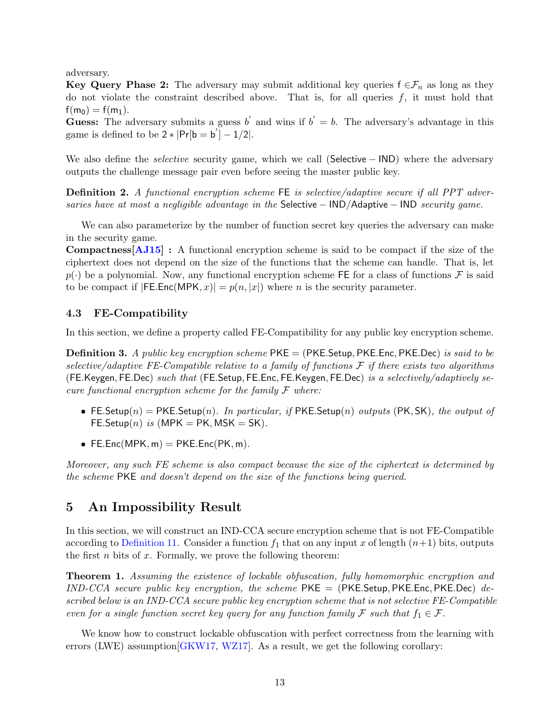adversary.

Key Query Phase 2: The adversary may submit additional key queries  $f \in \mathcal{F}_n$  as long as they do not violate the constraint described above. That is, for all queries  $f$ , it must hold that  $f(m_0) = f(m_1)$ .

Guess: The adversary submits a guess b' and wins if  $b' = b$ . The adversary's advantage in this game is defined to be  $2 * |Pr[b = b'] - 1/2|$ .

We also define the *selective* security game, which we call (Selective − IND) where the adversary outputs the challenge message pair even before seeing the master public key.

**Definition 2.** A functional encryption scheme FE is selective/adaptive secure if all PPT adversaries have at most a negligible advantage in the Selective  $-$  IND/Adaptive  $-$  IND security game.

We can also parameterize by the number of function secret key queries the adversary can make in the security game.

Compactness[\[AJ15\]](#page-34-3) : A functional encryption scheme is said to be compact if the size of the ciphertext does not depend on the size of the functions that the scheme can handle. That is, let  $p(\cdot)$  be a polynomial. Now, any functional encryption scheme FE for a class of functions F is said to be compact if  $|FEEinc(MPK, x)| = p(n, |x|)$  where *n* is the security parameter.

## <span id="page-12-0"></span>4.3 FE-Compatibility

In this section, we define a property called FE-Compatibility for any public key encryption scheme.

**Definition 3.** A public key encryption scheme  $PKE = (PKE \cdot Setup, PKE \cdot Ene)$  is said to be selective/adaptive FE-Compatible relative to a family of functions  $\mathcal F$  if there exists two algorithms (FE.Keygen, FE.Dec) such that (FE.Setup, FE.Enc, FE.Keygen, FE.Dec) is a selectively/adaptively secure functional encryption scheme for the family  $\mathcal F$  where:

- FE. Setup(n) = PKE. Setup(n). In particular, if PKE. Setup(n) outputs (PK, SK), the output of FE.Setup $(n)$  is  $(MPK = PK, MSK = SK)$ .
- FE.Enc(MPK,  $m$ ) = PKE.Enc(PK,  $m$ ).

Moreover, any such FE scheme is also compact because the size of the ciphertext is determined by the scheme PKE and doesn't depend on the size of the functions being queried.

## <span id="page-12-1"></span>5 An Impossibility Result

In this section, we will construct an IND-CCA secure encryption scheme that is not FE-Compatible according to [Definition 11.](#page-48-1) Consider a function  $f_1$  that on any input x of length  $(n+1)$  bits, outputs the first  $n$  bits of  $x$ . Formally, we prove the following theorem:

<span id="page-12-2"></span>Theorem 1. Assuming the existence of lockable obfuscation, fully homomorphic encryption and  $IND-CCA$  secure public key encryption, the scheme PKE = (PKE.Setup, PKE.Enc, PKE.Dec) described below is an IND-CCA secure public key encryption scheme that is not selective FE-Compatible even for a single function secret key query for any function family F such that  $f_1 \in \mathcal{F}$ .

We know how to construct lockable obfuscation with perfect correctness from the learning with errors (LWE) assumption[\[GKW17,](#page-35-8) [WZ17\]](#page-37-5). As a result, we get the following corollary: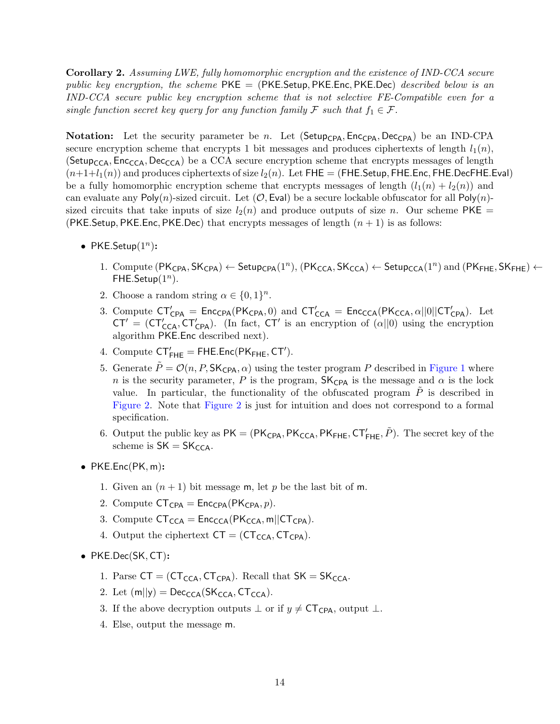Corollary 2. Assuming LWE, fully homomorphic encryption and the existence of IND-CCA secure public key encryption, the scheme  $PKE = (PKE \cdot Setup, PKE \cdot Enc, PKE \cdot Dec)$  described below is an IND-CCA secure public key encryption scheme that is not selective FE-Compatible even for a single function secret key query for any function family F such that  $f_1 \in \mathcal{F}$ .

**Notation:** Let the security parameter be n. Let (Setup<sub>CPA</sub>, Enc<sub>CPA</sub>, Dec<sub>CPA</sub>) be an IND-CPA secure encryption scheme that encrypts 1 bit messages and produces ciphertexts of length  $l_1(n)$ , (Setup<sub>CCA</sub>, Enc<sub>CCA</sub>, Dec<sub>CCA</sub>) be a CCA secure encryption scheme that encrypts messages of length  $(n+1+l_1(n))$  and produces ciphertexts of size  $l_2(n)$ . Let FHE = (FHE.Setup, FHE.Enc, FHE.DecFHE.Eval) be a fully homomorphic encryption scheme that encrypts messages of length  $(l_1(n) + l_2(n))$  and can evaluate any  $Poly(n)$ -sized circuit. Let  $(\mathcal{O}, \text{Eval})$  be a secure lockable obfuscator for all  $Poly(n)$ sized circuits that take inputs of size  $l_2(n)$  and produce outputs of size n. Our scheme PKE = (PKE. Setup, PKE. Enc, PKE. Dec) that encrypts messages of length  $(n + 1)$  is as follows:

- PKE.Setup $(1^n)$ :
	- 1. Compute  $(\mathsf{PK}_{\mathsf{CPA}},\mathsf{SK}_{\mathsf{CPA}}) \leftarrow \mathsf{Setup}_{\mathsf{CPA}}(1^n), (\mathsf{PK}_{\mathsf{CCA}},\mathsf{SK}_{\mathsf{CCA}}) \leftarrow \mathsf{Setup}_{\mathsf{CCA}}(1^n)$  and  $(\mathsf{PK}_{\mathsf{FHE}},\mathsf{SK}_{\mathsf{FHE}}) \leftarrow$ FHE.Setup $(1^n)$ .
	- 2. Choose a random string  $\alpha \in \{0,1\}^n$ .
	- 3. Compute  $CT'_{CPA}$  =  $Enc_{CPA}(PK_{CPA}, 0)$  and  $CT'_{CCA}$  =  $Enc_{CCA}(PK_{CCA}, \alpha||0||CT'_{CPA})$ . Let  $CT' = (CT'_{CCA}, CT'_{CPA})$ . (In fact,  $CT'$  is an encryption of  $(\alpha||0)$  using the encryption algorithm PKE.Enc described next).
	- 4. Compute  $\mathsf{CT}'_{\mathsf{FHE}} = \mathsf{FHE}.\mathsf{Enc}(\mathsf{PK}_{\mathsf{FHE}},\mathsf{CT}')$ .
	- 5. Generate  $\tilde{P} = \mathcal{O}(n, P, \mathsf{SK}_{\mathsf{CPA}}, \alpha)$  using the tester program P described in [Figure 1](#page-14-1) where n is the security parameter, P is the program,  $SK_{CPA}$  is the message and  $\alpha$  is the lock value. In particular, the functionality of the obfuscated program  $\ddot{P}$  is described in [Figure 2.](#page-14-2) Note that [Figure 2](#page-14-2) is just for intuition and does not correspond to a formal specification.
	- 6. Output the public key as  $PK = (PK_{CPA}, PK_{CCA}, PK_{FHE}, CT'_{FHE}, \tilde{P})$ . The secret key of the scheme is  $SK = SK_{CCA}$ .
- PKE.Enc(PK, m):
	- 1. Given an  $(n + 1)$  bit message m, let p be the last bit of m.
	- 2. Compute  $CT_{CPA} = Enc_{CPA}(PK_{CPA}, p)$ .
	- 3. Compute  $CT_{CCA} = Enc_{CCA} (PK_{CCA}, m||CT_{CPA}).$
	- 4. Output the ciphertext  $CT = (CT_{CCA}, CT_{CPA}).$
- PKE.Dec(SK, CT):
	- 1. Parse  $CT = (CT_{CCA}, CT_{CPA})$ . Recall that  $SK = SK_{CCA}$ .
	- 2. Let  $(m||y) = Dec_{\text{CCA}}(SK_{\text{CCA}},\text{CT}_{\text{CCA}})$ .
	- 3. If the above decryption outputs  $\perp$  or if  $y \neq$  CT<sub>CPA</sub>, output  $\perp$ .
	- 4. Else, output the message m.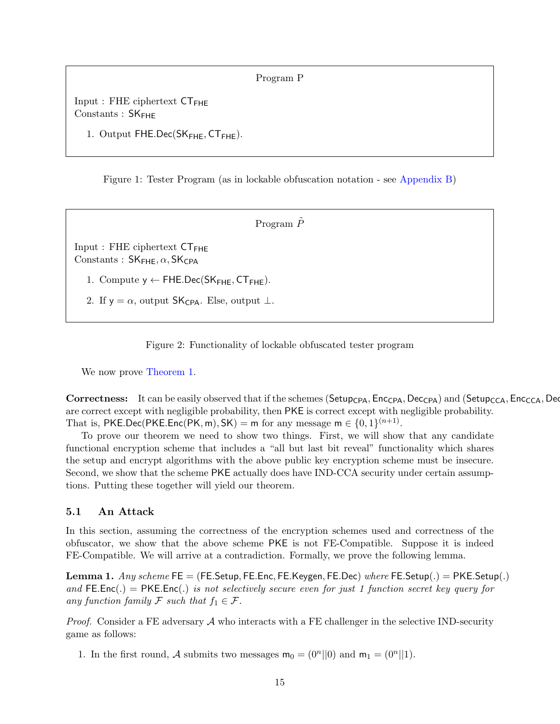Program P

<span id="page-14-1"></span> $Input: FHE ciphertext CT_{FHE}$ Constants : SK<sub>FHE</sub>

1. Output  $FHE.Dec(SK_{FHE}, CT_{FHE}).$ 

Figure 1: Tester Program (as in lockable obfuscation notation - see [Appendix B\)](#page-37-3)

Program  $\tilde{P}$ 

<span id="page-14-2"></span> $Input: FHE ciphertext CT_{FHE}$ Constants :  $SK_{\text{FHE}}, \alpha, SK_{\text{CPA}}$ 

1. Compute  $y \leftarrow$  FHE.Dec(SK<sub>FHE</sub>, CT<sub>FHE</sub>).

2. If y =  $\alpha$ , output SK<sub>CPA</sub>. Else, output  $\perp$ .

Figure 2: Functionality of lockable obfuscated tester program

We now prove [Theorem 1.](#page-12-2)

**Correctness:** It can be easily observed that if the schemes ( $Setupp_{CPA}$ ,  $Enc_{CPA}$ ,  $Dec_{CPA}$ ) and ( $Setupp_{CCA}$ ,  $Enc_{CCA}$ ,  $Dec_{CA}$ ) are correct except with negligible probability, then PKE is correct except with negligible probability. That is, PKE.Dec(PKE.Enc(PK, m), SK) = m for any message  $m \in \{0,1\}^{(n+1)}$ .

To prove our theorem we need to show two things. First, we will show that any candidate functional encryption scheme that includes a "all but last bit reveal" functionality which shares the setup and encrypt algorithms with the above public key encryption scheme must be insecure. Second, we show that the scheme PKE actually does have IND-CCA security under certain assumptions. Putting these together will yield our theorem.

## <span id="page-14-0"></span>5.1 An Attack

In this section, assuming the correctness of the encryption schemes used and correctness of the obfuscator, we show that the above scheme PKE is not FE-Compatible. Suppose it is indeed FE-Compatible. We will arrive at a contradiction. Formally, we prove the following lemma.

**Lemma 1.** Any scheme FE = (FE.Setup, FE.Enc, FE.Keygen, FE.Dec) where FE.Setup(.) = PKE.Setup(.) and FE.Enc(.) = PKE.Enc(.) is not selectively secure even for just 1 function secret key query for any function family F such that  $f_1 \in \mathcal{F}$ .

*Proof.* Consider a FE adversary  $\mathcal A$  who interacts with a FE challenger in the selective IND-security game as follows:

1. In the first round, A submits two messages  $m_0 = (0^n||0)$  and  $m_1 = (0^n||1)$ .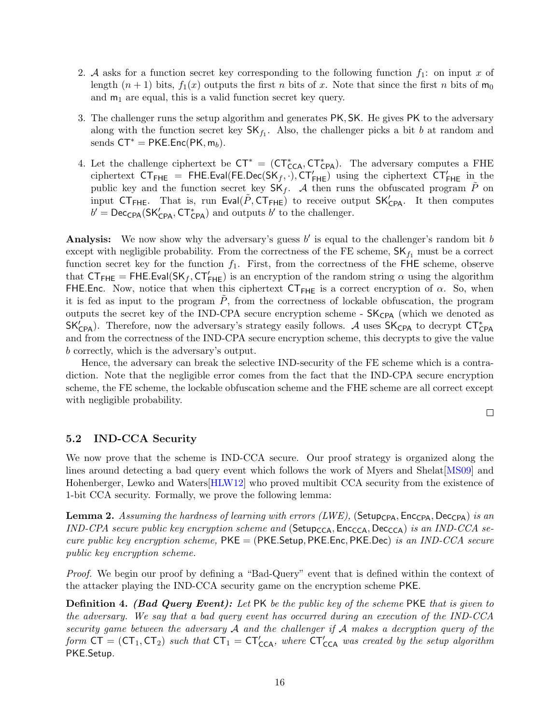- 2. A asks for a function secret key corresponding to the following function  $f_1$ : on input x of length  $(n + 1)$  bits,  $f_1(x)$  outputs the first n bits of x. Note that since the first n bits of  $m_0$ and  $m_1$  are equal, this is a valid function secret key query.
- 3. The challenger runs the setup algorithm and generates PK, SK. He gives PK to the adversary along with the function secret key  $SK_{f_1}$ . Also, the challenger picks a bit b at random and sends  $CT^* = PKE.Enc(PK, m_b)$ .
- 4. Let the challenge ciphertext be  $CT^* = (CT^*_{CCA}, CT^*_{CPA})$ . The adversary computes a FHE ciphertext  $CT_{\text{FHE}}$  = FHE.Eval(FE.Dec(SK<sub>f</sub>, .),  $CT'_{\text{FHE}}$ ) using the ciphertext  $CT'_{\text{FHE}}$  in the public key and the function secret key  $SK_f$ . A then runs the obfuscated program  $\tilde{P}$  on input  $CT_{FHE}$ . That is, run Eval $(\tilde{P}, CT_{FHE})$  to receive output  $SK'_{CPA}$ . It then computes  $b' = \mathsf{Dec}_{\mathsf{CPA}}(\mathsf{SK}_{\mathsf{CPA}}', \mathsf{CT}^*_{\mathsf{CPA}})$  and outputs  $b'$  to the challenger.

Analysis: We now show why the adversary's guess  $b'$  is equal to the challenger's random bit  $b$ except with negligible probability. From the correctness of the FE scheme,  $SK_{f_1}$  must be a correct function secret key for the function  $f_1$ . First, from the correctness of the FHE scheme, observe that  $CT_{FHE} = FHE.Eval(SK_f, CT'_{FHE})$  is an encryption of the random string  $\alpha$  using the algorithm FHE.Enc. Now, notice that when this ciphertext  $CT_{FHE}$  is a correct encryption of  $\alpha$ . So, when it is fed as input to the program  $P$ , from the correctness of lockable obfuscation, the program outputs the secret key of the IND-CPA secure encryption scheme -  $SK<sub>CPA</sub>$  (which we denoted as  $SK'_{CPA}$ ). Therefore, now the adversary's strategy easily follows. A uses  $SK_{CPA}$  to decrypt  $CT^*_{CPA}$ and from the correctness of the IND-CPA secure encryption scheme, this decrypts to give the value b correctly, which is the adversary's output.

Hence, the adversary can break the selective IND-security of the FE scheme which is a contradiction. Note that the negligible error comes from the fact that the IND-CPA secure encryption scheme, the FE scheme, the lockable obfuscation scheme and the FHE scheme are all correct except with negligible probability.

 $\Box$ 

### <span id="page-15-0"></span>5.2 IND-CCA Security

We now prove that the scheme is IND-CCA secure. Our proof strategy is organized along the lines around detecting a bad query event which follows the work of Myers and Shelat[\[MS09\]](#page-36-6) and Hohenberger, Lewko and Waters<sup>[\[HLW12\]](#page-36-7)</sup> who proved multibit CCA security from the existence of 1-bit CCA security. Formally, we prove the following lemma:

**Lemma 2.** Assuming the hardness of learning with errors (LWE), (Setup<sub>CPA</sub>, Enc<sub>CPA</sub>, Dec<sub>CPA</sub>) is an IND-CPA secure public key encryption scheme and ( $\mathsf{Setup_{CCA}}, \mathsf{Enc_{CCA}}, \mathsf{Dec_{CA}})$  is an IND-CCA secure public key encryption scheme,  $PKE = (PKE. Setup, PKE. Enc, PKE. Dec)$  is an IND-CCA secure public key encryption scheme.

Proof. We begin our proof by defining a "Bad-Query" event that is defined within the context of the attacker playing the IND-CCA security game on the encryption scheme PKE.

**Definition 4.** (Bad Query Event): Let PK be the public key of the scheme PKE that is given to the adversary. We say that a bad query event has occurred during an execution of the IND-CCA security game between the adversary A and the challenger if A makes a decryption query of the form  $CT = (CT_1, CT_2)$  such that  $CT_1 = CT'_{CCA}$ , where  $CT'_{CCA}$  was created by the setup algorithm PKE.Setup.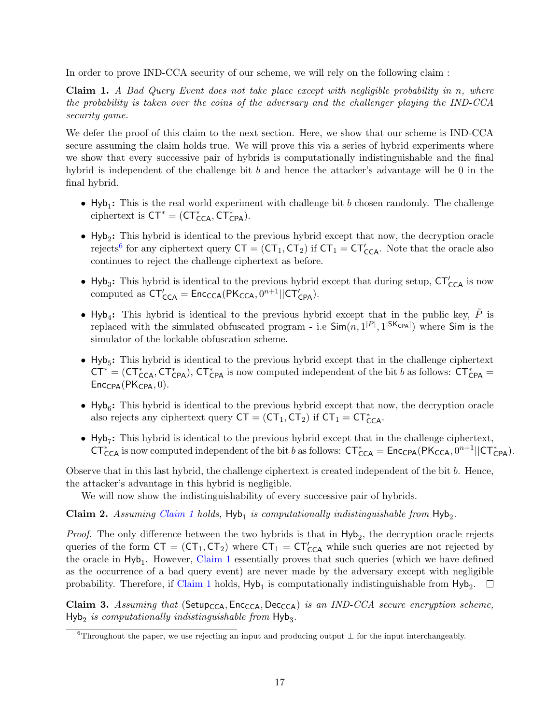In order to prove IND-CCA security of our scheme, we will rely on the following claim :

<span id="page-16-0"></span>Claim 1. A Bad Query Event does not take place except with negligible probability in n, where the probability is taken over the coins of the adversary and the challenger playing the IND-CCA security game.

We defer the proof of this claim to the next section. Here, we show that our scheme is IND-CCA secure assuming the claim holds true. We will prove this via a series of hybrid experiments where we show that every successive pair of hybrids is computationally indistinguishable and the final hybrid is independent of the challenge bit  $b$  and hence the attacker's advantage will be 0 in the final hybrid.

- $Hyb_1$ : This is the real world experiment with challenge bit b chosen randomly. The challenge ciphertext is  $CT^* = (CT^*_{CCA}, CT^*_{CPA}).$
- Hyb<sub>2</sub>: This hybrid is identical to the previous hybrid except that now, the decryption oracle rejects<sup>[6](#page-16-1)</sup> for any ciphertext query  $CT = (CT_1, CT_2)$  if  $CT_1 = CT'_{CCA}$ . Note that the oracle also continues to reject the challenge ciphertext as before.
- Hyb<sub>3</sub>: This hybrid is identical to the previous hybrid except that during setup,  $CT'_{CCA}$  is now computed as  $CT'_{CCA} = \text{Enc}_{CCA}(PK_{CCA}, 0^{n+1}||CT'_{CPA}).$
- Hyb<sub>4</sub>: This hybrid is identical to the previous hybrid except that in the public key,  $\tilde{P}$  is replaced with the simulated obfuscated program - i.e  $\textsf{Sim}(n, 1^{|P|}, 1^{|SK_{CPA}|})$  where  $\textsf{Sim}$  is the simulator of the lockable obfuscation scheme.
- $Hyb_5$ : This hybrid is identical to the previous hybrid except that in the challenge ciphertext  $CT^* = (CT^*_{CCA}, CT^*_{CPA}), CT^*_{CPA}$  is now computed independent of the bit b as follows:  $CT^*_{CPA}$  =  $Enc_{CPA}(PK_{CPA}, 0)$ .
- $Hyb_6$ : This hybrid is identical to the previous hybrid except that now, the decryption oracle also rejects any ciphertext query  $CT = (CT_1, CT_2)$  if  $CT_1 = CT^*_{CCA}$ .
- Hyb<sub>7</sub>: This hybrid is identical to the previous hybrid except that in the challenge ciphertext,  $CT^*_{\text{CCA}}$  is now computed independent of the bit b as follows:  $CT^*_{\text{CCA}} = \text{Enc}_{\text{CPA}}(PK_{\text{CCA}}, 0^{n+1}||CT^*_{\text{CPA}})$ .

Observe that in this last hybrid, the challenge ciphertext is created independent of the bit b. Hence, the attacker's advantage in this hybrid is negligible.

We will now show the indistinguishability of every successive pair of hybrids.

Claim 2. Assuming [Claim 1](#page-16-0) holds,  $Hyb<sub>1</sub>$  is computationally indistinguishable from  $Hyb<sub>2</sub>$ .

*Proof.* The only difference between the two hybrids is that in  $Hyb_2$ , the decryption oracle rejects queries of the form  $CT = (CT_1, CT_2)$  where  $CT_1 = CT'_{CCA}$  while such queries are not rejected by the oracle in Hyb<sub>1</sub>. However, [Claim 1](#page-16-0) essentially proves that such queries (which we have defined as the occurrence of a bad query event) are never made by the adversary except with negligible probability. Therefore, if [Claim 1](#page-16-0) holds,  $Hyb<sub>1</sub>$  is computationally indistinguishable from  $Hyb<sub>2</sub>$ .

Claim 3. Assuming that (Setup<sub>CCA</sub>, Enc<sub>CCA</sub>, Dec<sub>CCA</sub>) is an IND-CCA secure encryption scheme,  $Hyb<sub>2</sub>$  is computationally indistinguishable from  $Hyb<sub>3</sub>$ .

<span id="page-16-1"></span> $6$ Throughout the paper, we use rejecting an input and producing output  $\perp$  for the input interchangeably.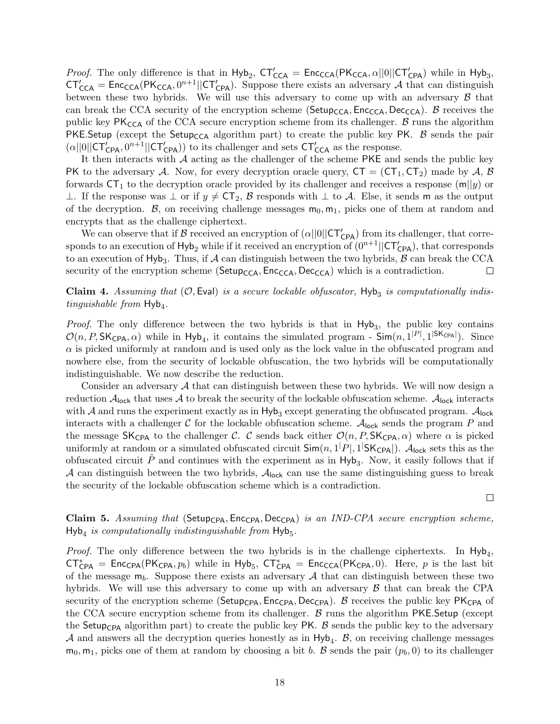*Proof.* The only difference is that in  $Hyb_2$ ,  $CT'_{CCA} = Enc_{CCA}(PK_{CCA}, \alpha||0||CT'_{CPA})$  while in  $Hyb_3$ ,  $CT'_{CCA} = Enc_{CCA}(PK_{CCA}, 0^{n+1}||CT'_{CPA})$ . Suppose there exists an adversary A that can distinguish between these two hybrids. We will use this adversary to come up with an adversary  $\beta$  that can break the CCA security of the encryption scheme ( $\mathsf{Setup_{CCA}}, \mathsf{Enc_{CCA}}, \mathsf{Dec_{CCA}})$ .  $\beta$  receives the public key  $PK_{CCA}$  of the CCA secure encryption scheme from its challenger. B runs the algorithm PKE.Setup (except the Setup<sub>CCA</sub> algorithm part) to create the public key PK. B sends the pair  $(\alpha||0||CT'_{CPA}, 0^{n+1}||CT'_{CPA})$  to its challenger and sets  $CT'_{CCA}$  as the response.

It then interacts with A acting as the challenger of the scheme PKE and sends the public key PK to the adversary A. Now, for every decryption oracle query,  $CT = (CT_1, CT_2)$  made by A, B forwards  $CT_1$  to the decryption oracle provided by its challenger and receives a response  $(m||y)$  or ⊥. If the response was  $\perp$  or if  $y \neq C\mathsf{T}_2$ ,  $\beta$  responds with  $\perp$  to  $\mathcal{A}$ . Else, it sends m as the output of the decryption. B, on receiving challenge messages  $m_0, m_1$ , picks one of them at random and encrypts that as the challenge ciphertext.

We can observe that if  $\beta$  received an encryption of  $(\alpha||0||\mathsf{CT}'_{\mathsf{CPA}})$  from its challenger, that corresponds to an execution of  $Hyb_2$  while if it received an encryption of  $(0^{n+1}||CT'_{CPA})$ , that corresponds to an execution of  $Hyb_3$ . Thus, if A can distinguish between the two hybrids, B can break the CCA security of the encryption scheme ( $\mathsf{Setup_{CCA}}, \mathsf{Enc_{CCA}}, \mathsf{Dec_{CA}})$  which is a contradiction.  $\Box$ 

**Claim 4.** Assuming that  $(0, \text{Eval})$  is a secure lockable obfuscator,  $\text{Hyb}_3$  is computationally indistinguishable from  $Hyb<sub>4</sub>$ .

*Proof.* The only difference between the two hybrids is that in  $Hyb_3$ , the public key contains  $\mathcal{O}(n, P, \mathsf{SK}_{\mathsf{CPA}}, \alpha)$  while in Hyb<sub>4</sub>, it contains the simulated program -  $\mathsf{Sim}(n, 1^{|P|}, 1^{|\mathsf{SK}_{\mathsf{CPA}}|})$ . Since  $\alpha$  is picked uniformly at random and is used only as the lock value in the obfuscated program and nowhere else, from the security of lockable obfuscation, the two hybrids will be computationally indistinguishable. We now describe the reduction.

Consider an adversary  $\mathcal A$  that can distinguish between these two hybrids. We will now design a reduction  $\mathcal{A}_{\text{lock}}$  that uses  $\mathcal A$  to break the security of the lockable obfuscation scheme.  $\mathcal{A}_{\text{lock}}$  interacts with  $A$  and runs the experiment exactly as in  $Hyb_3$  except generating the obfuscated program.  $A_{\text{lock}}$ interacts with a challenger C for the lockable obfuscation scheme.  $A_{\text{lock}}$  sends the program P and the message SK<sub>CPA</sub> to the challenger C. C sends back either  $\mathcal{O}(n, P, \mathsf{SK}_{\mathsf{CPA}}, \alpha)$  where  $\alpha$  is picked uniformly at random or a simulated obfuscated circuit  $\textsf{Sim}(n,1|P|,1|\textsf{SK}_\textsf{CPA}|)$ .  $\mathcal{A}_\textsf{lock}$  sets this as the obfuscated circuit  $\tilde{P}$  and continues with the experiment as in Hyb<sub>3</sub>. Now, it easily follows that if A can distinguish between the two hybrids,  $A_{\text{lock}}$  can use the same distinguishing guess to break the security of the lockable obfuscation scheme which is a contradiction.

 $\Box$ 

<span id="page-17-0"></span>Claim 5. Assuming that (Setup<sub>CPA</sub>, Enc<sub>CPA</sub>) loc<sub>CPA</sub> is an IND-CPA secure encryption scheme,  $Hyb<sub>4</sub>$  is computationally indistinguishable from  $Hyb<sub>5</sub>$ .

*Proof.* The only difference between the two hybrids is in the challenge ciphertexts. In  $Hyb_4$ ,  $CT^*_{CPA}$  = Enc<sub>CPA</sub>(PK<sub>CPA</sub>,  $p_b$ ) while in Hyb<sub>5</sub>,  $CT^*_{CPA}$  = Enc<sub>CCA</sub>(PK<sub>CPA</sub>, 0). Here, p is the last bit of the message  $m_b$ . Suppose there exists an adversary A that can distinguish between these two hybrids. We will use this adversary to come up with an adversary  $\beta$  that can break the CPA security of the encryption scheme (Setup<sub>CPA</sub>, Enc<sub>CPA</sub>, Dec<sub>CPA</sub>). B receives the public key PK<sub>CPA</sub> of the CCA secure encryption scheme from its challenger. B runs the algorithm PKE.Setup (except the Setup<sub>CPA</sub> algorithm part) to create the public key PK. B sends the public key to the adversary  $A$  and answers all the decryption queries honestly as in  $Hyb_4$ .  $B$ , on receiving challenge messages  $m_0, m_1$ , picks one of them at random by choosing a bit b. B sends the pair  $(p_b, 0)$  to its challenger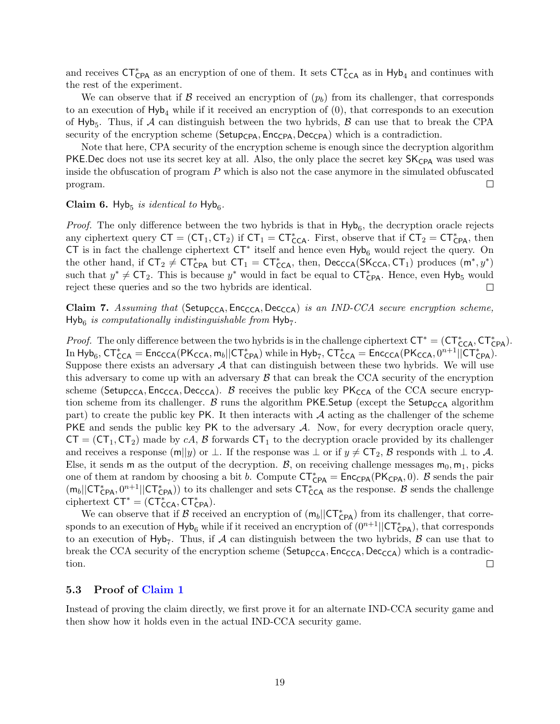and receives  $CT^*_{CPA}$  as an encryption of one of them. It sets  $CT^*_{CCA}$  as in Hyb<sub>4</sub> and continues with the rest of the experiment.

We can observe that if B received an encryption of  $(p_b)$  from its challenger, that corresponds to an execution of  $Hy_{\mu}$  while if it received an encryption of  $(0)$ , that corresponds to an execution of Hyb<sub>5</sub>. Thus, if  $A$  can distinguish between the two hybrids,  $B$  can use that to break the CPA security of the encryption scheme ( $\mathsf{SetupCPA}, \mathsf{Enc_{CPA}}, \mathsf{Dec_{CPA}}$ ) which is a contradiction.

Note that here, CPA security of the encryption scheme is enough since the decryption algorithm PKE.Dec does not use its secret key at all. Also, the only place the secret key SK<sub>CPA</sub> was used was inside the obfuscation of program P which is also not the case anymore in the simulated obfuscated program.  $\Box$ 

## <span id="page-18-1"></span>Claim 6. Hyb<sub>5</sub> is identical to Hyb<sub>6</sub>.

*Proof.* The only difference between the two hybrids is that in  $Hyb_6$ , the decryption oracle rejects any ciphertext query  $CT = (CT_1, CT_2)$  if  $CT_1 = CT_{CCA}^*$ . First, observe that if  $CT_2 = CT_{CPA}^*$ , then CT is in fact the challenge ciphertext  $CT^*$  itself and hence even  $Hyb_6$  would reject the query. On the other hand, if  $CT_2 \neq CT_{CPA}^*$  but  $CT_1 = CT_{CCA}^*$ , then,  $Dec_{CCA}(SK_{CCA}, CT_1)$  produces  $(m^*, y^*)$ such that  $y^* \neq C\mathsf{T}_2$ . This is because  $y^*$  would in fact be equal to  $CT^*_{CPA}$ . Hence, even Hyb<sub>5</sub> would reject these queries and so the two hybrids are identical.  $\Box$ 

Claim 7. Assuming that (Setup<sub>CCA</sub>, Enc<sub>CCA</sub>, Dec<sub>CCA</sub>) is an IND-CCA secure encryption scheme,  $Hyb<sub>6</sub>$  is computationally indistinguishable from  $Hyb<sub>7</sub>$ .

*Proof.* The only difference between the two hybrids is in the challenge ciphertext  $CT^* = (CT^*_{CCA}, CT^*_{CPA})$ . In  $Hyb_6$ ,  $CT^*_{CCA} = \textsf{Enc}_{\textsf{CCA}}(PK_{\textsf{CCA}}, m_b||CT^*_{\textsf{CPA}})$  while in  $Hyb_7$ ,  $CT^*_{\textsf{CCA}} = \textsf{Enc}_{\textsf{CCA}}(PK_{\textsf{CCA}}, 0^{n+1}||CT^*_{\textsf{CPA}})$ . Suppose there exists an adversary  $A$  that can distinguish between these two hybrids. We will use this adversary to come up with an adversary  $\beta$  that can break the CCA security of the encryption scheme (Setup<sub>CCA</sub>, Enc<sub>CCA</sub>, Dec<sub>CCA</sub>). B receives the public key  $PK_{CCA}$  of the CCA secure encryption scheme from its challenger. B runs the algorithm PKE. Setup (except the Setup<sub>CCA</sub> algorithm part) to create the public key PK. It then interacts with  $A$  acting as the challenger of the scheme PKE and sends the public key PK to the adversary A. Now, for every decryption oracle query,  $CT = (CT_1, CT_2)$  made by cA, B forwards  $CT_1$  to the decryption oracle provided by its challenger and receives a response (m||y) or  $\perp$ . If the response was  $\perp$  or if  $y \neq C\mathcal{T}_2$ , B responds with  $\perp$  to A. Else, it sends m as the output of the decryption. B, on receiving challenge messages  $m_0, m_1$ , picks one of them at random by choosing a bit b. Compute  $CT^*_{CPA} = Enc_{CPA}(PK_{CPA}, 0)$ . B sends the pair  $(m_b||CT^*_{CPA}, 0^{n+1}||CT^*_{CPA})$  to its challenger and sets  $CT^*_{CCA}$  as the response. B sends the challenge ciphertext  $CT^* = (CT^*_{CCA}, CT^*_{CPA}).$ 

We can observe that if B received an encryption of  $(m_b||CT^*_{CPA})$  from its challenger, that corresponds to an execution of  $Hyb_6$  while if it received an encryption of  $(0^{n+1}||CT^*_{CPA})$ , that corresponds to an execution of  $Hyb_7$ . Thus, if A can distinguish between the two hybrids, B can use that to break the CCA security of the encryption scheme ( $\mathsf{Setup_{CCA}}, \mathsf{Enc_{CCA}}, \mathsf{Dec_{CA}}$ ) which is a contradiction.  $\Box$ 

### <span id="page-18-0"></span>5.3 Proof of [Claim 1](#page-16-0)

Instead of proving the claim directly, we first prove it for an alternate IND-CCA security game and then show how it holds even in the actual IND-CCA security game.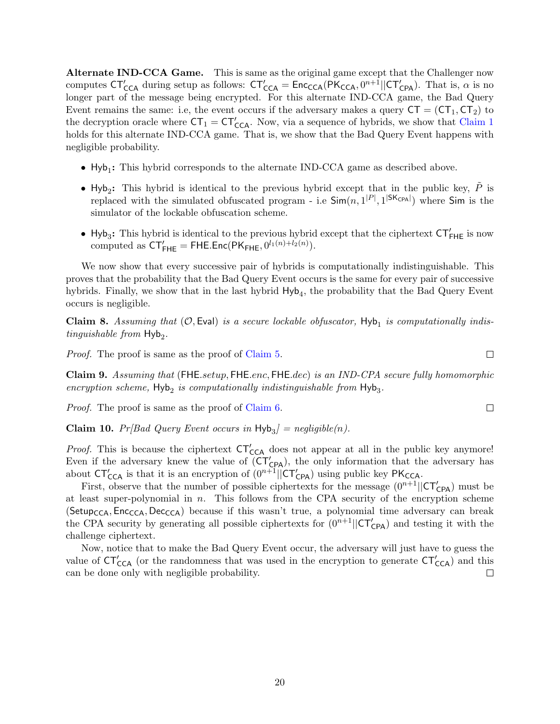Alternate IND-CCA Game. This is same as the original game except that the Challenger now computes  $CT'_{CCA}$  during setup as follows:  $CT'_{CCA} = \text{Enc}_{CCA}(PK_{CCA}, 0^{n+1}||CT'_{CPA})$ . That is,  $\alpha$  is no longer part of the message being encrypted. For this alternate IND-CCA game, the Bad Query Event remains the same: i.e, the event occurs if the adversary makes a query  $CT = (CT_1, CT_2)$  to the decryption oracle where  $CT_1 = CT'_{CCA}$ . Now, via a sequence of hybrids, we show that [Claim 1](#page-16-0) holds for this alternate IND-CCA game. That is, we show that the Bad Query Event happens with negligible probability.

- $\bullet$  Hyb<sub>1</sub>: This hybrid corresponds to the alternate IND-CCA game as described above.
- Hyb<sub>2</sub>: This hybrid is identical to the previous hybrid except that in the public key,  $\tilde{P}$  is replaced with the simulated obfuscated program - i.e  $\textsf{Sim}(n, 1^{|P|}, 1^{|SK_{CPA}|})$  where  $\textsf{Sim}$  is the simulator of the lockable obfuscation scheme.
- Hyb<sub>3</sub>: This hybrid is identical to the previous hybrid except that the ciphertext  $CT'_{FHE}$  is now computed as  $CT'_{\text{FHE}} = \text{FHE}.\text{Enc}(\text{PK}_{\text{FHE}}, 0^{l_1(n)+l_2(n)})$ .

We now show that every successive pair of hybrids is computationally indistinguishable. This proves that the probability that the Bad Query Event occurs is the same for every pair of successive hybrids. Finally, we show that in the last hybrid  $Hyb<sub>4</sub>$ , the probability that the Bad Query Event occurs is negligible.

**Claim 8.** Assuming that  $(0, \text{Eval})$  is a secure lockable obfuscator,  $\text{Hyb}_1$  is computationally indistinguishable from  $Hyb<sub>2</sub>$ .

*Proof.* The proof is same as the proof of [Claim 5.](#page-17-0)

Claim 9. Assuming that (FHE.setup, FHE.enc, FHE.dec) is an IND-CPA secure fully homomorphic encryption scheme,  $Hyb<sub>2</sub>$  is computationally indistinguishable from  $Hyb<sub>3</sub>$ .

*Proof.* The proof is same as the proof of [Claim 6.](#page-18-1)

**Claim 10.**  $Pr[Bad \text{ Query Event occurs in Hyb}_3] = negligible(n)$ .

*Proof.* This is because the ciphertext  $CT'_{CCA}$  does not appear at all in the public key anymore! Even if the adversary knew the value of  $\overline{(CT'_{CPA})}$ , the only information that the adversary has about  $CT'_{CCA}$  is that it is an encryption of  $(0^{n+1}||CT'_{CPA})$  using public key  $PK_{CCA}$ .

First, observe that the number of possible ciphertexts for the message  $(0^{n+1}||\mathsf{CT}_{\mathsf{CPA}}')$  must be at least super-polynomial in  $n$ . This follows from the CPA security of the encryption scheme (Setup<sub>CCA</sub>, Enc<sub>CCA</sub>, Dec<sub>CCA</sub>) because if this wasn't true, a polynomial time adversary can break the CPA security by generating all possible ciphertexts for  $(0^{n+1}||\mathsf{CT}_{\mathsf{CPA}}')$  and testing it with the challenge ciphertext.

Now, notice that to make the Bad Query Event occur, the adversary will just have to guess the value of  $CT'_{CCA}$  (or the randomness that was used in the encryption to generate  $CT'_{CCA}$ ) and this can be done only with negligible probability.  $\Box$ 

 $\Box$ 

 $\Box$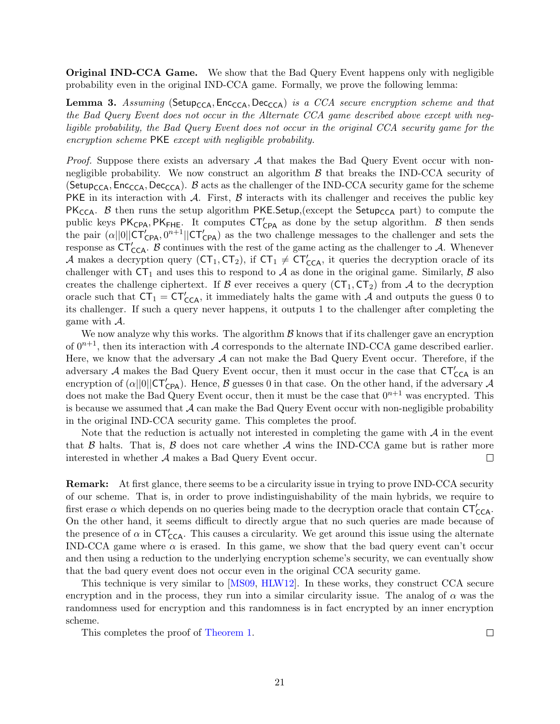**Original IND-CCA Game.** We show that the Bad Query Event happens only with negligible probability even in the original IND-CCA game. Formally, we prove the following lemma:

**Lemma 3.** Assuming (Setup<sub>CCA</sub>, Enc<sub>CCA</sub>, Dec<sub>CCA</sub>) is a CCA secure encryption scheme and that the Bad Query Event does not occur in the Alternate CCA game described above except with negligible probability, the Bad Query Event does not occur in the original CCA security game for the encryption scheme PKE except with negligible probability.

*Proof.* Suppose there exists an adversary  $A$  that makes the Bad Query Event occur with nonnegligible probability. We now construct an algorithm  $\beta$  that breaks the IND-CCA security of (Setup<sub>CCA</sub>, Enc<sub>CCA</sub>, Dec<sub>CCA</sub>). B acts as the challenger of the IND-CCA security game for the scheme PKE in its interaction with A. First,  $\beta$  interacts with its challenger and receives the public key PK<sub>CCA</sub>. B then runs the setup algorithm PKE.Setup, (except the Setup<sub>CCA</sub> part) to compute the public keys  $PK_{CPA}$ ,  $PK_{FHE}$ . It computes  $CT'_{CPA}$  as done by the setup algorithm. B then sends the pair  $(\alpha||0||CT'_{CPA}, 0^{n+1}||CT'_{CPA})$  as the two challenge messages to the challenger and sets the response as  $CT'_{CCA}$ . B continues with the rest of the game acting as the challenger to A. Whenever A makes a decryption query  $(CT_1, CT_2)$ , if  $CT_1 \neq CT'_{CCA}$ , it queries the decryption oracle of its challenger with  $CT_1$  and uses this to respond to A as done in the original game. Similarly, B also creates the challenge ciphertext. If B ever receives a query  $(CT_1, CT_2)$  from A to the decryption oracle such that  $CT_1 = CT'_{CCA}$ , it immediately halts the game with A and outputs the guess 0 to its challenger. If such a query never happens, it outputs 1 to the challenger after completing the game with A.

We now analyze why this works. The algorithm  $\beta$  knows that if its challenger gave an encryption of  $0^{n+1}$ , then its interaction with A corresponds to the alternate IND-CCA game described earlier. Here, we know that the adversary  $A$  can not make the Bad Query Event occur. Therefore, if the adversary A makes the Bad Query Event occur, then it must occur in the case that  $CT'_{CCA}$  is an encryption of  $(\alpha||0||\mathsf{CT}_{\mathsf{CPA}}')$ . Hence,  $\beta$  guesses 0 in that case. On the other hand, if the adversary  $\mathcal A$ does not make the Bad Query Event occur, then it must be the case that  $0^{n+1}$  was encrypted. This is because we assumed that  $A$  can make the Bad Query Event occur with non-negligible probability in the original IND-CCA security game. This completes the proof.

Note that the reduction is actually not interested in completing the game with  $\mathcal A$  in the event that  $\beta$  halts. That is,  $\beta$  does not care whether  $\mathcal A$  wins the IND-CCA game but is rather more interested in whether A makes a Bad Query Event occur.  $\Box$ 

Remark: At first glance, there seems to be a circularity issue in trying to prove IND-CCA security of our scheme. That is, in order to prove indistinguishability of the main hybrids, we require to first erase  $\alpha$  which depends on no queries being made to the decryption oracle that contain  $\text{CT}_{\text{CCA}}'$ . On the other hand, it seems difficult to directly argue that no such queries are made because of the presence of  $\alpha$  in  $CT'_{CCA}$ . This causes a circularity. We get around this issue using the alternate IND-CCA game where  $\alpha$  is erased. In this game, we show that the bad query event can't occur and then using a reduction to the underlying encryption scheme's security, we can eventually show that the bad query event does not occur even in the original CCA security game.

This technique is very similar to [\[MS09,](#page-36-6) [HLW12\]](#page-36-7). In these works, they construct CCA secure encryption and in the process, they run into a similar circularity issue. The analog of  $\alpha$  was the randomness used for encryption and this randomness is in fact encrypted by an inner encryption scheme.

This completes the proof of [Theorem 1.](#page-12-2)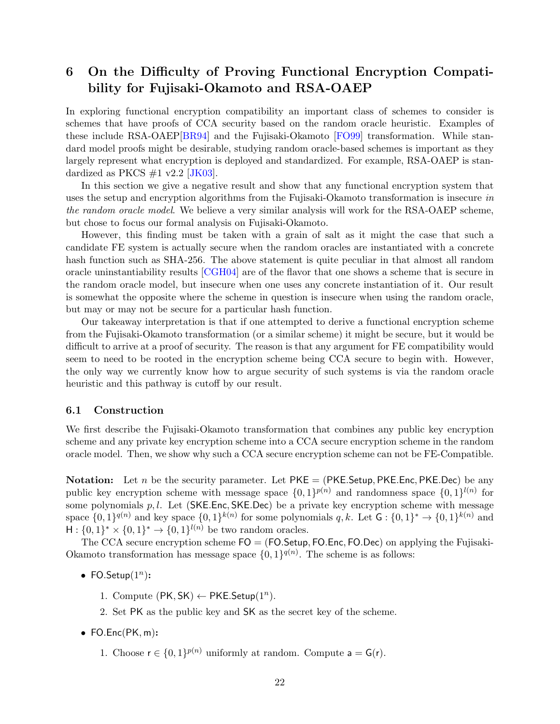## <span id="page-21-0"></span>6 On the Difficulty of Proving Functional Encryption Compatibility for Fujisaki-Okamoto and RSA-OAEP

In exploring functional encryption compatibility an important class of schemes to consider is schemes that have proofs of CCA security based on the random oracle heuristic. Examples of these include RSA-OAEP[\[BR94\]](#page-35-4) and the Fujisaki-Okamoto [\[FO99\]](#page-35-3) transformation. While standard model proofs might be desirable, studying random oracle-based schemes is important as they largely represent what encryption is deployed and standardized. For example, RSA-OAEP is standardized as PKCS  $\#1$  v2.2 [\[JK03\]](#page-36-10).

In this section we give a negative result and show that any functional encryption system that uses the setup and encryption algorithms from the Fujisaki-Okamoto transformation is insecure in the random oracle model. We believe a very similar analysis will work for the RSA-OAEP scheme, but chose to focus our formal analysis on Fujisaki-Okamoto.

However, this finding must be taken with a grain of salt as it might the case that such a candidate FE system is actually secure when the random oracles are instantiated with a concrete hash function such as SHA-256. The above statement is quite peculiar in that almost all random oracle uninstantiability results [\[CGH04\]](#page-35-11) are of the flavor that one shows a scheme that is secure in the random oracle model, but insecure when one uses any concrete instantiation of it. Our result is somewhat the opposite where the scheme in question is insecure when using the random oracle, but may or may not be secure for a particular hash function.

Our takeaway interpretation is that if one attempted to derive a functional encryption scheme from the Fujisaki-Okamoto transformation (or a similar scheme) it might be secure, but it would be difficult to arrive at a proof of security. The reason is that any argument for FE compatibility would seem to need to be rooted in the encryption scheme being CCA secure to begin with. However, the only way we currently know how to argue security of such systems is via the random oracle heuristic and this pathway is cutoff by our result.

#### <span id="page-21-1"></span>6.1 Construction

We first describe the Fujisaki-Okamoto transformation that combines any public key encryption scheme and any private key encryption scheme into a CCA secure encryption scheme in the random oracle model. Then, we show why such a CCA secure encryption scheme can not be FE-Compatible.

**Notation:** Let n be the security parameter. Let  $PKE = (PKE \cdot Setup, PKE \cdot Ene)$  be any public key encryption scheme with message space  $\{0,1\}^{p(n)}$  and randomness space  $\{0,1\}^{l(n)}$  for some polynomials  $p, l$ . Let (SKE.Enc, SKE.Dec) be a private key encryption scheme with message space  $\{0,1\}^{q(n)}$  and key space  $\{0,1\}^{k(n)}$  for some polynomials  $q, k$ . Let  $G: \{0,1\}^* \to \{0,1\}^{k(n)}$  and  $H: \{0,1\}^* \times \{0,1\}^* \to \{0,1\}^{l(n)}$  be two random oracles.

The CCA secure encryption scheme  $FO = (FO.Setup, FO.Enc, FO.Dec)$  on applying the Fujisaki-Okamoto transformation has message space  $\{0,1\}^{q(n)}$ . The scheme is as follows:

- FO.Setup $(1^n)$ :
	- 1. Compute  $(PK, SK) \leftarrow PKE.Setup(1^n)$ .
	- 2. Set PK as the public key and SK as the secret key of the scheme.
- $\bullet$  FO.Enc(PK, m):
	- 1. Choose  $r \in \{0,1\}^{p(n)}$  uniformly at random. Compute  $a = G(r)$ .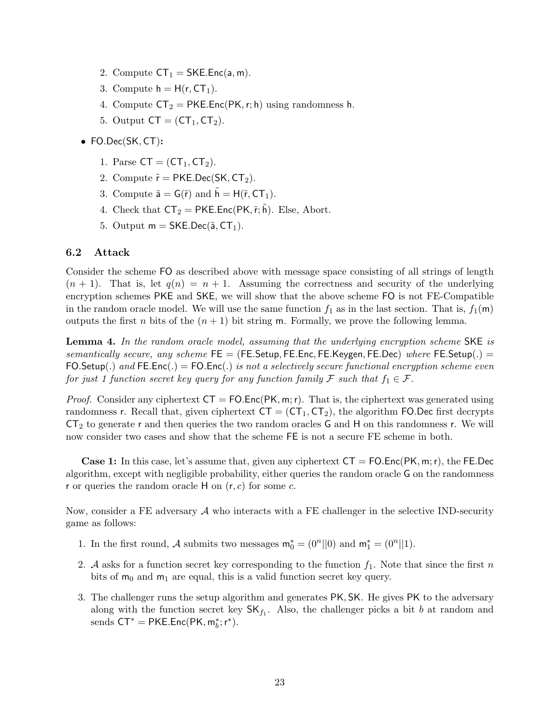- 2. Compute  $CT_1 = SKE.Enc(a, m)$ .
- 3. Compute  $h = H(r, CT_1)$ .
- 4. Compute  $CT_2 = PKE.Enc(PK, r; h)$  using randomness h.
- 5. Output  $CT = (CT_1, CT_2)$ .
- FO.Dec(SK, CT):
	- 1. Parse  $CT = (CT_1, CT_2)$ .
	- 2. Compute  $\tilde{r} = PKE.Dec(SK, CT_2)$ .
	- 3. Compute  $\tilde{\mathsf{a}} = \mathsf{G}(\tilde{r})$  and  $\tilde{\mathsf{h}} = \mathsf{H}(\tilde{r}, \mathsf{CT}_1)$ .
	- 4. Check that  $CT_2 = PKE.Enc(PK, \tilde{r}; \tilde{h})$ . Else, Abort.
	- 5. Output  $m = SKE.Dec(\tilde{a}, CT_1)$ .

#### <span id="page-22-0"></span>6.2 Attack

Consider the scheme FO as described above with message space consisting of all strings of length  $(n + 1)$ . That is, let  $q(n) = n + 1$ . Assuming the correctness and security of the underlying encryption schemes PKE and SKE, we will show that the above scheme FO is not FE-Compatible in the random oracle model. We will use the same function  $f_1$  as in the last section. That is,  $f_1(\mathbf{m})$ outputs the first n bits of the  $(n + 1)$  bit string m. Formally, we prove the following lemma.

Lemma 4. In the random oracle model, assuming that the underlying encryption scheme SKE is semantically secure, any scheme  $FE = (FE. Setup, FE. Enc, FE. Keygen, FE. Dec)$  where  $FE. Setup(.) =$ FO.Setup(.) and FE.Enc(.) = FO.Enc(.) is not a selectively secure functional encryption scheme even for just 1 function secret key query for any function family F such that  $f_1 \in \mathcal{F}$ .

*Proof.* Consider any ciphertext  $CT = FOEnc(PK, m; r)$ . That is, the ciphertext was generated using randomness r. Recall that, given ciphertext  $CT = (CT_1, CT_2)$ , the algorithm FO.Dec first decrypts  $CT_2$  to generate r and then queries the two random oracles G and H on this randomness r. We will now consider two cases and show that the scheme FE is not a secure FE scheme in both.

**Case 1:** In this case, let's assume that, given any ciphertext  $CT = FO.Enc(PK, m; r)$ , the FE.Dec algorithm, except with negligible probability, either queries the random oracle G on the randomness r or queries the random oracle  $H$  on  $(r, c)$  for some c.

Now, consider a FE adversary  $\mathcal A$  who interacts with a FE challenger in the selective IND-security game as follows:

- 1. In the first round, A submits two messages  $\mathbf{m}_0^* = (0^n||0)$  and  $\mathbf{m}_1^* = (0^n||1)$ .
- 2. A asks for a function secret key corresponding to the function  $f_1$ . Note that since the first n bits of  $m_0$  and  $m_1$  are equal, this is a valid function secret key query.
- 3. The challenger runs the setup algorithm and generates PK, SK. He gives PK to the adversary along with the function secret key  $SK_{f_1}$ . Also, the challenger picks a bit b at random and sends  $CT^* = PKE.Enc(PK, m_b^*; r^*).$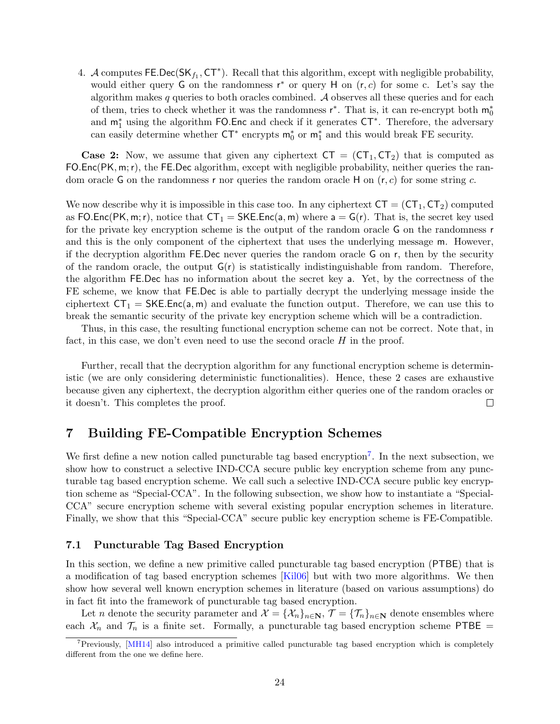4. A computes  $\mathsf{FE}.\mathsf{Dec}(\mathsf{SK}_{f_1},\mathsf{CT}^*)$ . Recall that this algorithm, except with negligible probability, would either query G on the randomness  $r^*$  or query H on  $(r, c)$  for some c. Let's say the algorithm makes  $q$  queries to both oracles combined. A observes all these queries and for each of them, tries to check whether it was the randomness  $r^*$ . That is, it can re-encrypt both  $m_0^*$ and m<sup>∗</sup> <sup>1</sup> using the algorithm FO.Enc and check if it generates CT<sup>∗</sup> . Therefore, the adversary can easily determine whether  $CT^*$  encrypts  $m_0^*$  or  $m_1^*$  and this would break FE security.

**Case 2:** Now, we assume that given any ciphertext  $CT = (CT_1, CT_2)$  that is computed as FO.Enc(PK, m;r), the FE.Dec algorithm, except with negligible probability, neither queries the random oracle G on the randomness r nor queries the random oracle H on  $(r, c)$  for some string c.

We now describe why it is impossible in this case too. In any ciphertext  $CT = (CT_1, CT_2)$  computed as FO.Enc(PK, m; r), notice that  $CT_1 = SKE$ .Enc(a, m) where  $a = G(r)$ . That is, the secret key used for the private key encryption scheme is the output of the random oracle G on the randomness r and this is the only component of the ciphertext that uses the underlying message m. However, if the decryption algorithm FE.Dec never queries the random oracle G on r, then by the security of the random oracle, the output  $G(r)$  is statistically indistinguishable from random. Therefore, the algorithm FE.Dec has no information about the secret key a. Yet, by the correctness of the FE scheme, we know that FE.Dec is able to partially decrypt the underlying message inside the ciphertext  $CT_1 = SKE.Enc(a, m)$  and evaluate the function output. Therefore, we can use this to break the semantic security of the private key encryption scheme which will be a contradiction.

Thus, in this case, the resulting functional encryption scheme can not be correct. Note that, in fact, in this case, we don't even need to use the second oracle  $H$  in the proof.

Further, recall that the decryption algorithm for any functional encryption scheme is deterministic (we are only considering deterministic functionalities). Hence, these 2 cases are exhaustive because given any ciphertext, the decryption algorithm either queries one of the random oracles or it doesn't. This completes the proof.  $\Box$ 

## <span id="page-23-0"></span>7 Building FE-Compatible Encryption Schemes

We first define a new notion called puncturable tag based encryption<sup>[7](#page-23-2)</sup>. In the next subsection, we show how to construct a selective IND-CCA secure public key encryption scheme from any puncturable tag based encryption scheme. We call such a selective IND-CCA secure public key encryption scheme as "Special-CCA". In the following subsection, we show how to instantiate a "Special-CCA" secure encryption scheme with several existing popular encryption schemes in literature. Finally, we show that this "Special-CCA" secure public key encryption scheme is FE-Compatible.

#### <span id="page-23-1"></span>7.1 Puncturable Tag Based Encryption

In this section, we define a new primitive called puncturable tag based encryption (PTBE) that is a modification of tag based encryption schemes [\[Kil06\]](#page-36-11) but with two more algorithms. We then show how several well known encryption schemes in literature (based on various assumptions) do in fact fit into the framework of puncturable tag based encryption.

Let n denote the security parameter and  $\mathcal{X} = {\mathcal{X}_n}_{n \in \mathbb{N}}, \mathcal{T} = {\mathcal{T}_n}_{n \in \mathbb{N}}$  denote ensembles where each  $\mathcal{X}_n$  and  $\mathcal{T}_n$  is a finite set. Formally, a puncturable tag based encryption scheme PTBE =

<span id="page-23-2"></span><sup>&</sup>lt;sup>7</sup>Previously, [\[MH14\]](#page-36-12) also introduced a primitive called puncturable tag based encryption which is completely different from the one we define here.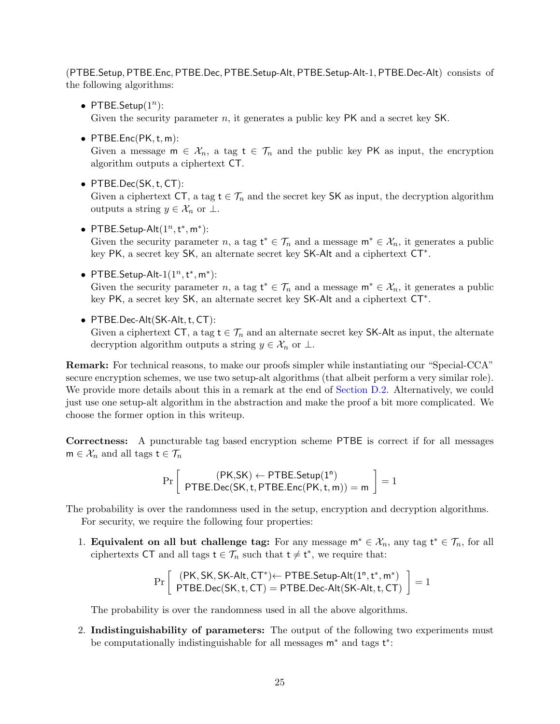(PTBE.Setup, PTBE.Enc, PTBE.Dec, PTBE.Setup-Alt, PTBE.Setup-Alt-1, PTBE.Dec-Alt) consists of the following algorithms:

• PTBE.Setup $(1^n)$ :

Given the security parameter n, it generates a public key PK and a secret key SK.

 $\bullet$  PTBE.Enc(PK, t, m):

Given a message  $m \in \mathcal{X}_n$ , a tag  $t \in \mathcal{T}_n$  and the public key PK as input, the encryption algorithm outputs a ciphertext CT.

- PTBE.Dec(SK,t, CT): Given a ciphertext CT, a tag  $t \in \mathcal{T}_n$  and the secret key SK as input, the decryption algorithm outputs a string  $y \in \mathcal{X}_n$  or  $\perp$ .
- PTBE.Setup-Alt $(1^n, t^*, m^*)$ : Given the security parameter n, a tag  $t^* \in \mathcal{T}_n$  and a message  $m^* \in \mathcal{X}_n$ , it generates a public key PK, a secret key SK, an alternate secret key SK-Alt and a ciphertext CT<sup>∗</sup> .
- PTBE.Setup-Alt- $1(1^n, t^*, m^*)$ : Given the security parameter n, a tag  $t^* \in \mathcal{T}_n$  and a message  $m^* \in \mathcal{X}_n$ , it generates a public key PK, a secret key SK, an alternate secret key SK-Alt and a ciphertext CT<sup>∗</sup> .
- PTBE.Dec-Alt(SK-Alt, t, CT):

Given a ciphertext CT, a tag  $t \in \mathcal{T}_n$  and an alternate secret key SK-Alt as input, the alternate decryption algorithm outputs a string  $y \in \mathcal{X}_n$  or  $\perp$ .

Remark: For technical reasons, to make our proofs simpler while instantiating our "Special-CCA" secure encryption schemes, we use two setup-alt algorithms (that albeit perform a very similar role). We provide more details about this in a remark at the end of [Section D.2.](#page-46-0) Alternatively, we could just use one setup-alt algorithm in the abstraction and make the proof a bit more complicated. We choose the former option in this writeup.

Correctness: A puncturable tag based encryption scheme PTBE is correct if for all messages  $m \in \mathcal{X}_n$  and all tags  $t \in \mathcal{T}_n$ 

$$
\Pr\left[\begin{array}{c}(\mathsf{PK},\mathsf{SK})\leftarrow\mathsf{PTBE}.\mathsf{Setup}(1^n)\\ \mathsf{PTBE}.\mathsf{Dec}(\mathsf{SK},t,\mathsf{PTBE}.\mathsf{Enc}(\mathsf{PK},t,m))=m\end{array}\right]=1
$$

The probability is over the randomness used in the setup, encryption and decryption algorithms.

For security, we require the following four properties:

1. **Equivalent on all but challenge tag:** For any message  $m^* \in \mathcal{X}_n$ , any tag  $t^* \in \mathcal{T}_n$ , for all ciphertexts CT and all tags  $t \in \mathcal{T}_n$  such that  $t \neq t^*$ , we require that:

$$
\Pr\left[\begin{array}{c}(\mathsf{PK},\mathsf{SK},\mathsf{SK}\text{-}\mathsf{Alt},\mathsf{CT}^*)\textcolor{red}{\leftarrow}\mathsf{PTBE}.\mathsf{Setup}\text{-}\mathsf{Alt}(\mathbf{1}^n,t^*,m^*)\\ \mathsf{PTBE}.\mathsf{Dec}(\mathsf{SK},t,\mathsf{CT})=\mathsf{PTBE}.\mathsf{Dec}\text{-}\mathsf{Alt}(\mathsf{SK}\text{-}\mathsf{Alt},t,\mathsf{CT})\end{array}\right]=1
$$

The probability is over the randomness used in all the above algorithms.

2. Indistinguishability of parameters: The output of the following two experiments must be computationally indistinguishable for all messages  $m^*$  and tags t<sup>\*</sup>: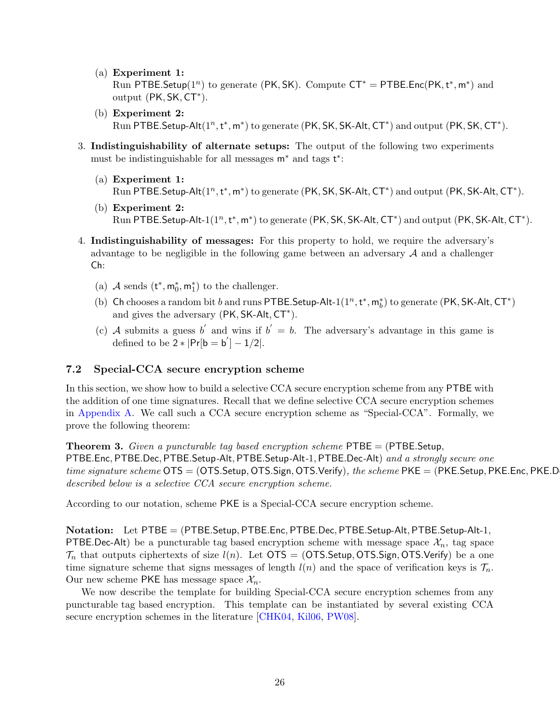- (a) Experiment 1: Run PTBE. Setup( $1^n$ ) to generate (PK, SK). Compute  $CT^* = PTBE$ . Enc(PK,  $t^*$ , m<sup>\*</sup>) and output (PK, SK, CT<sup>\*</sup>).
- (b) Experiment 2: Run PTBE. Setup-Alt $(1^n, t^*, m^*)$  to generate  $(PK, SK, SK-Alt, CT^*)$  and output  $(PK, SK, CT^*)$ .
- 3. Indistinguishability of alternate setups: The output of the following two experiments must be indistinguishable for all messages  $m^*$  and tags  $t^*$ :
	- (a) Experiment 1: Run PTBE. Setup-Alt $(1^n, t^*, m^*)$  to generate (PK, SK, SK-Alt,  $CT^*$ ) and output (PK, SK-Alt,  $CT^*$ ).
	- (b) Experiment 2: Run PTBE. Setup-Alt- $1(1^n, t^*, m^*)$  to generate (PK, SK, SK-Alt,  $CT^*$ ) and output (PK, SK-Alt,  $CT^*$ ).
- 4. Indistinguishability of messages: For this property to hold, we require the adversary's advantage to be negligible in the following game between an adversary  $A$  and a challenger Ch:
	- (a)  $\mathcal A$  sends  $(\mathsf{t}^*,\mathsf{m}_0^*,\mathsf{m}_1^*)$  to the challenger.
	- (b) Ch chooses a random bit  $b$  and runs PTBE. Setup-Alt- $1(1^n, t^*, m_b^*)$  to generate  $(\textsf{PK}, \textsf{SK-Alt}, \textsf{CT}^*)$ and gives the adversary (PK, SK-Alt, CT<sup>\*</sup>).
	- (c) A submits a guess b' and wins if  $b' = b$ . The adversary's advantage in this game is defined to be  $2 * |Pr[b = b'] - 1/2|$ .

## <span id="page-25-0"></span>7.2 Special-CCA secure encryption scheme

In this section, we show how to build a selective CCA secure encryption scheme from any PTBE with the addition of one time signatures. Recall that we define selective CCA secure encryption schemes in [Appendix A.](#page-37-0) We call such a CCA secure encryption scheme as "Special-CCA". Formally, we prove the following theorem:

**Theorem 3.** Given a puncturable tag based encryption scheme  $P\text{TBE} = (P\text{TBE}.\text{Setup})$ PTBE.Enc, PTBE.Dec, PTBE.Setup-Alt, PTBE.Setup-Alt-1, PTBE.Dec-Alt) and a strongly secure one *time signature scheme*  $\overline{OTS} = (OTS.Setup, OTS.Sign, OTS.Verify)$ , the scheme  $PKE = (PKE.Setup, PKE.Enc, PKE.D$ described below is a selective CCA secure encryption scheme.

According to our notation, scheme PKE is a Special-CCA secure encryption scheme.

Notation: Let PTBE = (PTBE.Setup, PTBE.Enc, PTBE.Dec, PTBE.Setup-Alt, PTBE.Setup-Alt-1, **PTBE.Dec-Alt**) be a puncturable tag based encryption scheme with message space  $\mathcal{X}_n$ , tag space  $\mathcal{T}_n$  that outputs ciphertexts of size  $l(n)$ . Let OTS = (OTS.Setup, OTS.Sign, OTS.Verify) be a one time signature scheme that signs messages of length  $l(n)$  and the space of verification keys is  $\mathcal{T}_n$ . Our new scheme PKE has message space  $\mathcal{X}_n$ .

We now describe the template for building Special-CCA secure encryption schemes from any puncturable tag based encryption. This template can be instantiated by several existing CCA secure encryption schemes in the literature [\[CHK04,](#page-35-0) [Kil06,](#page-36-11) [PW08\]](#page-36-0).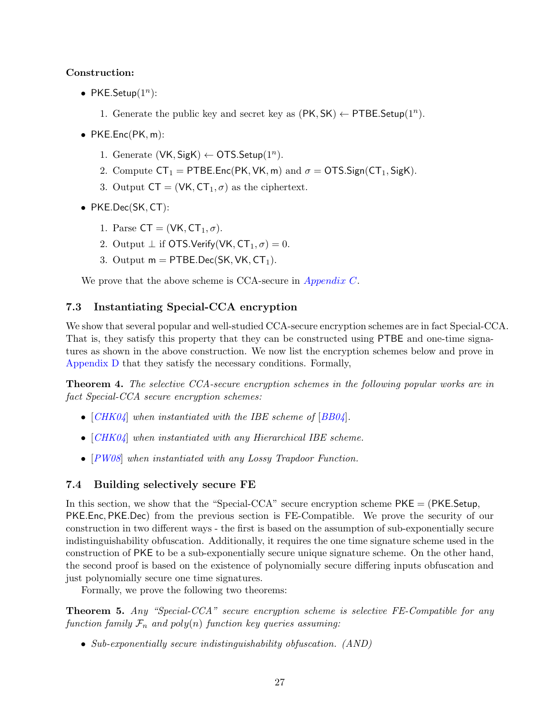## Construction:

- PKE.Setup $(1^n)$ :
	- 1. Generate the public key and secret key as  $(PK, SK) \leftarrow PTBE. Setup(1<sup>n</sup>)$ .
- $PKE.Enc(PK, m)$ :
	- 1. Generate  $(VK, SigK) \leftarrow OTS.Setup(1^n)$ .
	- 2. Compute  $CT_1 = PTBE.Enc(PK, VK, m)$  and  $\sigma = OTS.Sign(CT_1, SigK)$ .
	- 3. Output  $CT = (VK, CT_1, \sigma)$  as the ciphertext.
- PKE.Dec(SK, CT):
	- 1. Parse  $CT = (VK, CT_1, \sigma)$ .
	- 2. Output  $\perp$  if OTS.Verify(VK, CT<sub>1</sub>,  $\sigma$ ) = 0.
	- 3. Output  $m = PTBE.Dec(SK, VK, CT<sub>1</sub>).$

We prove that the above scheme is CCA-secure in *[Appendix C](#page-40-0)*.

## <span id="page-26-0"></span>7.3 Instantiating Special-CCA encryption

We show that several popular and well-studied CCA-secure encryption schemes are in fact Special-CCA. That is, they satisfy this property that they can be constructed using PTBE and one-time signatures as shown in the above construction. We now list the encryption schemes below and prove in [Appendix D](#page-42-0) that they satisfy the necessary conditions. Formally,

**Theorem 4.** The selective CCA-secure encryption schemes in the following popular works are in fact Special-CCA secure encryption schemes:

- $[CHK04]$  $[CHK04]$  $[CHK04]$  when instantiated with the IBE scheme of  $[BB04]$  $[BB04]$  $[BB04]$ .
- [[CHK04](#page-35-0)] when instantiated with any Hierarchical IBE scheme.
- [[PW08](#page-36-0)] when instantiated with any Lossy Trapdoor Function.

## <span id="page-26-1"></span>7.4 Building selectively secure FE

In this section, we show that the "Special-CCA" secure encryption scheme  $PKE = (PKE \cdot Setup)$ . PKE.Enc, PKE.Dec) from the previous section is FE-Compatible. We prove the security of our construction in two different ways - the first is based on the assumption of sub-exponentially secure indistinguishability obfuscation. Additionally, it requires the one time signature scheme used in the construction of PKE to be a sub-exponentially secure unique signature scheme. On the other hand, the second proof is based on the existence of polynomially secure differing inputs obfuscation and just polynomially secure one time signatures.

Formally, we prove the following two theorems:

<span id="page-26-2"></span>Theorem 5. Any "Special-CCA" secure encryption scheme is selective FE-Compatible for any function family  $\mathcal{F}_n$  and poly(n) function key queries assuming:

• Sub-exponentially secure indistinguishability obfuscation. (AND)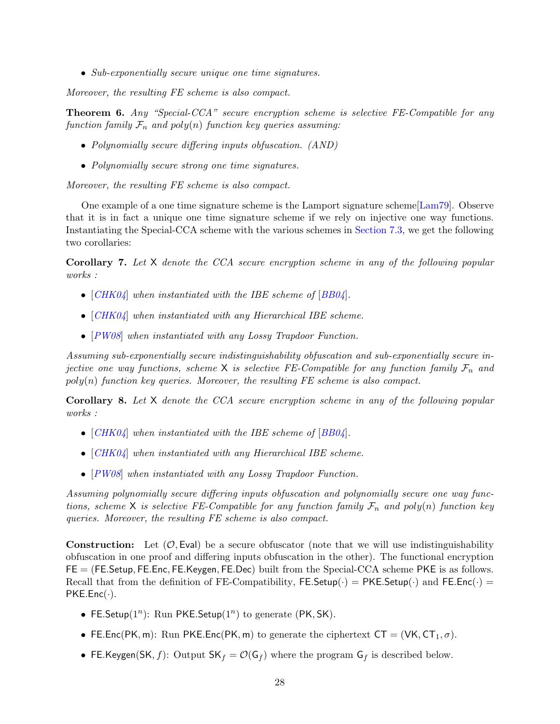• Sub-exponentially secure unique one time signatures.

Moreover, the resulting FE scheme is also compact.

<span id="page-27-0"></span>Theorem 6. Any "Special-CCA" secure encryption scheme is selective FE-Compatible for any function family  $\mathcal{F}_n$  and poly(n) function key queries assuming:

- Polynomially secure differing inputs obfuscation. (AND)
- Polynomially secure strong one time signatures.

Moreover, the resulting FE scheme is also compact.

One example of a one time signature scheme is the Lamport signature scheme[\[Lam79\]](#page-36-13). Observe that it is in fact a unique one time signature scheme if we rely on injective one way functions. Instantiating the Special-CCA scheme with the various schemes in [Section 7.3,](#page-26-0) we get the following two corollaries:

Corollary 7. Let X denote the CCA secure encryption scheme in any of the following popular works :

- $[CHK04]$  $[CHK04]$  $[CHK04]$  when instantiated with the IBE scheme of  $[BB04]$  $[BB04]$  $[BB04]$ .
- [[CHK04](#page-35-0)] when instantiated with any Hierarchical IBE scheme.
- [[PW08](#page-36-0)] when instantiated with any Lossy Trapdoor Function.

Assuming sub-exponentially secure indistinguishability obfuscation and sub-exponentially secure injective one way functions, scheme X is selective FE-Compatible for any function family  $\mathcal{F}_n$  and  $poly(n)$  function key queries. Moreover, the resulting FE scheme is also compact.

Corollary 8. Let X denote the CCA secure encryption scheme in any of the following popular works :

- $[CHK04]$  $[CHK04]$  $[CHK04]$  when instantiated with the IBE scheme of  $[BB04]$  $[BB04]$  $[BB04]$ .
- [[CHK04](#page-35-0)] when instantiated with any Hierarchical IBE scheme.
- [[PW08](#page-36-0)] when instantiated with any Lossy Trapdoor Function.

Assuming polynomially secure differing inputs obfuscation and polynomially secure one way functions, scheme X is selective FE-Compatible for any function family  $\mathcal{F}_n$  and poly(n) function key queries. Moreover, the resulting FE scheme is also compact.

**Construction:** Let  $(\mathcal{O}, \mathsf{Eval})$  be a secure obfuscator (note that we will use indistinguishability obfuscation in one proof and differing inputs obfuscation in the other). The functional encryption FE = (FE.Setup, FE.Enc, FE.Keygen, FE.Dec) built from the Special-CCA scheme PKE is as follows. Recall that from the definition of FE-Compatibility, FE.Setup( $\cdot$ ) = PKE.Setup( $\cdot$ ) and FE.Enc( $\cdot$ ) =  $PKE.Enc(·).$ 

- FE. Setup( $1^n$ ): Run PKE. Setup( $1^n$ ) to generate (PK, SK).
- FE.Enc(PK, m): Run PKE.Enc(PK, m) to generate the ciphertext  $CT = (VK, CT_1, \sigma)$ .
- FE.Keygen(SK, f): Output  $SK_f = \mathcal{O}(G_f)$  where the program  $G_f$  is described below.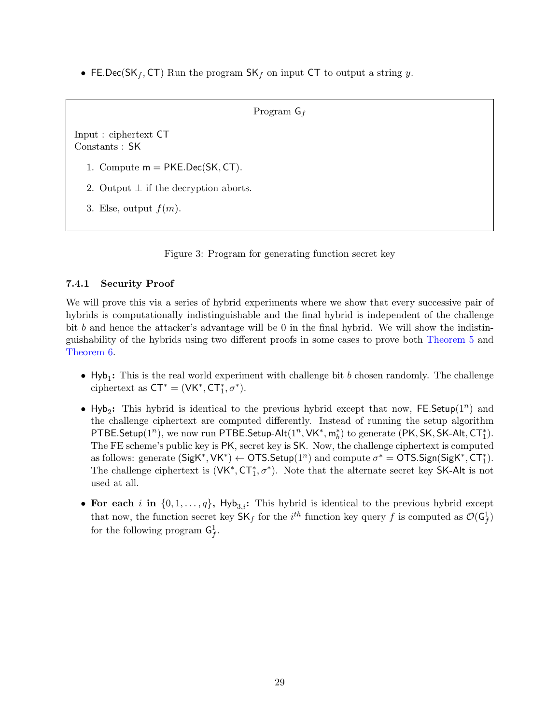<span id="page-28-1"></span>• FE.Dec(SK<sub>f</sub>, CT) Run the program  $SK_f$  on input CT to output a string y.

```
Program G_f
```
Input : ciphertext CT Constants : SK

1. Compute  $m = PKE.Dec(SK, CT)$ .

- 2. Output  $\perp$  if the decryption aborts.
- 3. Else, output  $f(m)$ .

Figure 3: Program for generating function secret key

## <span id="page-28-0"></span>7.4.1 Security Proof

We will prove this via a series of hybrid experiments where we show that every successive pair of hybrids is computationally indistinguishable and the final hybrid is independent of the challenge bit b and hence the attacker's advantage will be 0 in the final hybrid. We will show the indistinguishability of the hybrids using two different proofs in some cases to prove both [Theorem 5](#page-26-2) and [Theorem 6.](#page-27-0)

- $Hyb_1$ : This is the real world experiment with challenge bit b chosen randomly. The challenge ciphertext as  $CT^* = (VK^*, CT_1^*, \sigma^*).$
- Hyb<sub>2</sub>: This hybrid is identical to the previous hybrid except that now, FE.Setup(1<sup>n</sup>) and the challenge ciphertext are computed differently. Instead of running the setup algorithm PTBE.Setup(1<sup>n</sup>), we now run PTBE.Setup-Alt(1<sup>n</sup>, VK<sup>\*</sup>,  $m_b^*$ ) to generate (PK, SK, SK-Alt, CT<sup>\*</sup>). The FE scheme's public key is PK, secret key is SK. Now, the challenge ciphertext is computed as follows: generate  $(SigK^*, VK^*) \leftarrow OTS.Setup(1^n)$  and compute  $\sigma^* = OTS.Sign(SigK^*, CT_1^*)$ . The challenge ciphertext is  $(VK^*, CT_1^*, \sigma^*)$ . Note that the alternate secret key SK-Alt is not used at all.
- For each i in  $\{0, 1, \ldots, q\}$ , Hyb<sub>3,i</sub>: This hybrid is identical to the previous hybrid except that now, the function secret key  $\mathsf{SK}_f$  for the  $i^{th}$  function key query f is computed as  $\mathcal{O}(\mathsf{G}_f^1)$ for the following program  $G_f^1$ .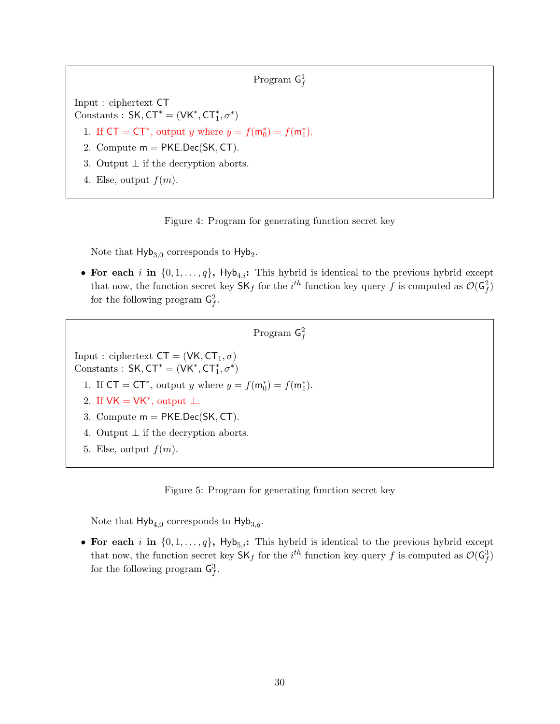```
Program \mathsf{G}^1_f
```
<span id="page-29-0"></span>Input : ciphertext CT Constants :  $SK, CT^* = (VK^*, CT_1^*, \sigma^*)$ 

1. If  $CT = CT^*$ , output y where  $y = f(m_0^*) = f(m_1^*)$ .

- 2. Compute  $m = PKE.Dec(SK, CT)$ .
- 3. Output  $\perp$  if the decryption aborts.
- 4. Else, output  $f(m)$ .



Note that  $Hyb_{3,0}$  corresponds to  $Hyb_2$ .

• For each i in  $\{0, 1, \ldots, q\}$ , Hyb<sub>4,i</sub>: This hybrid is identical to the previous hybrid except that now, the function secret key  $\mathsf{SK}_f$  for the  $i^{th}$  function key query f is computed as  $\mathcal{O}(\mathsf{G}_f^2)$ for the following program  $\mathsf{G}^2_f$ .

```
Program \mathsf{G}^2_f
```
<span id="page-29-1"></span>Input : ciphertext  $CT = (VK, CT_1, \sigma)$ 

Constants :  $SK, CT^* = (VK^*, CT_1^*, \sigma^*)$ 

1. If  $CT = CT^*$ , output y where  $y = f(m_0^*) = f(m_1^*)$ .

- 2. If  $VK = VK^*$ , output  $\perp$ .
- 3. Compute m = PKE.Dec(SK, CT).
- 4. Output  $\perp$  if the decryption aborts.
- 5. Else, output  $f(m)$ .

Figure 5: Program for generating function secret key

Note that  $Hyb_{4,0}$  corresponds to  $Hyb_{3,q}$ .

• For each i in  $\{0, 1, \ldots, q\}$ , Hyb<sub>5,i</sub>: This hybrid is identical to the previous hybrid except that now, the function secret key  $\mathsf{SK}_f$  for the  $i^{th}$  function key query f is computed as  $\mathcal{O}(\mathsf{G}_f^3)$ for the following program  $\mathsf{G}^3_f$ .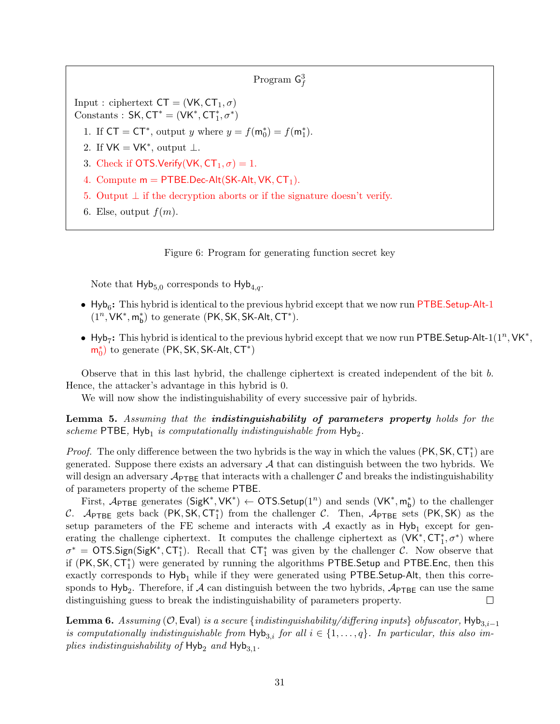Program  $\mathsf{G}^3_f$ 

<span id="page-30-0"></span>Input : ciphertext  $CT = (VK, CT_1, \sigma)$ 

Constants :  $SK, CT^* = (VK^*, CT_1^*, \sigma^*)$ 

- 1. If  $CT = CT^*$ , output y where  $y = f(m_0^*) = f(m_1^*)$ .
- 2. If  $VK = VK^*$ , output  $\perp$ .
- 3. Check if OTS.Verify(VK,  $CT_1, \sigma$ ) = 1.
- 4. Compute  $m = PTBE.Dec-Alt(SK-Alt, VK, CT<sub>1</sub>).$
- 5. Output  $\perp$  if the decryption aborts or if the signature doesn't verify.
- 6. Else, output  $f(m)$ .

Figure 6: Program for generating function secret key

Note that  $Hyb_{5,0}$  corresponds to  $Hyb_{4,q}$ .

- $\bullet$  Hyb<sub>6</sub>: This hybrid is identical to the previous hybrid except that we now run PTBE.Setup-Alt-1  $(1^n, \mathsf{VK}^*, \mathsf{m}^*_\mathsf{b})$  to generate  $(\mathsf{PK}, \mathsf{SK}, \mathsf{SK}\text{-}\mathsf{Alt}, \mathsf{CT}^*).$
- Hyb<sub>7</sub>: This hybrid is identical to the previous hybrid except that we now run PTBE. Setup-Alt-1(1<sup>n</sup>, VK<sup>\*</sup>,  $\mathsf{m}_0^*$ ) to generate (PK, SK, SK-Alt, CT<sup>\*</sup>)

Observe that in this last hybrid, the challenge ciphertext is created independent of the bit b. Hence, the attacker's advantage in this hybrid is 0.

We will now show the indistinguishability of every successive pair of hybrids.

Lemma 5. Assuming that the indistinguishability of parameters property holds for the scheme PTBE,  $Hyb<sub>1</sub>$  is computationally indistinguishable from  $Hyb<sub>2</sub>$ .

*Proof.* The only difference between the two hybrids is the way in which the values ( $PK, SK, CT_1^*$ ) are generated. Suppose there exists an adversary  $A$  that can distinguish between the two hybrids. We will design an adversary  $\mathcal{A}_{\text{PTEE}}$  that interacts with a challenger C and breaks the indistinguishability of parameters property of the scheme PTBE.

First,  $\mathcal{A}_{\text{PTBE}}$  generates  $(\text{SigK}^*, \text{VK}^*) \leftarrow \text{OTS}.\text{Setup}(1^n)$  and sends  $(\text{VK}^*, m_b^*)$  to the challenger C. APTBE gets back  $(PK, SK, CT_1^*)$  from the challenger C. Then, APTBE sets  $(PK, SK)$  as the setup parameters of the FE scheme and interacts with  $A$  exactly as in  $Hyb_1$  except for generating the challenge ciphertext. It computes the challenge ciphertext as  $(VK^*, CT^*_1, \sigma^*)$  where  $\sigma^* = \text{OTS}.Sign(SigK^*, CT_1^*)$ . Recall that  $CT_1^*$  was given by the challenger C. Now observe that if (PK, SK, CT<sup>\*</sup><sub>1</sub>) were generated by running the algorithms PTBE.Setup and PTBE.Enc, then this exactly corresponds to  $Hyb_1$  while if they were generated using PTBE. Setup-Alt, then this corresponds to  $Hyb_2$ . Therefore, if A can distinguish between the two hybrids,  $A_{\text{PTBE}}$  can use the same distinguishing guess to break the indistinguishability of parameters property.  $\Box$ 

Lemma 6. Assuming ( $\mathcal{O}$ , Eval) is a secure {indistinguishability/differing inputs} obfuscator, Hyb<sub>3,i−1</sub> is computationally indistinguishable from  $\text{Hyb}_{3,i}$  for all  $i \in \{1, \ldots, q\}$ . In particular, this also implies indistinguishability of  $Hyb_2$  and  $Hyb_{3,1}$ .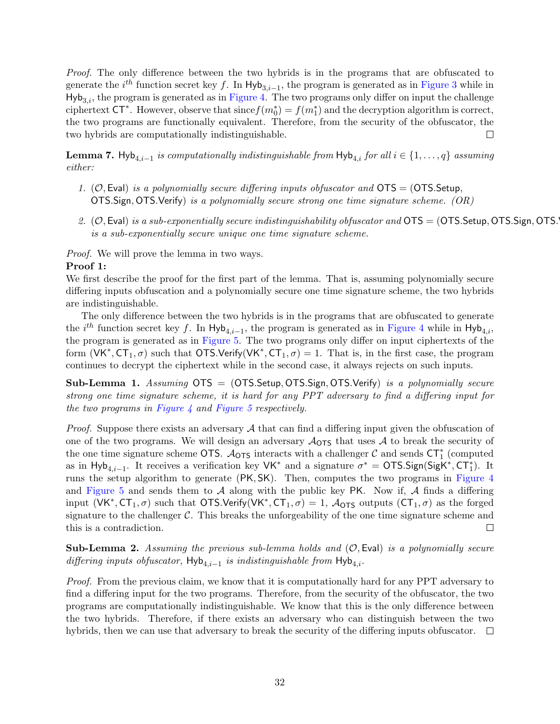Proof. The only difference between the two hybrids is in the programs that are obfuscated to generate the  $i^{th}$  function secret key f. In Hyb<sub>3,i-1</sub>, the program is generated as in [Figure 3](#page-28-1) while in  $Hyb<sub>3,i</sub>$ , the program is generated as in [Figure 4.](#page-29-0) The two programs only differ on input the challenge ciphertext CT<sup>\*</sup>. However, observe that since  $f(m_0^*) = f(m_1^*)$  and the decryption algorithm is correct, the two programs are functionally equivalent. Therefore, from the security of the obfuscator, the two hybrids are computationally indistinguishable.  $\Box$ 

**Lemma 7.** Hyb<sub>4,i−1</sub> is computationally indistinguishable from  $\textsf{Hyb}_{4,i}$  for all  $i \in \{1, ..., q\}$  assuming either:

- 1. (O, Eval) is a polynomially secure differing inputs obfuscator and  $OTS = (OTSSetup,$ OTS.Sign, OTS.Verify) is a polynomially secure strong one time signature scheme.  $(OR)$
- 2.  $(\mathcal{O}, \mathsf{Eval})$  is a sub-exponentially secure indistinguishability obfuscator and  $\mathsf{OTS} = (\mathsf{OTS}.\mathsf{Setup},\mathsf{OTS}.\mathsf{Sign},\mathsf{OTS}$ . is a sub-exponentially secure unique one time signature scheme.

Proof. We will prove the lemma in two ways.

### Proof 1:

We first describe the proof for the first part of the lemma. That is, assuming polynomially secure differing inputs obfuscation and a polynomially secure one time signature scheme, the two hybrids are indistinguishable.

The only difference between the two hybrids is in the programs that are obfuscated to generate the *i*<sup>th</sup> function secret key f. In Hyb<sub>4,i-1</sub>, the program is generated as in [Figure 4](#page-29-0) while in Hyb<sub>4,i</sub>, the program is generated as in [Figure 5.](#page-29-1) The two programs only differ on input ciphertexts of the form  $(\mathsf{VK}^*, \mathsf{CT}_1, \sigma)$  such that  $\mathsf{OTS}.\mathsf{Verify}(\mathsf{VK}^*, \mathsf{CT}_1, \sigma) = 1$ . That is, in the first case, the program continues to decrypt the ciphertext while in the second case, it always rejects on such inputs.

<span id="page-31-0"></span>**Sub-Lemma 1.** Assuming  $OTS = (OTSSetup, OTS.Sign, OTS.Verify)$  is a polynomially secure strong one time signature scheme, it is hard for any PPT adversary to find a differing input for the two programs in [Figure 4](#page-29-0) and [Figure 5](#page-29-1) respectively.

*Proof.* Suppose there exists an adversary  $A$  that can find a differing input given the obfuscation of one of the two programs. We will design an adversary  $A_{\text{OTS}}$  that uses A to break the security of the one time signature scheme OTS.  $\mathcal{A}_{\text{OTS}}$  interacts with a challenger  $\mathcal{C}$  and sends  $\text{CT}_1^*$  (computed as in Hyb<sub>4,*i*-1</sub>. It receives a verification key VK<sup>\*</sup> and a signature  $\sigma^* = \text{OTS}.Sign(SigK^*, CT_1^*)$ . It runs the setup algorithm to generate (PK, SK). Then, computes the two programs in [Figure 4](#page-29-0) and [Figure 5](#page-29-1) and sends them to  $A$  along with the public key PK. Now if,  $A$  finds a differing input  $(VK^*, CT_1, \sigma)$  such that OTS.Verify(VK<sup>\*</sup>, CT<sub>1</sub>,  $\sigma$ ) = 1,  $\mathcal{A}_{OTS}$  outputs (CT<sub>1</sub>,  $\sigma$ ) as the forged signature to the challenger  $\mathcal{C}$ . This breaks the unforgeability of the one time signature scheme and this is a contradiction.  $\Box$ 

**Sub-Lemma 2.** Assuming the previous sub-lemma holds and  $(\mathcal{O}, \mathsf{Eval})$  is a polynomially secure differing inputs obfuscator,  $\mathsf{Hyb}_{4,i-1}$  is indistinguishable from  $\mathsf{Hyb}_{4,i}$ .

Proof. From the previous claim, we know that it is computationally hard for any PPT adversary to find a differing input for the two programs. Therefore, from the security of the obfuscator, the two programs are computationally indistinguishable. We know that this is the only difference between the two hybrids. Therefore, if there exists an adversary who can distinguish between the two hybrids, then we can use that adversary to break the security of the differing inputs obfuscator.  $\Box$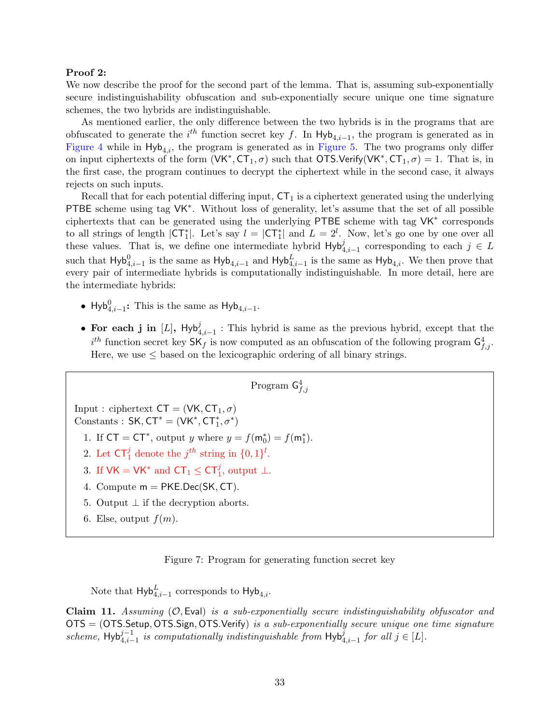#### Proof 2:

We now describe the proof for the second part of the lemma. That is, assuming sub-exponentially secure indistinguishability obfuscation and sub-exponentially secure unique one time signature schemes, the two hybrids are indistinguishable.

As mentioned earlier, the only difference between the two hybrids is in the programs that are obfuscated to generate the  $i^{th}$  function secret key f. In Hyb<sub>4,i-1</sub>, the program is generated as in [Figure 4](#page-29-0) while in  $H_yb_{4,i}$ , the program is generated as in [Figure 5.](#page-29-1) The two programs only differ on input ciphertexts of the form  $(VK^*, CT_1, \sigma)$  such that OTS.Verify(VK<sup>\*</sup>, CT<sub>1</sub>,  $\sigma$ ) = 1. That is, in the first case, the program continues to decrypt the ciphertext while in the second case, it always rejects on such inputs.

Recall that for each potential differing input,  $CT_1$  is a ciphertext generated using the underlying PTBE scheme using tag VK<sup>\*</sup>. Without loss of generality, let's assume that the set of all possible ciphertexts that can be generated using the underlying PTBE scheme with tag VK<sup>∗</sup> corresponds to all strings of length  $|CT_1^*|$ . Let's say  $l = |CT_1^*|$  and  $L = 2^l$ . Now, let's go one by one over all these values. That is, we define one intermediate hybrid  $Hyb_{4,i-1}^j$  corresponding to each  $j \in L$ such that  $Hyb_{4,i-1}^0$  is the same as  $Hyb_{4,i-1}$  and  $Hyb_{4,i-1}^L$  is the same as  $Hyb_{4,i}$ . We then prove that every pair of intermediate hybrids is computationally indistinguishable. In more detail, here are the intermediate hybrids:

- Hyb $_{4,i-1}^0$ : This is the same as Hyb<sub>4,i-1</sub>.
- For each j in [L],  $Hyb_{4,i-1}^j$ : This hybrid is same as the previous hybrid, except that the  $i^{th}$  function secret key  $\mathsf{SK}_f$  is now computed as an obfuscation of the following program  $\mathsf{G}^4_{f,j}$ . Here, we use  $\leq$  based on the lexicographic ordering of all binary strings.

Program  $\mathsf{G}^4_{f,j}$ 

Input : ciphertext  $CT = (VK, CT_1, \sigma)$ Constants :  $SK, CT^* = (VK^*, CT_1^*, \sigma^*)$ 

1. If  $CT = CT^*$ , output y where  $y = f(m_0^*) = f(m_1^*)$ .

- 2. Let  $\mathsf{CT}_1^j$  denote the  $j^{th}$  string in  $\{0,1\}^l$ .
- 3. If  $VK = VK^*$  and  $CT_1 \le CT_1^j$ , output  $\bot$ .
- 4. Compute  $m = PKE.Dec(SK, CT)$ .
- 5. Output  $\perp$  if the decryption aborts.
- 6. Else, output  $f(m)$ .



Note that  $\mathsf{Hyb}^L_{4,i-1}$  corresponds to  $\mathsf{Hyb}_{4,i}$ .

Claim 11. Assuming  $(\mathcal{O}, \mathsf{Eval})$  is a sub-exponentially secure indistinguishability obfuscator and OTS = (OTS.Setup, OTS.Sign, OTS.Verify) is a sub-exponentially secure unique one time signature scheme, Hyb $i_{4,i-1}^{j-1}$  is computationally indistinguishable from Hyb $i_{4,i-1}^j$  for all  $j \in [L]$ .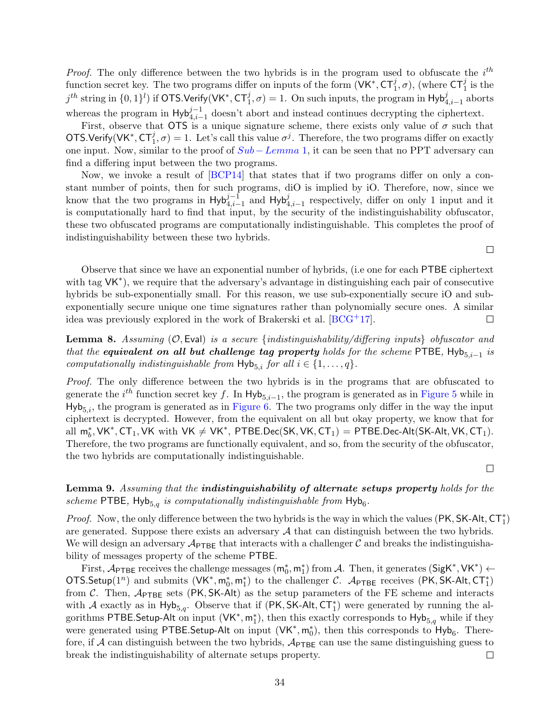*Proof.* The only difference between the two hybrids is in the program used to obfuscate the  $i^{th}$ function secret key. The two programs differ on inputs of the form  $(VK^*, C T_1^j, \sigma)$ , (where  $CT_1^j$  is the  $j^{th}$  string in  $\{0,1\}^l$ ) if OTS.Verify(VK<sup>\*</sup>, CT<sup>j</sup><sub>1</sub>, $\sigma$ ) = 1. On such inputs, the program in Hyb $_{4,i-1}^j$  aborts whereas the program in  $Hyb_{4,i-1}^{j-1}$  doesn't abort and instead continues decrypting the ciphertext.

First, observe that OTS is a unique signature scheme, there exists only value of  $\sigma$  such that OTS.Verify(VK<sup>\*</sup>,  $CT_1^j$ ,  $\sigma$ ) = 1. Let's call this value  $\sigma^j$ . Therefore, the two programs differ on exactly one input. Now, similar to the proof of  $Sub - Lemma 1$  $Sub - Lemma 1$  $Sub - Lemma 1$ , it can be seen that no PPT adversary can find a differing input between the two programs.

Now, we invoke a result of [\[BCP14\]](#page-34-2) that states that if two programs differ on only a constant number of points, then for such programs, diO is implied by iO. Therefore, now, since we know that the two programs in  $Hyb_{4,i-1}^{j-1}$  and  $Hyb_{4,i-1}^j$  respectively, differ on only 1 input and it is computationally hard to find that input, by the security of the indistinguishability obfuscator, these two obfuscated programs are computationally indistinguishable. This completes the proof of indistinguishability between these two hybrids.

Observe that since we have an exponential number of hybrids, (i.e one for each PTBE ciphertext with tag  $VK^*$ ), we require that the adversary's advantage in distinguishing each pair of consecutive hybrids be sub-exponentially small. For this reason, we use sub-exponentially secure iO and subexponentially secure unique one time signatures rather than polynomially secure ones. A similar idea was previously explored in the work of Brakerski et al.  $[BCG^+17]$  $[BCG^+17]$ .  $\Box$ 

**Lemma 8.** Assuming  $(0, \text{Eval})$  is a secure {indistinguishability/differing inputs} obfuscator and that the equivalent on all but challenge tag property holds for the scheme PTBE, Hyb $_{5,i-1}$  is computationally indistinguishable from  $\text{Hyb}_{5,i}$  for all  $i \in \{1, \ldots, q\}$ .

Proof. The only difference between the two hybrids is in the programs that are obfuscated to generate the  $i^{th}$  function secret key f. In  $Hyb_{5,i-1}$ , the program is generated as in [Figure 5](#page-29-1) while in  $Hyb_{5,i}$ , the program is generated as in [Figure 6.](#page-30-0) The two programs only differ in the way the input ciphertext is decrypted. However, from the equivalent on all but okay property, we know that for all  $m_b^*$ , VK\*, CT<sub>1</sub>, VK with VK  $\neq$  VK\*, PTBE.Dec(SK, VK, CT<sub>1</sub>) = PTBE.Dec-Alt(SK-Alt, VK, CT<sub>1</sub>). Therefore, the two programs are functionally equivalent, and so, from the security of the obfuscator, the two hybrids are computationally indistinguishable.

 $\Box$ 

 $\Box$ 

## Lemma 9. Assuming that the *indistinguishability of alternate setups property holds for the* scheme PTBE,  $\mathsf{Hyb}_{5,q}$  is computationally indistinguishable from  $\mathsf{Hyb}_6$ .

*Proof.* Now, the only difference between the two hybrids is the way in which the values (PK, SK-Alt,  $CT_1^*$ ) are generated. Suppose there exists an adversary  $A$  that can distinguish between the two hybrids. We will design an adversary  $\mathcal{A}_{\text{PTE}}$  that interacts with a challenger C and breaks the indistinguishability of messages property of the scheme PTBE.

First,  $\mathcal{A}_{\text{PTBE}}$  receives the challenge messages  $(\mathsf{m}_0^*, \mathsf{m}_1^*)$  from  $\mathcal{A}$ . Then, it generates  $(\mathsf{SigK}^*, \mathsf{VK}^*) \leftarrow$ OTS.Setup(1<sup>n</sup>) and submits  $(VK^*, m_0^*, m_1^*)$  to the challenger C.  $\mathcal{A}_{\text{PTEE}}$  receives (PK, SK-Alt, CT<sub>1</sub>) from C. Then,  $A_{\text{PTBE}}$  sets (PK, SK-Alt) as the setup parameters of the FE scheme and interacts with A exactly as in  $Hyb_{5,q}$ . Observe that if (PK, SK-Alt, CT<sup>\*</sup><sub>1</sub>) were generated by running the algorithms PTBE. Setup-Alt on input  $(VK^*, m_1^*)$ , then this exactly corresponds to  $Hyb_{5,q}$  while if they were generated using PTBE. Setup-Alt on input  $(VK^*, m_0^*)$ , then this corresponds to  $Hyb_6$ . Therefore, if  $A$  can distinguish between the two hybrids,  $A_{\text{PTEE}}$  can use the same distinguishing guess to break the indistinguishability of alternate setups property.  $\Box$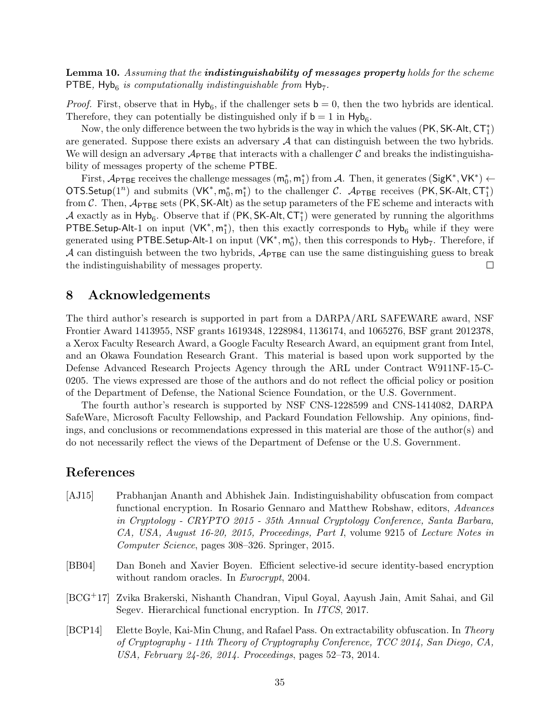Lemma 10. Assuming that the **indistinguishability of messages property** holds for the scheme PTBE,  $Hyb_6$  is computationally indistinguishable from  $Hyb_7$ .

*Proof.* First, observe that in  $Hyb_6$ , if the challenger sets  $b = 0$ , then the two hybrids are identical. Therefore, they can potentially be distinguished only if  $\mathbf{b} = 1$  in  $\mathsf{Hyb}_6$ .

Now, the only difference between the two hybrids is the way in which the values  $(\mathsf{PK}, \mathsf{SK}\text{-}\mathsf{Alt}, \mathsf{CT}^*_1)$ are generated. Suppose there exists an adversary  $A$  that can distinguish between the two hybrids. We will design an adversary  $\mathcal{A}_{\text{PTEE}}$  that interacts with a challenger C and breaks the indistinguishability of messages property of the scheme PTBE.

First,  $\mathcal{A}_{\text{PTBE}}$  receives the challenge messages  $(\mathsf{m}_0^*, \mathsf{m}_1^*)$  from  $\mathcal{A}$ . Then, it generates  $(\mathsf{SigK}^*, \mathsf{VK}^*) \leftarrow$ OTS.Setup(1<sup>n</sup>) and submits  $(VK^*, m_0^*, m_1^*)$  to the challenger C.  $\mathcal{A}_{\text{PTEE}}$  receives (PK, SK-Alt, CT<sub>1</sub>) from C. Then,  $\mathcal{A}_{\text{PTBE}}$  sets (PK, SK-Alt) as the setup parameters of the FE scheme and interacts with A exactly as in  $Hyb_6$ . Observe that if  $(PK, SK-Alt, CT_1^*)$  were generated by running the algorithms PTBE.Setup-Alt-1 on input  $(VK^*, m_1^*)$ , then this exactly corresponds to  $Hyb_6$  while if they were generated using PTBE.Setup-Alt-1 on input  $(VK^*, m_0^*)$ , then this corresponds to Hyb<sub>7</sub>. Therefore, if A can distinguish between the two hybrids,  $\mathcal{A}_{\text{PTBE}}$  can use the same distinguishing guess to break the indistinguishability of messages property.  $\Box$ 

## <span id="page-34-1"></span>8 Acknowledgements

The third author's research is supported in part from a DARPA/ARL SAFEWARE award, NSF Frontier Award 1413955, NSF grants 1619348, 1228984, 1136174, and 1065276, BSF grant 2012378, a Xerox Faculty Research Award, a Google Faculty Research Award, an equipment grant from Intel, and an Okawa Foundation Research Grant. This material is based upon work supported by the Defense Advanced Research Projects Agency through the ARL under Contract W911NF-15-C-0205. The views expressed are those of the authors and do not reflect the official policy or position of the Department of Defense, the National Science Foundation, or the U.S. Government.

The fourth author's research is supported by NSF CNS-1228599 and CNS-1414082, DARPA SafeWare, Microsoft Faculty Fellowship, and Packard Foundation Fellowship. Any opinions, findings, and conclusions or recommendations expressed in this material are those of the author(s) and do not necessarily reflect the views of the Department of Defense or the U.S. Government.

## References

- <span id="page-34-3"></span>[AJ15] Prabhanjan Ananth and Abhishek Jain. Indistinguishability obfuscation from compact functional encryption. In Rosario Gennaro and Matthew Robshaw, editors, Advances in Cryptology - CRYPTO 2015 - 35th Annual Cryptology Conference, Santa Barbara, CA, USA, August 16-20, 2015, Proceedings, Part I, volume 9215 of Lecture Notes in Computer Science, pages 308–326. Springer, 2015.
- <span id="page-34-0"></span>[BB04] Dan Boneh and Xavier Boyen. Efficient selective-id secure identity-based encryption without random oracles. In *Eurocrypt*, 2004.
- <span id="page-34-4"></span>[BCG+17] Zvika Brakerski, Nishanth Chandran, Vipul Goyal, Aayush Jain, Amit Sahai, and Gil Segev. Hierarchical functional encryption. In ITCS, 2017.
- <span id="page-34-2"></span>[BCP14] Elette Boyle, Kai-Min Chung, and Rafael Pass. On extractability obfuscation. In Theory of Cryptography - 11th Theory of Cryptography Conference, TCC 2014, San Diego, CA, USA, February 24-26, 2014. Proceedings, pages 52–73, 2014.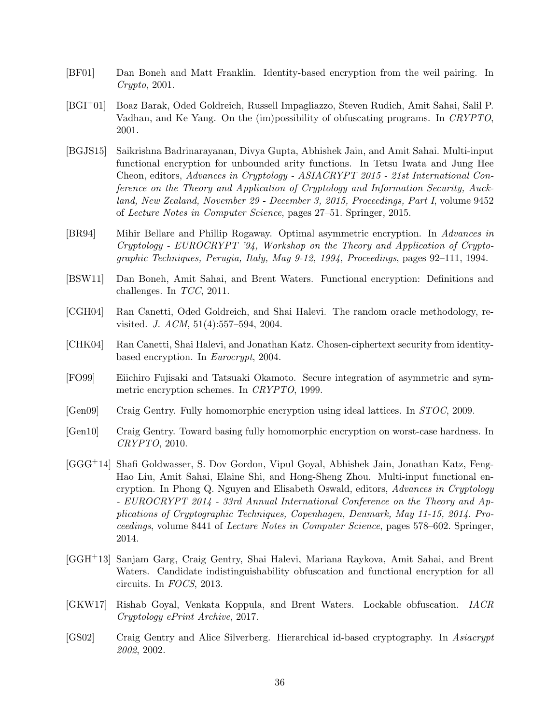- <span id="page-35-12"></span>[BF01] Dan Boneh and Matt Franklin. Identity-based encryption from the weil pairing. In Crypto, 2001.
- <span id="page-35-7"></span>[BGI+01] Boaz Barak, Oded Goldreich, Russell Impagliazzo, Steven Rudich, Amit Sahai, Salil P. Vadhan, and Ke Yang. On the (im)possibility of obfuscating programs. In CRYPTO, 2001.
- <span id="page-35-6"></span>[BGJS15] Saikrishna Badrinarayanan, Divya Gupta, Abhishek Jain, and Amit Sahai. Multi-input functional encryption for unbounded arity functions. In Tetsu Iwata and Jung Hee Cheon, editors, Advances in Cryptology - ASIACRYPT 2015 - 21st International Conference on the Theory and Application of Cryptology and Information Security, Auckland, New Zealand, November 29 - December 3, 2015, Proceedings, Part I, volume 9452 of Lecture Notes in Computer Science, pages 27–51. Springer, 2015.
- <span id="page-35-4"></span>[BR94] Mihir Bellare and Phillip Rogaway. Optimal asymmetric encryption. In Advances in Cryptology - EUROCRYPT '94, Workshop on the Theory and Application of Cryptographic Techniques, Perugia, Italy, May 9-12, 1994, Proceedings, pages 92–111, 1994.
- <span id="page-35-1"></span>[BSW11] Dan Boneh, Amit Sahai, and Brent Waters. Functional encryption: Definitions and challenges. In TCC, 2011.
- <span id="page-35-11"></span>[CGH04] Ran Canetti, Oded Goldreich, and Shai Halevi. The random oracle methodology, revisited. J. ACM, 51(4):557–594, 2004.
- <span id="page-35-0"></span>[CHK04] Ran Canetti, Shai Halevi, and Jonathan Katz. Chosen-ciphertext security from identitybased encryption. In Eurocrypt, 2004.
- <span id="page-35-3"></span>[FO99] Eiichiro Fujisaki and Tatsuaki Okamoto. Secure integration of asymmetric and symmetric encryption schemes. In CRYPTO, 1999.
- <span id="page-35-9"></span>[Gen09] Craig Gentry. Fully homomorphic encryption using ideal lattices. In STOC, 2009.
- <span id="page-35-10"></span>[Gen10] Craig Gentry. Toward basing fully homomorphic encryption on worst-case hardness. In CRYPTO, 2010.
- <span id="page-35-5"></span>[GGG+14] Shafi Goldwasser, S. Dov Gordon, Vipul Goyal, Abhishek Jain, Jonathan Katz, Feng-Hao Liu, Amit Sahai, Elaine Shi, and Hong-Sheng Zhou. Multi-input functional encryption. In Phong Q. Nguyen and Elisabeth Oswald, editors, Advances in Cryptology - EUROCRYPT 2014 - 33rd Annual International Conference on the Theory and Applications of Cryptographic Techniques, Copenhagen, Denmark, May 11-15, 2014. Proceedings, volume 8441 of Lecture Notes in Computer Science, pages 578–602. Springer, 2014.
- <span id="page-35-2"></span>[GGH+13] Sanjam Garg, Craig Gentry, Shai Halevi, Mariana Raykova, Amit Sahai, and Brent Waters. Candidate indistinguishability obfuscation and functional encryption for all circuits. In FOCS, 2013.
- <span id="page-35-8"></span>[GKW17] Rishab Goyal, Venkata Koppula, and Brent Waters. Lockable obfuscation. IACR Cryptology ePrint Archive, 2017.
- <span id="page-35-13"></span>[GS02] Craig Gentry and Alice Silverberg. Hierarchical id-based cryptography. In Asiacrypt 2002, 2002.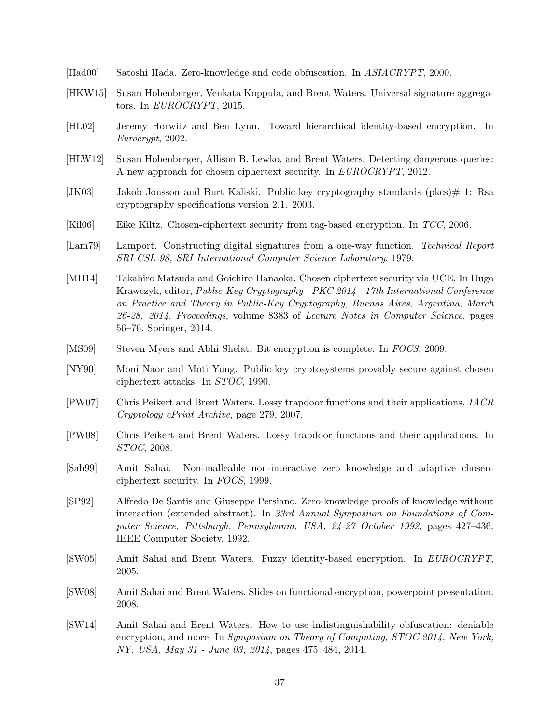- <span id="page-36-3"></span>[Had00] Satoshi Hada. Zero-knowledge and code obfuscation. In ASIACRYPT, 2000.
- <span id="page-36-5"></span>[HKW15] Susan Hohenberger, Venkata Koppula, and Brent Waters. Universal signature aggregators. In EUROCRYPT, 2015.
- <span id="page-36-14"></span>[HL02] Jeremy Horwitz and Ben Lynn. Toward hierarchical identity-based encryption. In Eurocrypt, 2002.
- <span id="page-36-7"></span>[HLW12] Susan Hohenberger, Allison B. Lewko, and Brent Waters. Detecting dangerous queries: A new approach for chosen ciphertext security. In EUROCRYPT, 2012.
- <span id="page-36-10"></span>[JK03] Jakob Jonsson and Burt Kaliski. Public-key cryptography standards (pkcs) $\#$  1: Rsa cryptography specifications version 2.1. 2003.
- <span id="page-36-11"></span>[Kil06] Eike Kiltz. Chosen-ciphertext security from tag-based encryption. In TCC, 2006.
- <span id="page-36-13"></span>[Lam79] Lamport. Constructing digital signatures from a one-way function. Technical Report SRI-CSL-98, SRI International Computer Science Laboratory, 1979.
- <span id="page-36-12"></span>[MH14] Takahiro Matsuda and Goichiro Hanaoka. Chosen ciphertext security via UCE. In Hugo Krawczyk, editor, Public-Key Cryptography - PKC 2014 - 17th International Conference on Practice and Theory in Public-Key Cryptography, Buenos Aires, Argentina, March 26-28, 2014. Proceedings, volume 8383 of Lecture Notes in Computer Science, pages 56–76. Springer, 2014.
- <span id="page-36-6"></span>[MS09] Steven Myers and Abhi Shelat. Bit encryption is complete. In FOCS, 2009.
- <span id="page-36-8"></span>[NY90] Moni Naor and Moti Yung. Public-key cryptosystems provably secure against chosen ciphertext attacks. In STOC, 1990.
- <span id="page-36-15"></span>[PW07] Chris Peikert and Brent Waters. Lossy trapdoor functions and their applications. IACR Cryptology ePrint Archive, page 279, 2007.
- <span id="page-36-0"></span>[PW08] Chris Peikert and Brent Waters. Lossy trapdoor functions and their applications. In STOC, 2008.
- <span id="page-36-9"></span>[Sah99] Amit Sahai. Non-malleable non-interactive zero knowledge and adaptive chosenciphertext security. In FOCS, 1999.
- <span id="page-36-16"></span>[SP92] Alfredo De Santis and Giuseppe Persiano. Zero-knowledge proofs of knowledge without interaction (extended abstract). In 33rd Annual Symposium on Foundations of Computer Science, Pittsburgh, Pennsylvania, USA, 24-27 October 1992, pages 427–436. IEEE Computer Society, 1992.
- <span id="page-36-1"></span>[SW05] Amit Sahai and Brent Waters. Fuzzy identity-based encryption. In EUROCRYPT, 2005.
- <span id="page-36-2"></span>[SW08] Amit Sahai and Brent Waters. Slides on functional encryption, powerpoint presentation. 2008.
- <span id="page-36-4"></span>[SW14] Amit Sahai and Brent Waters. How to use indistinguishability obfuscation: deniable encryption, and more. In Symposium on Theory of Computing, STOC 2014, New York, NY, USA, May 31 - June 03, 2014, pages 475–484, 2014.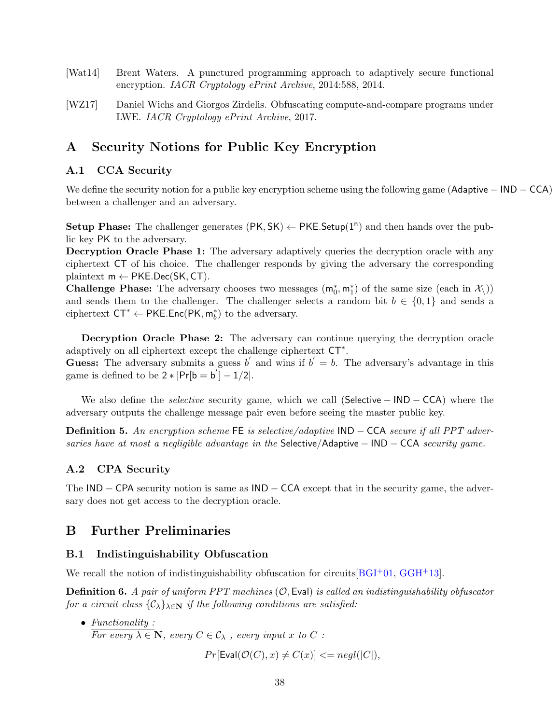- <span id="page-37-6"></span>[Wat14] Brent Waters. A punctured programming approach to adaptively secure functional encryption. IACR Cryptology ePrint Archive, 2014:588, 2014.
- <span id="page-37-5"></span>[WZ17] Daniel Wichs and Giorgos Zirdelis. Obfuscating compute-and-compare programs under LWE. IACR Cryptology ePrint Archive, 2017.

## <span id="page-37-0"></span>A Security Notions for Public Key Encryption

## <span id="page-37-1"></span>A.1 CCA Security

We define the security notion for a public key encryption scheme using the following game (Adaptive − IND − CCA) between a challenger and an adversary.

Setup Phase: The challenger generates  $(\mathsf{PK}, \mathsf{SK}) \leftarrow \mathsf{PKE}$ . Setup $(1^n)$  and then hands over the public key PK to the adversary.

Decryption Oracle Phase 1: The adversary adaptively queries the decryption oracle with any ciphertext CT of his choice. The challenger responds by giving the adversary the corresponding plaintext  $m \leftarrow PKE.Dec(SK, CT)$ .

**Challenge Phase:** The adversary chooses two messages  $(m_0^*, m_1^*)$  of the same size (each in  $\mathcal{X}_\setminus$ )) and sends them to the challenger. The challenger selects a random bit  $b \in \{0,1\}$  and sends a ciphertext  $CT^* \leftarrow \text{PKE}.\text{Enc}(\text{PK}, \text{m}_b^*)$  to the adversary.

Decryption Oracle Phase 2: The adversary can continue querying the decryption oracle adaptively on all ciphertext except the challenge ciphertext CT<sup>∗</sup> .

Guess: The adversary submits a guess b' and wins if  $b' = b$ . The adversary's advantage in this game is defined to be  $2 * |Pr[b = b'] - 1/2|$ .

We also define the *selective* security game, which we call (Selective − IND − CCA) where the adversary outputs the challenge message pair even before seeing the master public key.

**Definition 5.** An encryption scheme FE is selective/adaptive  $IND - CCA$  secure if all PPT adversaries have at most a negligible advantage in the Selective/Adaptive  $-$  IND  $-$  CCA security game.

### <span id="page-37-2"></span>A.2 CPA Security

The IND – CPA security notion is same as IND – CCA except that in the security game, the adversary does not get access to the decryption oracle.

## <span id="page-37-3"></span>B Further Preliminaries

#### <span id="page-37-4"></span>B.1 Indistinguishability Obfuscation

We recall the notion of indistinguishability obfuscation for circuits  $[{\rm BGI^+01, \, GGH^+13}]$  $[{\rm BGI^+01, \, GGH^+13}]$  $[{\rm BGI^+01, \, GGH^+13}]$ .

**Definition 6.** A pair of uniform PPT machines  $(0, \text{Eval})$  is called an indistinguishability obfuscator for a circuit class  $\{\mathcal{C}_\lambda\}_{\lambda \in \mathbb{N}}$  if the following conditions are satisfied:

• Functionality : For every  $\lambda \in \mathbb{N}$ , every  $C \in \mathcal{C}_{\lambda}$ , every input x to C:

$$
Pr[Eval(\mathcal{O}(C), x) \neq C(x)] <= negl(|C|),
$$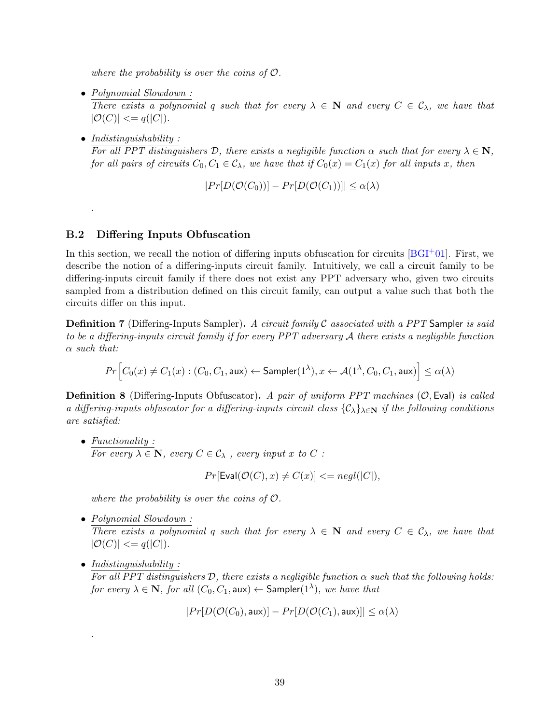where the probability is over the coins of  $\mathcal{O}$ .

- Polynomial Slowdown : There exists a polynomial q such that for every  $\lambda \in \mathbb{N}$  and every  $C \in \mathcal{C}_{\lambda}$ , we have that  $|\mathcal{O}(C)| \leq q(|C|).$
- Indistinguishability:

.

For all PPT distinguishers D, there exists a negligible function  $\alpha$  such that for every  $\lambda \in \mathbb{N}$ , for all pairs of circuits  $C_0, C_1 \in \mathcal{C}_{\lambda}$ , we have that if  $C_0(x) = C_1(x)$  for all inputs x, then

$$
|Pr[D(\mathcal{O}(C_0))] - Pr[D(\mathcal{O}(C_1))]| \leq \alpha(\lambda)
$$

#### <span id="page-38-0"></span>B.2 Differing Inputs Obfuscation

In this section, we recall the notion of differing inputs obfuscation for circuits  $[{\rm B}G I<sup>+</sup>01]$ . First, we describe the notion of a differing-inputs circuit family. Intuitively, we call a circuit family to be differing-inputs circuit family if there does not exist any PPT adversary who, given two circuits sampled from a distribution defined on this circuit family, can output a value such that both the circuits differ on this input.

**Definition 7** (Differing-Inputs Sampler). A circuit family  $\mathcal C$  associated with a PPT Sampler is said to be a differing-inputs circuit family if for every PPT adversary A there exists a negligible function  $\alpha$  such that:

$$
Pr\Big[C_0(x) \neq C_1(x) : (C_0, C_1, \textsf{aux}) \leftarrow \mathsf{Sampler}(1^{\lambda}), x \leftarrow \mathcal{A}(1^{\lambda}, C_0, C_1, \textsf{aux})\Big] \leq \alpha(\lambda)
$$

**Definition 8** (Differing-Inputs Obfuscator). A pair of uniform PPT machines  $(0, \text{Eval})$  is called a differing-inputs obfuscator for a differing-inputs circuit class  $\{\mathcal{C}_\lambda\}_{\lambda\in\mathbf{N}}$  if the following conditions are satisfied:

• Functionality : For every  $\lambda \in \mathbb{N}$ , every  $C \in \mathcal{C}_{\lambda}$ , every input x to C:

 $Pr[Eval(\mathcal{O}(C), x) \neq C(x)] \leq negl(|C|),$ 

where the probability is over the coins of  $\mathcal{O}$ .

• Polynomial Slowdown :

There exists a polynomial q such that for every  $\lambda \in \mathbb{N}$  and every  $C \in \mathcal{C}_{\lambda}$ , we have that  $|\mathcal{O}(C)| \leq q(|C|).$ 

• Indistinguishability:

.

For all PPT distinguishers  $D$ , there exists a negligible function  $\alpha$  such that the following holds: for every  $\lambda \in {\bf N},$  for all  $(C_0,C_1, {\tt aux}) \leftarrow {\sf Sampler}(1^\lambda),$  we have that

$$
|Pr[D(\mathcal{O}(C_0), \mathsf{aux})] - Pr[D(\mathcal{O}(C_1), \mathsf{aux})]| \le \alpha(\lambda)
$$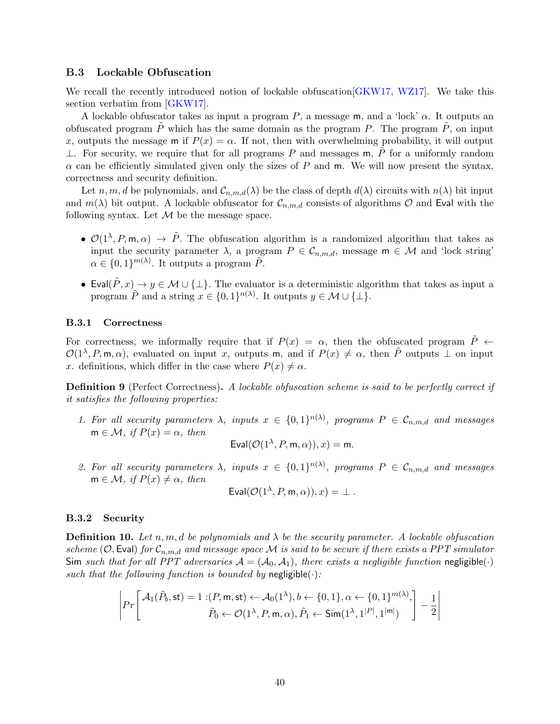#### <span id="page-39-0"></span>B.3 Lockable Obfuscation

We recall the recently introduced notion of lockable obfuscation GKW17, WZ17. We take this section verbatim from [\[GKW17\]](#page-35-8).

A lockable obfuscator takes as input a program  $P$ , a message m, and a 'lock'  $\alpha$ . It outputs an obfuscated program  $P$  which has the same domain as the program  $P$ . The program  $P$ , on input x, outputs the message m if  $P(x) = \alpha$ . If not, then with overwhelming probability, it will output ⊥. For security, we require that for all programs P and messages m, P for a uniformly random  $\alpha$  can be efficiently simulated given only the sizes of P and m. We will now present the syntax, correctness and security definition.

Let n, m, d be polynomials, and  $\mathcal{C}_{n,m,d}(\lambda)$  be the class of depth  $d(\lambda)$  circuits with  $n(\lambda)$  bit input and  $m(\lambda)$  bit output. A lockable obfuscator for  $\mathcal{C}_{n,m,d}$  consists of algorithms  $\mathcal O$  and Eval with the following syntax. Let  $M$  be the message space.

- $\mathcal{O}(1^{\lambda}, P, m, \alpha) \rightarrow \tilde{P}$ . The obfuscation algorithm is a randomized algorithm that takes as input the security parameter  $\lambda$ , a program  $P \in \mathcal{C}_{n,m,d}$ , message  $m \in \mathcal{M}$  and 'lock string'  $\alpha \in \{0,1\}^{m(\lambda)}$ . It outputs a program  $\tilde{P}$ .
- Eval $(\tilde{P}, x) \to y \in \mathcal{M} \cup \{\perp\}$ . The evaluator is a deterministic algorithm that takes as input a program  $\tilde{P}$  and a string  $x \in \{0,1\}^{n(\lambda)}$ . It outputs  $y \in \mathcal{M} \cup \{\perp\}.$

#### <span id="page-39-1"></span>B.3.1 Correctness

For correctness, we informally require that if  $P(x) = \alpha$ , then the obfuscated program  $\tilde{P} \leftarrow$  $\mathcal{O}(1^{\lambda}, P, \mathsf{m}, \alpha)$ , evaluated on input x, outputs  $\mathsf{m}$ , and if  $P(x) \neq \alpha$ , then  $\tilde{P}$  outputs  $\perp$  on input x. definitions, which differ in the case where  $P(x) \neq \alpha$ .

**Definition 9** (Perfect Correctness). A lockable obfuscation scheme is said to be perfectly correct if it satisfies the following properties:

1. For all security parameters  $\lambda$ , inputs  $x \in \{0,1\}^{n(\lambda)}$ , programs  $P \in \mathcal{C}_{n,m,d}$  and messages  $m \in \mathcal{M}$ , if  $P(x) = \alpha$ , then

$$
\mathsf{Eval}(\mathcal{O}(1^{\lambda}, P, \mathsf{m}, \alpha)), x) = \mathsf{m}.
$$

2. For all security parameters  $\lambda$ , inputs  $x \in \{0,1\}^{n(\lambda)}$ , programs  $P \in \mathcal{C}_{n,m,d}$  and messages  $m \in \mathcal{M}$ , if  $P(x) \neq \alpha$ , then

$$
Eval(\mathcal{O}(1^{\lambda}, P, m, \alpha)), x) = \bot.
$$

#### <span id="page-39-2"></span>B.3.2 Security

**Definition 10.** Let  $n, m, d$  be polynomials and  $\lambda$  be the security parameter. A lockable obfuscation scheme (O, Eval) for  $\mathcal{C}_{n,m,d}$  and message space M is said to be secure if there exists a PPT simulator Sim such that for all PPT adversaries  $A = (A_0, A_1)$ , there exists a negligible function negligible( $\cdot$ ) such that the following function is bounded by negligible( $\cdot$ ):

$$
\left| Pr \left[ \begin{array}{c} \mathcal{A}_1(\tilde{P}_b, \mathsf{st}) = 1 : (P, \mathsf{m}, \mathsf{st}) \leftarrow \mathcal{A}_0(1^\lambda), b \leftarrow \{0, 1\}, \alpha \leftarrow \{0, 1\}^{m(\lambda)}, \\ \tilde{P}_0 \leftarrow \mathcal{O}(1^\lambda, P, \mathsf{m}, \alpha), \tilde{P}_1 \leftarrow \mathsf{Sim}(1^\lambda, 1^{|P|}, 1^{|m|}) \end{array} \right] - \frac{1}{2} \right| \right|
$$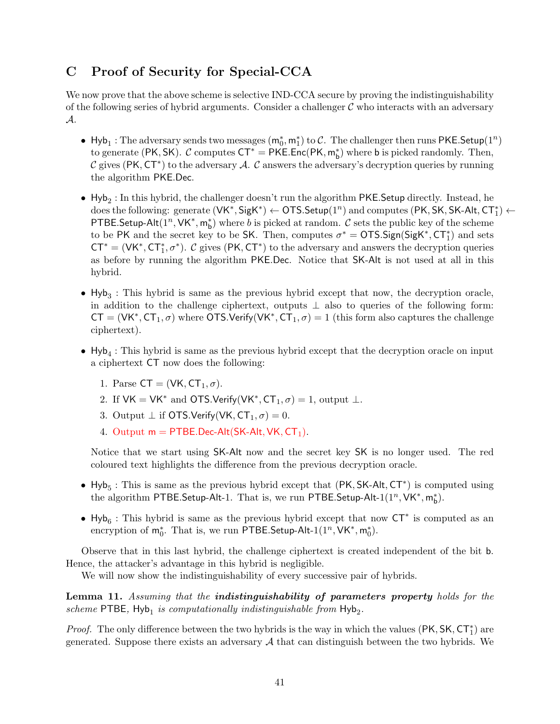## <span id="page-40-0"></span>C Proof of Security for Special-CCA

We now prove that the above scheme is selective IND-CCA secure by proving the indistinguishability of the following series of hybrid arguments. Consider a challenger  $\mathcal C$  who interacts with an adversary A.

- Hyb<sub>1</sub>: The adversary sends two messages  $(m_0^*, m_1^*)$  to C. The challenger then runs PKE.Setup(1<sup>n</sup>) to generate (PK, SK).  $C$  computes  $CT^* = PKE.Enc(PK, m_b^*)$  where b is picked randomly. Then, C gives (PK,  $CT^*$ ) to the adversary A. C answers the adversary's decryption queries by running the algorithm PKE.Dec.
- $\bullet$  Hyb<sub>2</sub>: In this hybrid, the challenger doesn't run the algorithm PKE.Setup directly. Instead, he  $\text{does the following:} \text{ generate } (\mathsf{VK^{*}}, \mathsf{SigK^{*}}) \leftarrow \mathsf{OTS}.\mathsf{Setup}(1^{n}) \text{ and computes } (\mathsf{PK}, \mathsf{SK}, \mathsf{SK}\text{-}\mathsf{Alt}, \mathsf{CT}^{*}_{1}) \leftarrow$ PTBE.Setup-Alt $(1^n, \forall K^*, m_b^*)$  where b is picked at random. C sets the public key of the scheme to be PK and the secret key to be SK. Then, computes  $\sigma^* = \text{OTS}.$  Sign(SigK<sup>\*</sup>, CT<sup>\*</sup><sub>1</sub>) and sets  $CT^* = (VK^*, CT_1^*, \sigma^*).$  C gives (PK, CT<sup>\*</sup>) to the adversary and answers the decryption queries as before by running the algorithm PKE.Dec. Notice that SK-Alt is not used at all in this hybrid.
- $\bullet$  Hyb<sub>3</sub>: This hybrid is same as the previous hybrid except that now, the decryption oracle, in addition to the challenge ciphertext, outputs  $\perp$  also to queries of the following form:  $CT = (VK^*, CT_1, \sigma)$  where OTS.Verify(VK<sup>\*</sup>,  $CT_1, \sigma) = 1$  (this form also captures the challenge ciphertext).
- $\bullet$  Hyb<sub>4</sub>: This hybrid is same as the previous hybrid except that the decryption oracle on input a ciphertext CT now does the following:
	- 1. Parse  $CT = (VK, CT_1, \sigma)$ .
	- 2. If  $VK = VK^*$  and OTS. Verify( $VK^*, CT_1, \sigma$ ) = 1, output  $\bot$ .
	- 3. Output  $\perp$  if OTS.Verify(VK,  $CT_1, \sigma$ ) = 0.
	- 4. Output  $m = PTBE.Dec-Alt(SK-Alt, VK, CT<sub>1</sub>).$

Notice that we start using SK-Alt now and the secret key SK is no longer used. The red coloured text highlights the difference from the previous decryption oracle.

- Hyb<sub>5</sub>: This is same as the previous hybrid except that (PK, SK-Alt, CT<sup>\*</sup>) is computed using the algorithm PTBE.Setup-Alt-1. That is, we run PTBE.Setup-Alt-1( $1^n$ , VK<sup>\*</sup>, m<sup>\*</sup><sub>b</sub>).
- Hyb<sub>6</sub>: This hybrid is same as the previous hybrid except that now CT<sup>\*</sup> is computed as an encryption of  $m_0^*$ . That is, we run PTBE.Setup-Alt-1(1<sup>n</sup>, VK<sup>\*</sup>,  $m_0^*$ ).

Observe that in this last hybrid, the challenge ciphertext is created independent of the bit b. Hence, the attacker's advantage in this hybrid is negligible.

We will now show the indistinguishability of every successive pair of hybrids.

Lemma 11. Assuming that the **indistinguishability of parameters property** holds for the scheme PTBE,  $Hyb_1$  is computationally indistinguishable from  $Hyb_2$ .

*Proof.* The only difference between the two hybrids is the way in which the values  $(\mathsf{PK}, \mathsf{SK}, \mathsf{CT}_1^*)$  are generated. Suppose there exists an adversary  $A$  that can distinguish between the two hybrids. We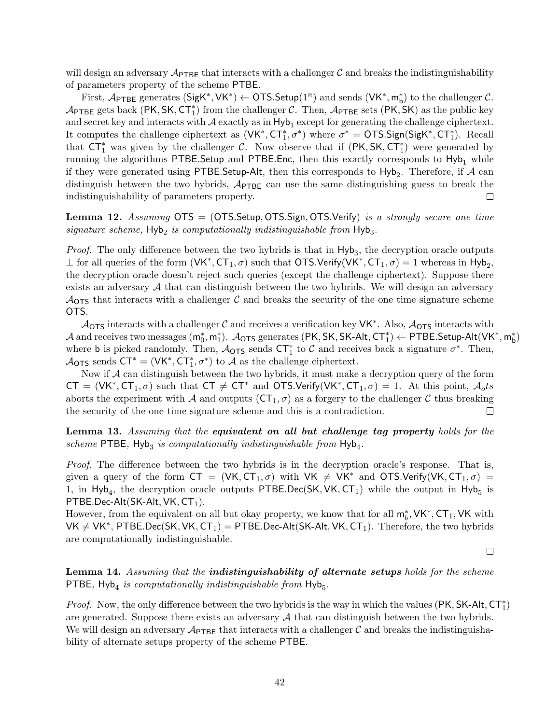will design an adversary  $\mathcal{A}_{\text{PTEE}}$  that interacts with a challenger C and breaks the indistinguishability of parameters property of the scheme PTBE.

First,  $\mathcal{A}_{\text{PTBE}}$  generates  $(\text{SigK}^*, \text{VK}^*) \leftarrow \text{OTS}.\text{Setup}(1^n)$  and sends  $(\text{VK}^*, m_b^*)$  to the challenger  $\mathcal{C}$ .  $\mathcal{A}_{\text{PTEE}}$  gets back (PK, SK, CT<sup>\*</sup><sub>1</sub>) from the challenger C. Then,  $\mathcal{A}_{\text{PTEE}}$  sets (PK, SK) as the public key and secret key and interacts with  $A$  exactly as in  $Hyb_1$  except for generating the challenge ciphertext. It computes the challenge ciphertext as  $(VK^*, CT_1^*, \sigma^*)$  where  $\sigma^* = \text{OTS.Sign}(SigK^*, CT_1^*)$ . Recall that  $CT_1^*$  was given by the challenger C. Now observe that if  $(PK, SK, CT_1^*)$  were generated by running the algorithms PTBE. Setup and PTBE. Enc, then this exactly corresponds to  $Hy_{b_1}$  while if they were generated using PTBE.Setup-Alt, then this corresponds to  ${\sf Hyb}_2$ . Therefore, if  ${\cal A}$  can distinguish between the two hybrids,  $A_{\text{PTBE}}$  can use the same distinguishing guess to break the indistinguishability of parameters property.  $\Box$ 

Lemma 12. Assuming  $OTS = (OTSSetup, OTS.Sign, OTS.Verify)$  is a strongly secure one time  $signature\ scheme, \ \mathsf{Hyb}_2\ is\ computationally\ indistinguishable\ from \ \mathsf{Hyb}_3.$ 

*Proof.* The only difference between the two hybrids is that in  $Hyb_3$ , the decryption oracle outputs  $\perp$  for all queries of the form (VK<sup>\*</sup>, CT<sub>1</sub>, σ) such that OTS.Verify(VK<sup>\*</sup>, CT<sub>1</sub>, σ) = 1 whereas in Hyb<sub>2</sub>, the decryption oracle doesn't reject such queries (except the challenge ciphertext). Suppose there exists an adversary  $\mathcal A$  that can distinguish between the two hybrids. We will design an adversary  $\mathcal{A}_{\text{OTS}}$  that interacts with a challenger C and breaks the security of the one time signature scheme OTS.

 $A_{\text{OTS}}$  interacts with a challenger C and receives a verification key VK<sup>\*</sup>. Also,  $A_{\text{OTS}}$  interacts with  ${\cal A}$  and receives two messages  $({\sf m}_0^*,{\sf m}_1^*)$ .  ${\cal A}_{{\sf OTS}}$  generates  $({\sf PK}, {\sf SK}, {\sf SK\text{-}Alt}, {\sf CT}_1^*) \leftarrow {\sf PTBE}$ . Setup-Alt $({\sf VK}^*,{\sf m}_{\sf b}^*)$ where **b** is picked randomly. Then,  $\mathcal{A}_{\text{OTS}}$  sends  $\text{CT}_1^*$  to  $\mathcal{C}$  and receives back a signature  $\sigma^*$ . Then,  $A_{\text{OTS}}$  sends  $\text{CT}^* = (\text{VK}^*, \text{CT}_1^*, \sigma^*)$  to A as the challenge ciphertext.

Now if A can distinguish between the two hybrids, it must make a decryption query of the form  $CT = (VK^*, CT_1, \sigma)$  such that  $CT \neq CT^*$  and OTS.Verify(VK<sup>\*</sup>, CT<sub>1</sub>,  $\sigma$ ) = 1. At this point,  $\mathcal{A}_o ts$ aborts the experiment with A and outputs  $(CT_1, \sigma)$  as a forgery to the challenger C thus breaking the security of the one time signature scheme and this is a contradiction.  $\Box$ 

Lemma 13. Assuming that the equivalent on all but challenge tag property holds for the scheme PTBE,  $Hyb_3$  is computationally indistinguishable from  $Hyb_4$ .

Proof. The difference between the two hybrids is in the decryption oracle's response. That is, given a query of the form  $CT = (VK, CT_1, \sigma)$  with  $VK \neq VK^*$  and  $OTS.Verify(VK, CT_1, \sigma)$  = 1, in Hyb<sub>4</sub>, the decryption oracle outputs PTBE.Dec(SK, VK, CT<sub>1</sub>) while the output in Hyb<sub>5</sub> is PTBE.Dec-Alt(SK-Alt, VK,  $CT<sub>1</sub>$ ).

However, from the equivalent on all but okay property, we know that for all  $m_b^*$ ,  $VK^*$ ,  $CT_1$ ,  $VK$  with  $VK \neq VK^*$ , PTBE.Dec(SK, VK, CT<sub>1</sub>) = PTBE.Dec-Alt(SK-Alt, VK, CT<sub>1</sub>). Therefore, the two hybrids are computationally indistinguishable.

 $\Box$ 

Lemma 14. Assuming that the *indistinguishability* of alternate setups holds for the scheme PTBE,  $Hyb_4$  is computationally indistinguishable from  $Hyb_5$ .

*Proof.* Now, the only difference between the two hybrids is the way in which the values (PK, SK-Alt,  $CT_1^*$ ) are generated. Suppose there exists an adversary  $A$  that can distinguish between the two hybrids. We will design an adversary  $\mathcal{A}_{\text{PTEF}}$  that interacts with a challenger C and breaks the indistinguishability of alternate setups property of the scheme PTBE.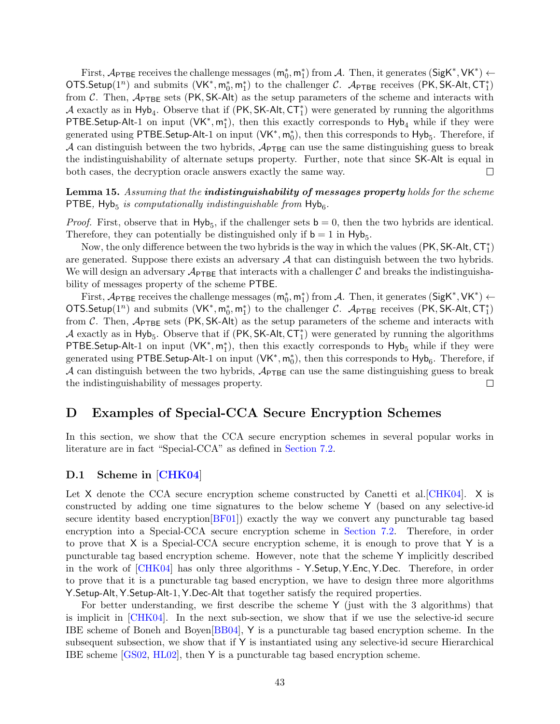First,  $\mathcal{A}_{\text{PTBE}}$  receives the challenge messages  $(\mathsf{m}_0^*, \mathsf{m}_1^*)$  from  $\mathcal{A}$ . Then, it generates  $(\mathsf{SigK}^*, \mathsf{VK}^*) \leftarrow$ OTS.Setup(1<sup>n</sup>) and submits  $(VK^*, m_0^*, m_1^*)$  to the challenger C.  $\mathcal{A}_{\text{PTEE}}$  receives (PK, SK-Alt, CT<sub>1</sub>) from C. Then,  $\mathcal{A}_{\text{PTEE}}$  sets (PK, SK-Alt) as the setup parameters of the scheme and interacts with A exactly as in  $Hyb<sub>4</sub>$ . Observe that if (PK, SK-Alt, CT<sup>\*</sup>) were generated by running the algorithms PTBE.Setup-Alt-1 on input  $(VK^*, m_1^*)$ , then this exactly corresponds to  $Hyb_4$  while if they were generated using PTBE.Setup-Alt-1 on input  $(VK^*, m_0^*)$ , then this corresponds to  $Hyb_5$ . Therefore, if A can distinguish between the two hybrids,  $\mathcal{A}_{\text{PTE}}$  can use the same distinguishing guess to break the indistinguishability of alternate setups property. Further, note that since SK-Alt is equal in both cases, the decryption oracle answers exactly the same way.  $\Box$ 

Lemma 15. Assuming that the *indistinguishability* of messages property holds for the scheme PTBE,  $Hyb_5$  is computationally indistinguishable from  $Hyb_6$ .

*Proof.* First, observe that in  $Hyb_5$ , if the challenger sets  $b = 0$ , then the two hybrids are identical. Therefore, they can potentially be distinguished only if  $b = 1$  in  $Hyb_5$ .

Now, the only difference between the two hybrids is the way in which the values  $(\mathsf{PK}, \mathsf{SK}\text{-}\mathsf{Alt}, \mathsf{CT}^*_1)$ are generated. Suppose there exists an adversary  $A$  that can distinguish between the two hybrids. We will design an adversary  $\mathcal{A}_{\text{PTEE}}$  that interacts with a challenger C and breaks the indistinguishability of messages property of the scheme PTBE.

First,  $\mathcal{A}_{\text{PTBE}}$  receives the challenge messages  $(\mathsf{m}_0^*, \mathsf{m}_1^*)$  from  $\mathcal{A}$ . Then, it generates  $(\mathsf{SigK}^*, \mathsf{VK}^*) \leftarrow$ OTS.Setup(1<sup>n</sup>) and submits  $(VK^*, m_0^*, m_1^*)$  to the challenger C. A<sub>PTBE</sub> receives (PK, SK-Alt, CT<sub>1</sub>) from C. Then,  $A_{\text{PTBE}}$  sets (PK, SK-Alt) as the setup parameters of the scheme and interacts with A exactly as in Hyb<sub>5</sub>. Observe that if  $(PK, SK-Alt, CT<sub>1</sub><sup>*</sup>)$  were generated by running the algorithms PTBE.Setup-Alt-1 on input  $(VK^*, m_1^*)$ , then this exactly corresponds to Hyb<sub>5</sub> while if they were generated using PTBE.Setup-Alt-1 on input  $(VK^*, m_0^*)$ , then this corresponds to  $Hyb_6$ . Therefore, if A can distinguish between the two hybrids,  $\mathcal{A}_{\text{PTBE}}$  can use the same distinguishing guess to break the indistinguishability of messages property.  $\Box$ 

## <span id="page-42-0"></span>D Examples of Special-CCA Secure Encryption Schemes

In this section, we show that the CCA secure encryption schemes in several popular works in literature are in fact "Special-CCA" as defined in [Section 7.2.](#page-25-0)

## <span id="page-42-1"></span>D.1 Scheme in [[CHK04](#page-35-0)]

Let X denote the CCA secure encryption scheme constructed by Canetti et al.  $CHK04$ . X is constructed by adding one time signatures to the below scheme Y (based on any selective-id secure identity based encryption[\[BF01\]](#page-35-12)) exactly the way we convert any puncturable tag based encryption into a Special-CCA secure encryption scheme in [Section 7.2.](#page-25-0) Therefore, in order to prove that X is a Special-CCA secure encryption scheme, it is enough to prove that Y is a puncturable tag based encryption scheme. However, note that the scheme Y implicitly described in the work of [\[CHK04\]](#page-35-0) has only three algorithms - Y.Setup, Y.Enc, Y.Dec. Therefore, in order to prove that it is a puncturable tag based encryption, we have to design three more algorithms Y.Setup-Alt, Y.Setup-Alt-1, Y.Dec-Alt that together satisfy the required properties.

For better understanding, we first describe the scheme Y (just with the 3 algorithms) that is implicit in [\[CHK04\]](#page-35-0). In the next sub-section, we show that if we use the selective-id secure IBE scheme of Boneh and Boyen[\[BB04\]](#page-34-0), Y is a puncturable tag based encryption scheme. In the subsequent subsection, we show that if Y is instantiated using any selective-id secure Hierarchical IBE scheme [\[GS02,](#page-35-13) [HL02\]](#page-36-14), then Y is a puncturable tag based encryption scheme.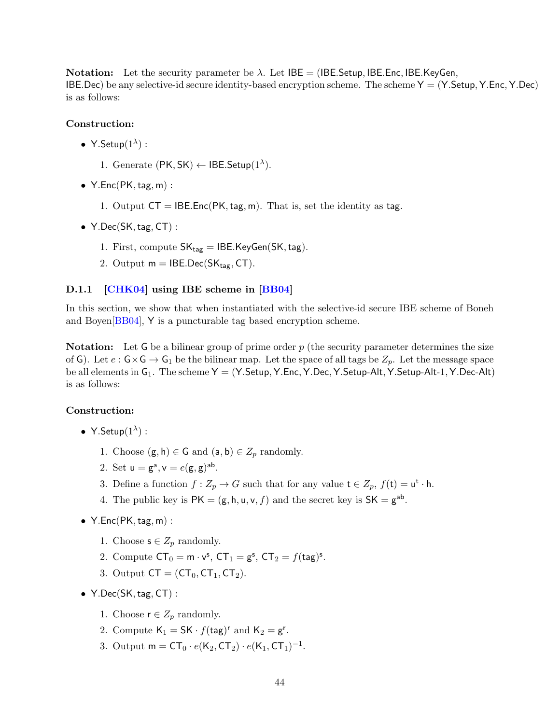**Notation:** Let the security parameter be  $\lambda$ . Let IBE = (IBE.Setup, IBE.Enc, IBE.KeyGen, IBE.Dec) be any selective-id secure identity-based encryption scheme. The scheme  $Y = (Y \cdot Setup, Y \cdot Enc, Y \cdot Dec)$ is as follows:

## Construction:

- Y.Setup $(1^{\lambda})$ :
	- 1. Generate  $(PK, SK) \leftarrow IBE.Setup(1^{\lambda}).$
- $Y.Enc(PK, tag, m)$ :
	- 1. Output  $CT = IBE.Enc(PK, tag, m)$ . That is, set the identity as tag.
- Y.Dec(SK, tag, CT) :
	- 1. First, compute  $SK_{tag} = IBE.KeyGen(SK, tag)$ .
	- 2. Output  $m = IBE.Dec(SK<sub>tag</sub>, CT)$ .

#### <span id="page-43-0"></span>D.1.1 **[\[CHK04\]](#page-35-0)** using IBE scheme in [\[BB04\]](#page-34-0)

In this section, we show that when instantiated with the selective-id secure IBE scheme of Boneh and Boyen[\[BB04\]](#page-34-0), Y is a puncturable tag based encryption scheme.

**Notation:** Let G be a bilinear group of prime order  $p$  (the security parameter determines the size of G). Let  $e : G \times G \to G_1$  be the bilinear map. Let the space of all tags be  $Z_p$ . Let the message space be all elements in  $G_1$ . The scheme  $Y = (Y.Setup, Y.Enc, Y.Dec, Y.Setup-Alt, Y.Setup-Alt-1, Y.Dec-Alt)$ is as follows:

#### Construction:

- Y.Setup $(1^{\lambda})$ :
	- 1. Choose  $(\mathsf{g}, \mathsf{h}) \in \mathsf{G}$  and  $(\mathsf{a}, \mathsf{b}) \in \mathbb{Z}_p$  randomly.
	- 2. Set  $u = g^a$ ,  $v = e(g, g)^{ab}$ .
	- 3. Define a function  $f: Z_p \to G$  such that for any value  $t \in Z_p$ ,  $f(t) = u^t \cdot h$ .
	- 4. The public key is  $PK = (g, h, u, v, f)$  and the secret key is  $SK = g^{ab}$ .
- $Y.Enc(PK, tag, m)$ :
	- 1. Choose  $s \in Z_p$  randomly.
	- 2. Compute  $CT_0 = m \cdot v^s$ ,  $CT_1 = g^s$ ,  $CT_2 = f(tag)^s$ .
	- 3. Output  $CT = (CT_0, CT_1, CT_2)$ .
- $Y.Dec(SK, tag, CT)$ :
	- 1. Choose  $r \in Z_p$  randomly.
	- 2. Compute  $\mathsf{K}_1 = \mathsf{SK} \cdot f(\mathsf{tag})^r$  and  $\mathsf{K}_2 = \mathsf{g}^r$ .
	- 3. Output  $m = CT_0 \cdot e(K_2, CT_2) \cdot e(K_1, CT_1)^{-1}$ .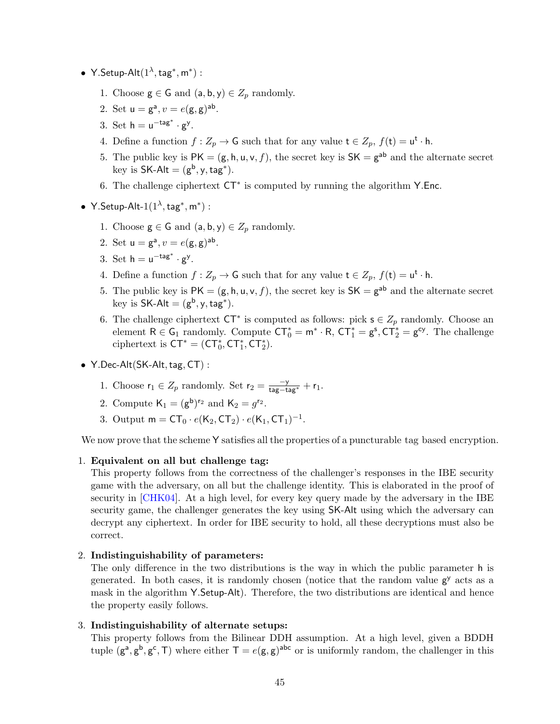- Y.Setup-Alt $(1^{\lambda}, \text{tag}^*, \text{m}^*)$ :
	- 1. Choose  $\mathsf{g} \in \mathsf{G}$  and  $(\mathsf{a}, \mathsf{b}, \mathsf{y}) \in Z_p$  randomly.
	- 2. Set  $u = g^a, v = e(g, g)^{ab}$ .
	- 3. Set  $h = u^{-\text{tag}^*} \cdot g^y$ .
	- 4. Define a function  $f: Z_p \to G$  such that for any value  $t \in Z_p$ ,  $f(t) = u^t \cdot h$ .
	- 5. The public key is  $PK = (g, h, u, v, f)$ , the secret key is  $SK = g^{ab}$  and the alternate secret key is  $SK-Alt = (g^b, y, tag^*)$ .
	- 6. The challenge ciphertext CT<sup>∗</sup> is computed by running the algorithm Y.Enc.
- Y.Setup-Alt- $1(1^{\lambda}, \text{tag}^*, \text{m}^*)$ :
	- 1. Choose  $\mathsf{g} \in \mathsf{G}$  and  $(\mathsf{a}, \mathsf{b}, \mathsf{y}) \in Z_p$  randomly.
	- 2. Set  $u = g^a, v = e(g, g)^{ab}$ .
	- 3. Set  $h = u^{-\text{tag}^*} \cdot g^y$ .
	- 4. Define a function  $f: Z_p \to G$  such that for any value  $t \in Z_p$ ,  $f(t) = u^t \cdot h$ .
	- 5. The public key is  $PK = (g, h, u, v, f)$ , the secret key is  $SK = g^{ab}$  and the alternate secret key is  $SK-Alt = (g^b, y, tag^*)$ .
	- 6. The challenge ciphertext  $\mathsf{CT}^*$  is computed as follows: pick  $\mathsf{s} \in Z_p$  randomly. Choose an element  $R \in G_1$  randomly. Compute  $CT_0^* = m^* \cdot R$ ,  $CT_1^* = g^s$ ,  $CT_2^* = g^{cy}$ . The challenge ciphertext is  $CT^* = (CT_0^*, CT_1^*, CT_2^*).$
- $Y.$  Dec-Alt $(SK-AIt, tag, CT)$ :
	- 1. Choose  $\mathsf{r}_1 \in Z_p$  randomly. Set  $\mathsf{r}_2 = \frac{-y}{\mathsf{tag}+ \mathsf{tag}+} + \mathsf{r}_1$ .
	- 2. Compute  $K_1 = (g^b)^{r_2}$  and  $K_2 = g^{r_2}$ .
	- 3. Output  $m = CT_0 \cdot e(K_2, CT_2) \cdot e(K_1, CT_1)^{-1}$ .

We now prove that the scheme Y satisfies all the properties of a puncturable tag based encryption.

#### 1. Equivalent on all but challenge tag:

This property follows from the correctness of the challenger's responses in the IBE security game with the adversary, on all but the challenge identity. This is elaborated in the proof of security in [\[CHK04\]](#page-35-0). At a high level, for every key query made by the adversary in the IBE security game, the challenger generates the key using SK-Alt using which the adversary can decrypt any ciphertext. In order for IBE security to hold, all these decryptions must also be correct.

#### 2. Indistinguishability of parameters:

The only difference in the two distributions is the way in which the public parameter h is generated. In both cases, it is randomly chosen (notice that the random value  $g<sup>y</sup>$  acts as a mask in the algorithm Y.Setup-Alt). Therefore, the two distributions are identical and hence the property easily follows.

## 3. Indistinguishability of alternate setups:

This property follows from the Bilinear DDH assumption. At a high level, given a BDDH tuple  $(g^a, g^b, g^c, T)$  where either  $T = e(g, g)^{abc}$  or is uniformly random, the challenger in this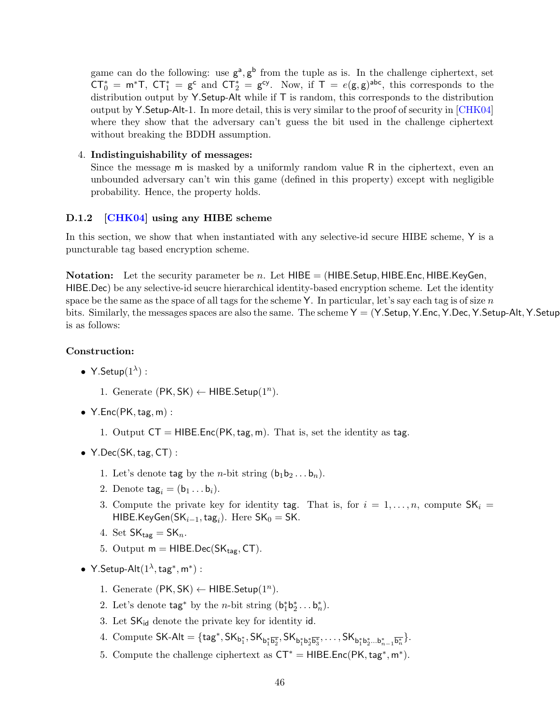game can do the following: use  $g^a$ ,  $g^b$  from the tuple as is. In the challenge ciphertext, set  $CT_0^* = m^*T$ ,  $CT_1^* = g^c$  and  $CT_2^* = g^{cy}$ . Now, if  $T = e(g, g)^{abc}$ , this corresponds to the distribution output by Y.Setup-Alt while if  $T$  is random, this corresponds to the distribution output by Y.Setup-Alt-1. In more detail, this is very similar to the proof of security in [\[CHK04\]](#page-35-0) where they show that the adversary can't guess the bit used in the challenge ciphertext without breaking the BDDH assumption.

### 4. Indistinguishability of messages:

Since the message m is masked by a uniformly random value R in the ciphertext, even an unbounded adversary can't win this game (defined in this property) except with negligible probability. Hence, the property holds.

### <span id="page-45-0"></span>D.1.2 **[\[CHK04\]](#page-35-0)** using any HIBE scheme

In this section, we show that when instantiated with any selective-id secure HIBE scheme, Y is a puncturable tag based encryption scheme.

**Notation:** Let the security parameter be n. Let  $HIBE = (HIBE. Setup, HIBE. Enc, HIBE. KeyGen,$ HIBE.Dec) be any selective-id seucre hierarchical identity-based encryption scheme. Let the identity space be the same as the space of all tags for the scheme Y. In particular, let's say each tag is of size  $n$ bits. Similarly, the messages spaces are also the same. The scheme  $Y = (Y \cdot Setup, Y \cdot \text{Cerc}, Y \cdot \text{Dec}, Y \cdot Setup - Alt, Y \cdot Setup - Alt)$ is as follows:

### Construction:

- Y.Setup $(1^{\lambda})$ :
	- 1. Generate  $(PK, SK) \leftarrow HIBE.Setup(1^n)$ .
- $Y.Enc(PK, tag, m)$ :
	- 1. Output  $CT = HIBE.Enc(PK, tag, m)$ . That is, set the identity as tag.
- $Y.Dec(SK, tag, CT)$ :
	- 1. Let's denote tag by the *n*-bit string  $(b_1b_2 \ldots b_n)$ .
	- 2. Denote  $\text{tag}_i = (\mathsf{b}_1 \dots \mathsf{b}_i).$
	- 3. Compute the private key for identity tag. That is, for  $i = 1, \ldots, n$ , compute  $SK_i =$ HIBE.KeyGen(S $K_{i-1}$ , tag<sub>i</sub>). Here SK<sub>0</sub> = SK.
	- 4. Set  $SK_{\text{tag}} = SK_n$ .
	- 5. Output  $m = HIBE.Dec(SK<sub>tar</sub>, CT)$ .
- Y.Setup-Alt $(1^{\lambda}, \text{tag}^*, \text{m}^*)$ :
	- 1. Generate  $(PK, SK) \leftarrow HIBE.Setup(1^n)$ .
	- 2. Let's denote  $\text{tag}^*$  by the *n*-bit string  $(b_1^*b_2^* \ldots b_n^*)$ .
	- 3. Let  $SK_{id}$  denote the private key for identity id.
	- $4. \text{ Compute SK-Alt} = \{\text{tag*}^*, \text{SK}_{b_1^*} \text{S} \text{K}_{b_1^* \overline{b_2^*}}, \text{SK}_{b_1^* b_2^* \overline{b_3^*}}, \dots, \text{SK}_{b_1^* b_2^* \dots b_{n-1}^* \overline{b_n^*}}\}.$
	- 5. Compute the challenge ciphertext as  $CT^* = HIBE_EC(PK, tag^*, m^*).$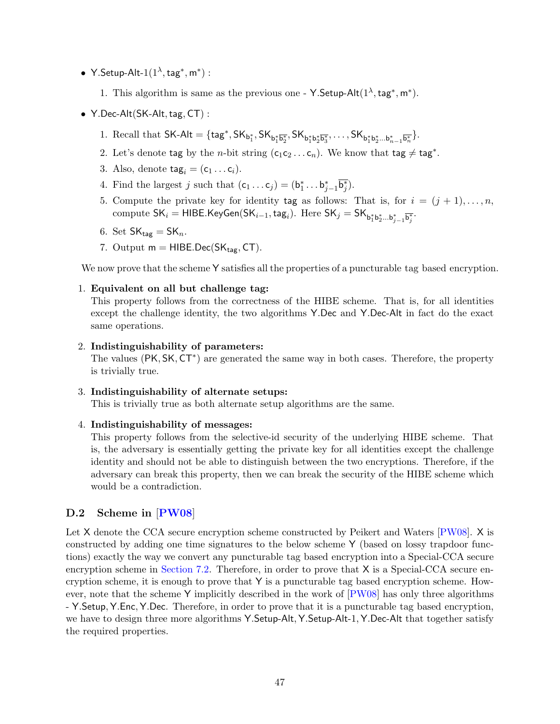- Y.Setup-Alt- $1(1^{\lambda}, \text{tag}^*, \text{m}^*)$ :
	- 1. This algorithm is same as the previous one Y.Setup-Alt $(1^{\lambda}, \text{tag}^*, m^*)$ .
- $Y.$  Dec-Alt $(SK$ -Alt, tag,  $CT$ ) :
	- 1. Recall that  $\mathsf{SK}\text{-}\mathsf{Alt} = \{\mathsf{tag}^*, \mathsf{SK}_{\mathsf{b}_1^*, \overline{\mathsf{b}_2^*}}, \mathsf{SK}_{\mathsf{b}_1^*\mathsf{b}_2^*\overline{\mathsf{b}_3^*}}, \dots, \mathsf{SK}_{\mathsf{b}_1^*\mathsf{b}_2^*\dots\mathsf{b}_{n-1}^*\overline{\mathsf{b}_n^*}}\}.$
	- 2. Let's denote tag by the *n*-bit string  $(c_1c_2 \ldots c_n)$ . We know that tag  $\neq$  tag<sup>\*</sup>.
	- 3. Also, denote  $\text{tag}_i = (c_1 \dots c_i)$ .
	- 4. Find the largest j such that  $(c_1 \dots c_j) = (b_1^* \dots b_{j-1}^* \overline{b_j^*}).$
	- 5. Compute the private key for identity tag as follows: That is, for  $i = (j + 1), \ldots, n$ ,  $\text{compute SK}_i = \textsf{HIBE.KeyGen}(\textsf{SK}_{i-1},\textsf{tag}_i). \text{ Here } \textsf{SK}_j = \textsf{SK}_{\textsf{b}_1^*\textsf{b}_2^*\dots \textsf{b}_{j-1}^*\overline{\textsf{b}_j^*}}.$
	- 6. Set  $SK_{\text{tag}} = SK_n$ .
	- 7. Output  $m = HIBE.Dec(SK_{tag}, CT)$ .

We now prove that the scheme Y satisfies all the properties of a puncturable tag based encryption.

## 1. Equivalent on all but challenge tag:

This property follows from the correctness of the HIBE scheme. That is, for all identities except the challenge identity, the two algorithms Y.Dec and Y.Dec-Alt in fact do the exact same operations.

## 2. Indistinguishability of parameters:

The values (PK, SK, CT<sup>\*</sup>) are generated the same way in both cases. Therefore, the property is trivially true.

3. Indistinguishability of alternate setups:

This is trivially true as both alternate setup algorithms are the same.

4. Indistinguishability of messages:

This property follows from the selective-id security of the underlying HIBE scheme. That is, the adversary is essentially getting the private key for all identities except the challenge identity and should not be able to distinguish between the two encryptions. Therefore, if the adversary can break this property, then we can break the security of the HIBE scheme which would be a contradiction.

## <span id="page-46-0"></span>D.2 Scheme in [[PW08](#page-36-0)]

Let X denote the CCA secure encryption scheme constructed by Peikert and Waters [\[PW08\]](#page-36-0). X is constructed by adding one time signatures to the below scheme Y (based on lossy trapdoor functions) exactly the way we convert any puncturable tag based encryption into a Special-CCA secure encryption scheme in [Section 7.2.](#page-25-0) Therefore, in order to prove that X is a Special-CCA secure encryption scheme, it is enough to prove that Y is a puncturable tag based encryption scheme. However, note that the scheme Y implicitly described in the work of [\[PW08\]](#page-36-0) has only three algorithms - Y.Setup, Y.Enc, Y.Dec. Therefore, in order to prove that it is a puncturable tag based encryption, we have to design three more algorithms Y.Setup-Alt, Y.Setup-Alt-1, Y.Dec-Alt that together satisfy the required properties.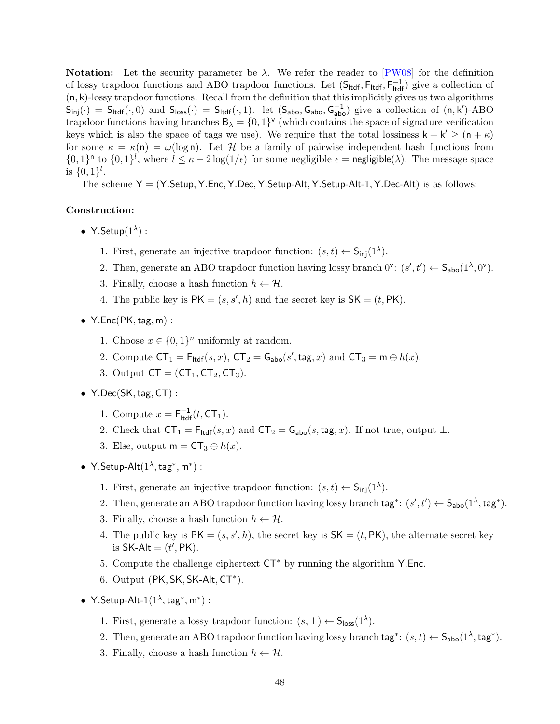**Notation:** Let the security parameter be  $\lambda$ . We refer the reader to [\[PW08\]](#page-36-0) for the definition of lossy trapdoor functions and ABO trapdoor functions. Let  $(S_{\text{tdf}}, F_{\text{tdf}}, F_{\text{tdf}}^{-1})$  give a collection of  $(n, k)$ -lossy trapdoor functions. Recall from the definition that this implicitly gives us two algorithms  $S_{\text{inj}}(\cdot) = S_{\text{ltdf}}(\cdot,0)$  and  $S_{\text{loss}}(\cdot) = S_{\text{ltdf}}(\cdot,1)$ . let  $(S_{\text{abo}}, G_{\text{abo}}, G_{\text{abo}}^{-1})$  give a collection of  $(n, k')$ -ABO trapdoor functions having branches  $B_{\lambda} = \{0,1\}^{\nu}$  (which contains the space of signature verification keys which is also the space of tags we use). We require that the total lossiness  $k + k' \geq (n + \kappa)$ for some  $\kappa = \kappa(n) = \omega(\log n)$ . Let H be a family of pairwise independent hash functions from  $\{0,1\}^n$  to  $\{0,1\}^l$ , where  $l \leq \kappa - 2\log(1/\epsilon)$  for some negligible  $\epsilon$  = negligible( $\lambda$ ). The message space is  $\{0,1\}^l$ .

The scheme  $Y = (Y.Setup, Y.Enc, Y.Setup-Alt, Y.Setup-Alt, Y.Setup-Alt-1, Y.Dec-Alt)$  is as follows:

## Construction:

- Y.Setup $(1^{\lambda})$ :
	- 1. First, generate an injective trapdoor function:  $(s,t) \leftarrow S_{\text{inj}}(1^{\lambda})$ .
	- 2. Then, generate an ABO trapdoor function having lossy branch  $0^{\vee}$ :  $(s', t') \leftarrow S_{\text{abo}}(1^{\lambda}, 0^{\nu})$ .
	- 3. Finally, choose a hash function  $h \leftarrow \mathcal{H}$ .
	- 4. The public key is  $PK = (s, s', h)$  and the secret key is  $SK = (t, PK)$ .
- $Y.Enc(PK, tag, m)$ :
	- 1. Choose  $x \in \{0,1\}^n$  uniformly at random.
	- 2. Compute  $CT_1 = F_{\text{ltdf}}(s, x)$ ,  $CT_2 = G_{\text{abo}}(s', \text{tag}, x)$  and  $CT_3 = m \oplus h(x)$ .
	- 3. Output  $CT = (CT_1, CT_2, CT_3)$ .
- $Y.Dec(SK, tag, CT)$ :
	- 1. Compute  $x = F_{\text{ltdf}}^{-1}(t, \text{CT}_1)$ .
	- 2. Check that  $CT_1 = F_{\text{tdef}}(s, x)$  and  $CT_2 = G_{\text{abo}}(s, \text{tag}, x)$ . If not true, output  $\perp$ .
	- 3. Else, output  $m = CT_3 \oplus h(x)$ .
- Y.Setup-Alt $(1^{\lambda}, \text{tag}^*, \text{m}^*)$ :
	- 1. First, generate an injective trapdoor function:  $(s,t) \leftarrow S_{\text{inj}}(1^{\lambda})$ .
	- 2. Then, generate an ABO trapdoor function having lossy branch  $\text{tag}^*: (s', t') \leftarrow \mathsf{S}_{\text{abo}}(1^{\lambda}, \text{tag}^*).$
	- 3. Finally, choose a hash function  $h \leftarrow \mathcal{H}$ .
	- 4. The public key is  $PK = (s, s', h)$ , the secret key is  $SK = (t, PK)$ , the alternate secret key is  $SK-Alt = (t', PK)$ .
	- 5. Compute the challenge ciphertext CT<sup>∗</sup> by running the algorithm Y.Enc.
	- 6. Output (PK, SK, SK-Alt, CT<sup>\*</sup>).
- Y.Setup-Alt- $1(1^{\lambda}, \text{tag}^*, \text{m}^*)$ :
	- 1. First, generate a lossy trapdoor function:  $(s, \perp) \leftarrow S_{\text{loss}}(1^{\lambda})$ .
	- 2. Then, generate an ABO trapdoor function having lossy branch  $\text{tag}^*: (s,t) \leftarrow \mathsf{S}_{\text{abo}}(1^{\lambda}, \text{tag}^*).$
	- 3. Finally, choose a hash function  $h \leftarrow \mathcal{H}$ .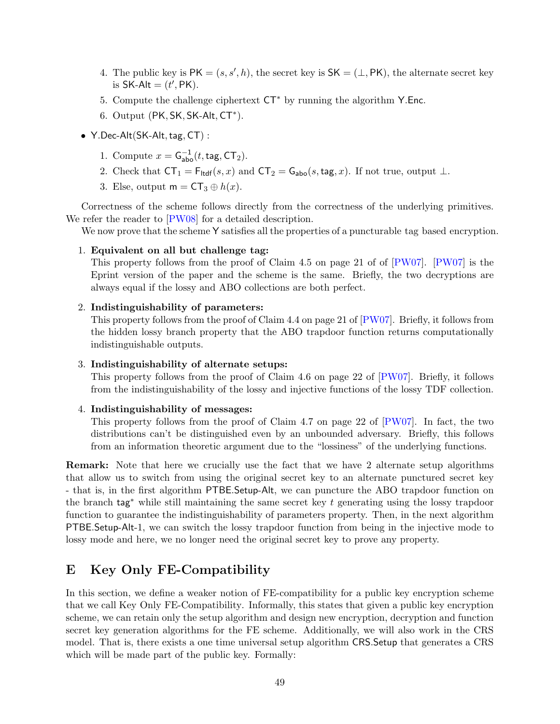- 4. The public key is  $PK = (s, s', h)$ , the secret key is  $SK = (\perp, PK)$ , the alternate secret key is  $SK-Alt = (t', PK)$ .
- 5. Compute the challenge ciphertext CT<sup>∗</sup> by running the algorithm Y.Enc.
- 6. Output (PK, SK, SK-Alt, CT<sup>\*</sup>).
- Y.Dec-Alt(SK-Alt, tag, CT) :
	- 1. Compute  $x = G_{\text{abo}}^{-1}(t, \text{tag}, \text{CT}_2)$ .
	- 2. Check that  $CT_1 = F_{\text{tdf}}(s, x)$  and  $CT_2 = G_{\text{abo}}(s, \text{tag}, x)$ . If not true, output  $\perp$ .
	- 3. Else, output  $m = CT_3 \oplus h(x)$ .

Correctness of the scheme follows directly from the correctness of the underlying primitives. We refer the reader to [\[PW08\]](#page-36-0) for a detailed description.

We now prove that the scheme Y satisfies all the properties of a puncturable tag based encryption.

#### 1. Equivalent on all but challenge tag:

This property follows from the proof of Claim 4.5 on page 21 of of [\[PW07\]](#page-36-15). [\[PW07\]](#page-36-15) is the Eprint version of the paper and the scheme is the same. Briefly, the two decryptions are always equal if the lossy and ABO collections are both perfect.

#### 2. Indistinguishability of parameters:

This property follows from the proof of Claim 4.4 on page 21 of [\[PW07\]](#page-36-15). Briefly, it follows from the hidden lossy branch property that the ABO trapdoor function returns computationally indistinguishable outputs.

#### 3. Indistinguishability of alternate setups:

This property follows from the proof of Claim 4.6 on page 22 of [\[PW07\]](#page-36-15). Briefly, it follows from the indistinguishability of the lossy and injective functions of the lossy TDF collection.

#### 4. Indistinguishability of messages:

This property follows from the proof of Claim 4.7 on page 22 of [\[PW07\]](#page-36-15). In fact, the two distributions can't be distinguished even by an unbounded adversary. Briefly, this follows from an information theoretic argument due to the "lossiness" of the underlying functions.

Remark: Note that here we crucially use the fact that we have 2 alternate setup algorithms that allow us to switch from using the original secret key to an alternate punctured secret key - that is, in the first algorithm PTBE.Setup-Alt, we can puncture the ABO trapdoor function on the branch tag<sup>∗</sup> while still maintaining the same secret key t generating using the lossy trapdoor function to guarantee the indistinguishability of parameters property. Then, in the next algorithm PTBE.Setup-Alt-1, we can switch the lossy trapdoor function from being in the injective mode to lossy mode and here, we no longer need the original secret key to prove any property.

## <span id="page-48-0"></span>E Key Only FE-Compatibility

<span id="page-48-1"></span>In this section, we define a weaker notion of FE-compatibility for a public key encryption scheme that we call Key Only FE-Compatibility. Informally, this states that given a public key encryption scheme, we can retain only the setup algorithm and design new encryption, decryption and function secret key generation algorithms for the FE scheme. Additionally, we will also work in the CRS model. That is, there exists a one time universal setup algorithm CRS.Setup that generates a CRS which will be made part of the public key. Formally: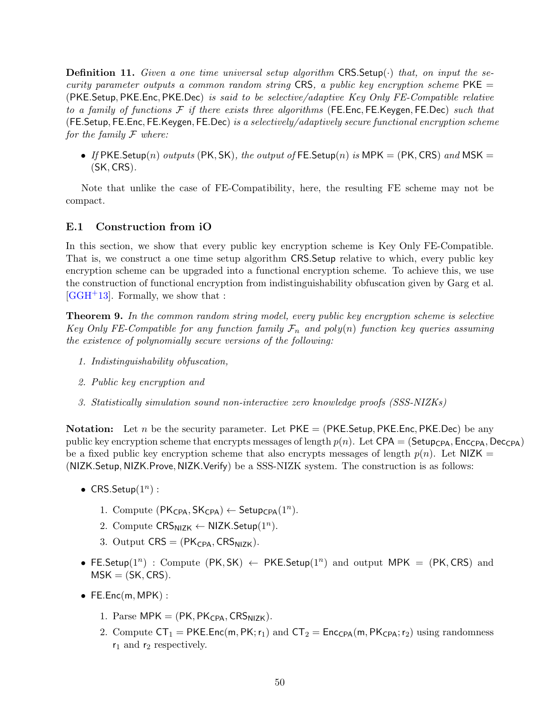**Definition 11.** Given a one time universal setup algorithm  $CRS.$  Setup( $\cdot$ ) that, on input the security parameter outputs a common random string CRS, a public key encryption scheme  $PKE =$ (PKE.Setup, PKE.Enc, PKE.Dec) is said to be selective/adaptive Key Only FE-Compatible relative to a family of functions  $\mathcal F$  if there exists three algorithms (FE.Enc, FE.Keygen, FE.Dec) such that (FE.Setup, FE.Enc, FE.Keygen, FE.Dec) is a selectively/adaptively secure functional encryption scheme for the family  $\mathcal F$  where:

• If PKE.Setup(n) outputs (PK, SK), the output of FE.Setup(n) is MPK = (PK, CRS) and MSK = (SK, CRS).

Note that unlike the case of FE-Compatibility, here, the resulting FE scheme may not be compact.

## <span id="page-49-0"></span>E.1 Construction from iO

In this section, we show that every public key encryption scheme is Key Only FE-Compatible. That is, we construct a one time setup algorithm CRS.Setup relative to which, every public key encryption scheme can be upgraded into a functional encryption scheme. To achieve this, we use the construction of functional encryption from indistinguishability obfuscation given by Garg et al.  $[GGH^+13]$  $[GGH^+13]$ . Formally, we show that :

**Theorem 9.** In the common random string model, every public key encryption scheme is selective Key Only FE-Compatible for any function family  $\mathcal{F}_n$  and poly(n) function key queries assuming the existence of polynomially secure versions of the following:

- 1. Indistinguishability obfuscation,
- 2. Public key encryption and
- 3. Statistically simulation sound non-interactive zero knowledge proofs (SSS-NIZKs)

**Notation:** Let n be the security parameter. Let  $PKE = (PKE \cdot Setup, PKE \cdot Enc, PKE \cdot Dec)$  be any public key encryption scheme that encrypts messages of length  $p(n)$ . Let CPA = (Setup<sub>CPA</sub>, Enc<sub>CPA</sub>, Dec<sub>CPA</sub>) be a fixed public key encryption scheme that also encrypts messages of length  $p(n)$ . Let NIZK = (NIZK.Setup, NIZK.Prove, NIZK.Verify) be a SSS-NIZK system. The construction is as follows:

- CRS.Setup $(1^n)$ :
	- 1. Compute  $(PK_{CPA}, SK_{CPA}) \leftarrow$  Setup<sub>CPA</sub> $(1^n)$ .
	- 2. Compute  $CRS_{NIZK} \leftarrow NIZK.Setup(1^n)$ .
	- 3. Output  $CRS = (PK<sub>CPA</sub>, CRS<sub>NIZK</sub>)$ .
- FE.Setup( $1^n$ ) : Compute (PK, SK)  $\leftarrow$  PKE.Setup( $1^n$ ) and output MPK = (PK, CRS) and  $MSK = (SK, CRS).$
- FE.Enc(m, MPK):
	- 1. Parse MPK =  $(PK, PK<sub>CPA</sub>, CRS<sub>NIZK</sub>)$ .
	- 2. Compute  $CT_1 = PKE.Enc(m, PK; r_1)$  and  $CT_2 = Enc_{CPA}(m, PK_{CPA}; r_2)$  using randomness  $r_1$  and  $r_2$  respectively.